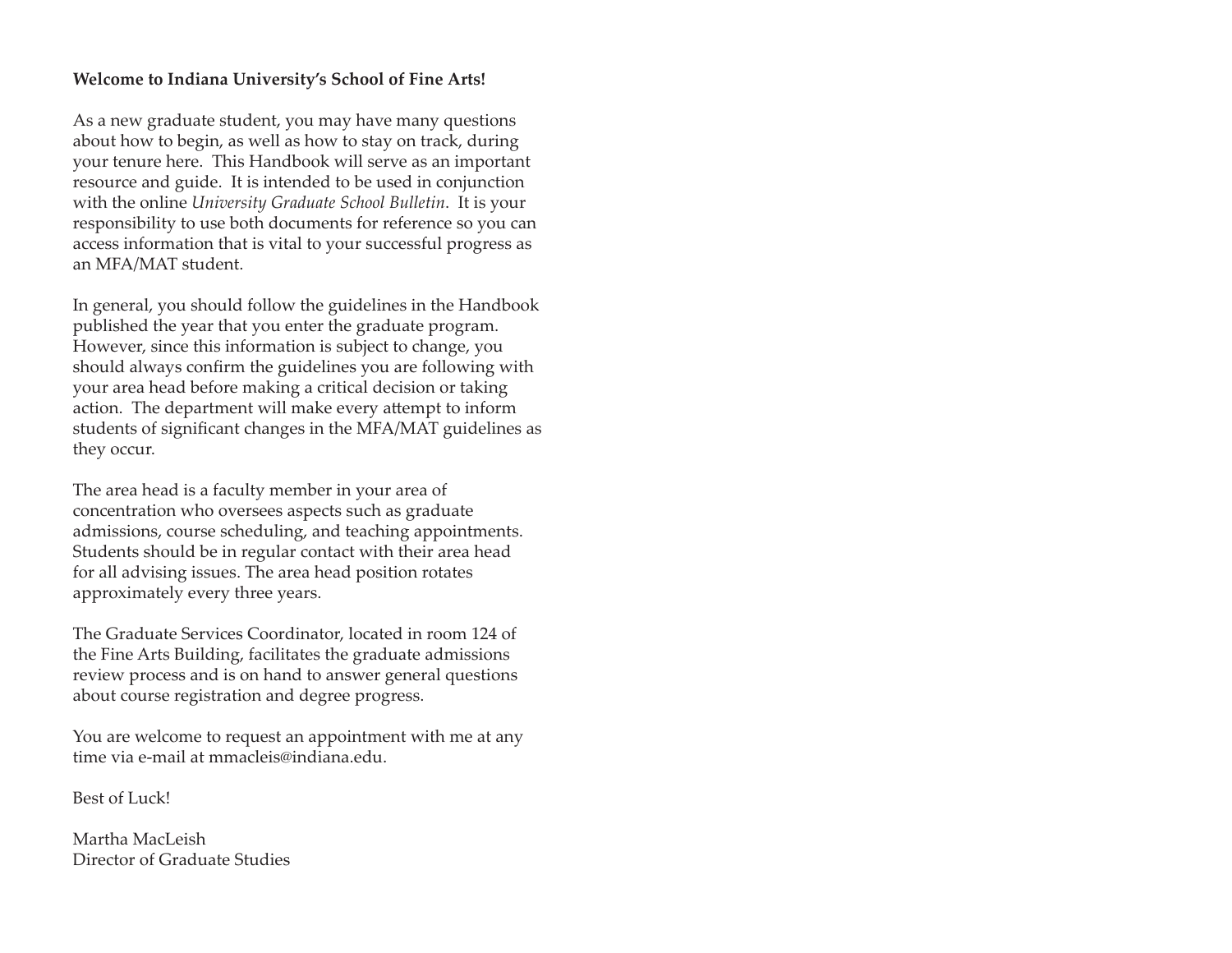### **Welcome to Indiana University's School of Fine Arts!**

As a new graduate student, you may have many questions about how to begin, as well as how to stay on track, during your tenure here. This Handbook will serve as an important resource and guide. It is intended to be used in conjunction with the online *University Graduate School Bulletin*. It is your responsibility to use both documents for reference so you can access information that is vital to your successful progress as an MFA/MAT student.

In general, you should follow the guidelines in the Handbook published the year that you enter the graduate program. However, since this information is subject to change, you should always confirm the guidelines you are following with your area head before making a critical decision or taking action. The department will make every attempt to inform students of significant changes in the MFA/MAT guidelines as they occur.

The area head is a faculty member in your area of concentration who oversees aspects such as graduate admissions, course scheduling, and teaching appointments. Students should be in regular contact with their area head for all advising issues. The area head position rotates approximately every three years.

The Graduate Services Coordinator, located in room 124 of the Fine Arts Building, facilitates the graduate admissions review process and is on hand to answer general questions about course registration and degree progress.

You are welcome to request an appointment with me at any time via e-mail at mmacleis@indiana.edu.

Best of Luck!

Martha MacLeishDirector of Graduate Studies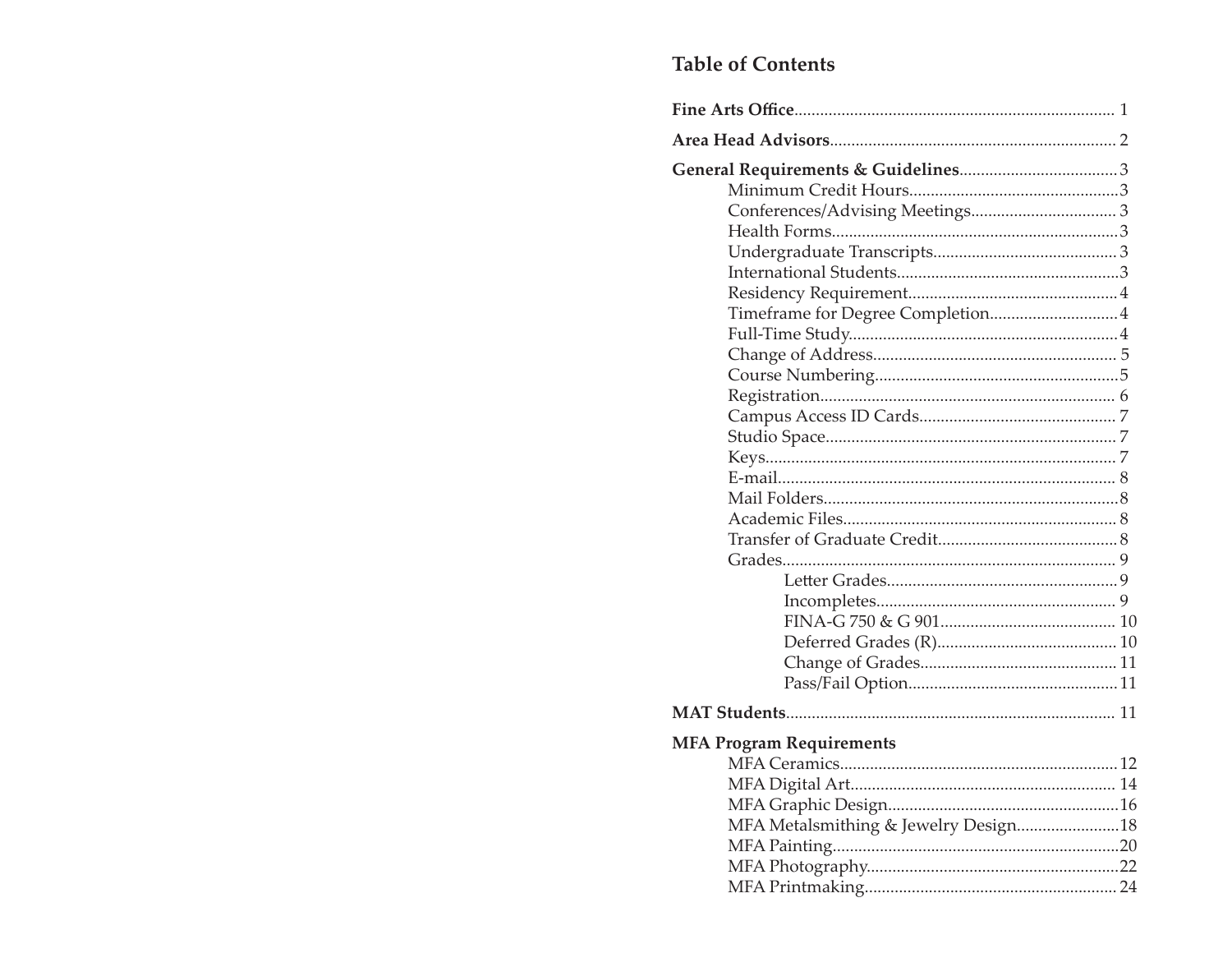# **Table of Contents**

| Timeframe for Degree Completion4     |
|--------------------------------------|
|                                      |
|                                      |
|                                      |
|                                      |
|                                      |
|                                      |
|                                      |
|                                      |
|                                      |
|                                      |
|                                      |
|                                      |
|                                      |
|                                      |
|                                      |
|                                      |
|                                      |
|                                      |
|                                      |
| <b>MFA Program Requirements</b>      |
|                                      |
|                                      |
|                                      |
| MFA Metalsmithing & Jewelry Design18 |
|                                      |
|                                      |
|                                      |
|                                      |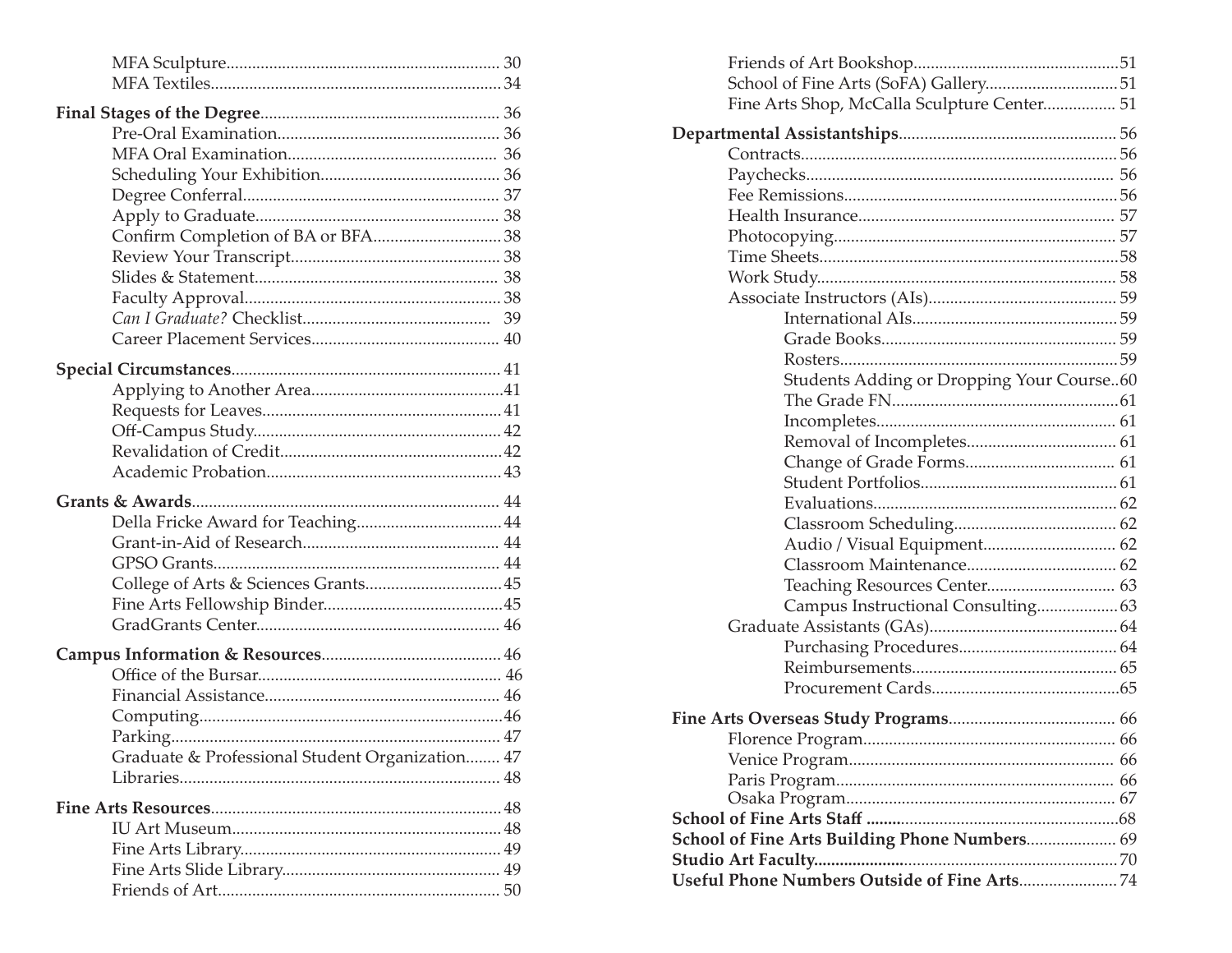| Graduate & Professional Student Organization 47 |  |
|-------------------------------------------------|--|
|                                                 |  |
|                                                 |  |
|                                                 |  |
|                                                 |  |
|                                                 |  |
|                                                 |  |

| Fine Arts Shop, McCalla Sculpture Center 51   |  |
|-----------------------------------------------|--|
|                                               |  |
|                                               |  |
|                                               |  |
|                                               |  |
|                                               |  |
|                                               |  |
|                                               |  |
|                                               |  |
|                                               |  |
|                                               |  |
|                                               |  |
|                                               |  |
| Students Adding or Dropping Your Course60     |  |
|                                               |  |
|                                               |  |
|                                               |  |
|                                               |  |
|                                               |  |
|                                               |  |
|                                               |  |
| Audio / Visual Equipment 62                   |  |
|                                               |  |
| Teaching Resources Center 63                  |  |
| Campus Instructional Consulting63             |  |
|                                               |  |
|                                               |  |
|                                               |  |
|                                               |  |
|                                               |  |
|                                               |  |
|                                               |  |
|                                               |  |
|                                               |  |
|                                               |  |
| School of Fine Arts Building Phone Numbers 69 |  |
| <b>Studio Art Faculty</b>                     |  |
|                                               |  |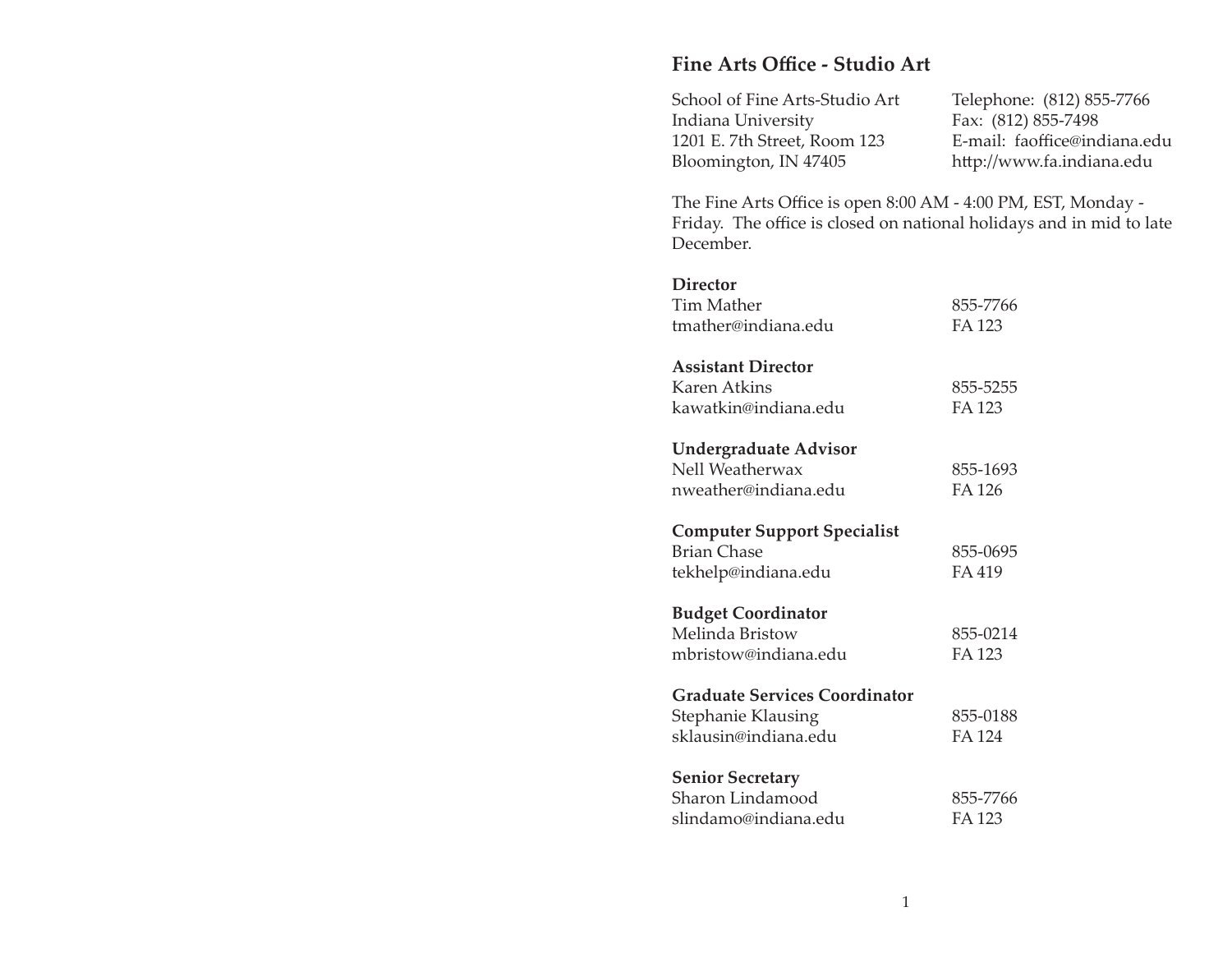# **Fine Arts Offi ce - Studio Art**

| School of Fine Arts-Studio Art | Telephone: (812) 855-7766    |
|--------------------------------|------------------------------|
| Indiana University             | Fax: (812) 855-7498          |
| 1201 E. 7th Street, Room 123   | E-mail: faoffice@indiana.edu |
| Bloomington, IN 47405          | http://www.fa.indiana.edu    |

The Fine Arts Office is open 8:00 AM - 4:00 PM, EST, Monday -Friday. The office is closed on national holidays and in mid to late December.

#### **Director**

| <b>Tim Mather</b><br>tmather@indiana.edu | 855-7766<br>FA 123 |
|------------------------------------------|--------------------|
| <b>Assistant Director</b>                |                    |
| Karen Atkins                             | 855-5255           |
| kawatkin@indiana.edu                     | <b>FA123</b>       |
| <b>Undergraduate Advisor</b>             |                    |
| Nell Weatherwax                          | 855-1693           |
| nweather@indiana.edu                     | FA 126             |
| <b>Computer Support Specialist</b>       |                    |
| <b>Brian Chase</b>                       | 855-0695           |
| tekhelp@indiana.edu                      | FA 419             |
| <b>Budget Coordinator</b>                |                    |
| Melinda Bristow                          | 855-0214           |
| mbristow@indiana.edu                     | FA 123             |
| <b>Graduate Services Coordinator</b>     |                    |
| Stephanie Klausing                       | 855-0188           |
| sklausin@indiana.edu                     | FA 124             |
| <b>Senior Secretary</b>                  |                    |
| Sharon Lindamood                         | 855-7766           |
| slindamo@indiana.edu                     | FA 123             |
|                                          |                    |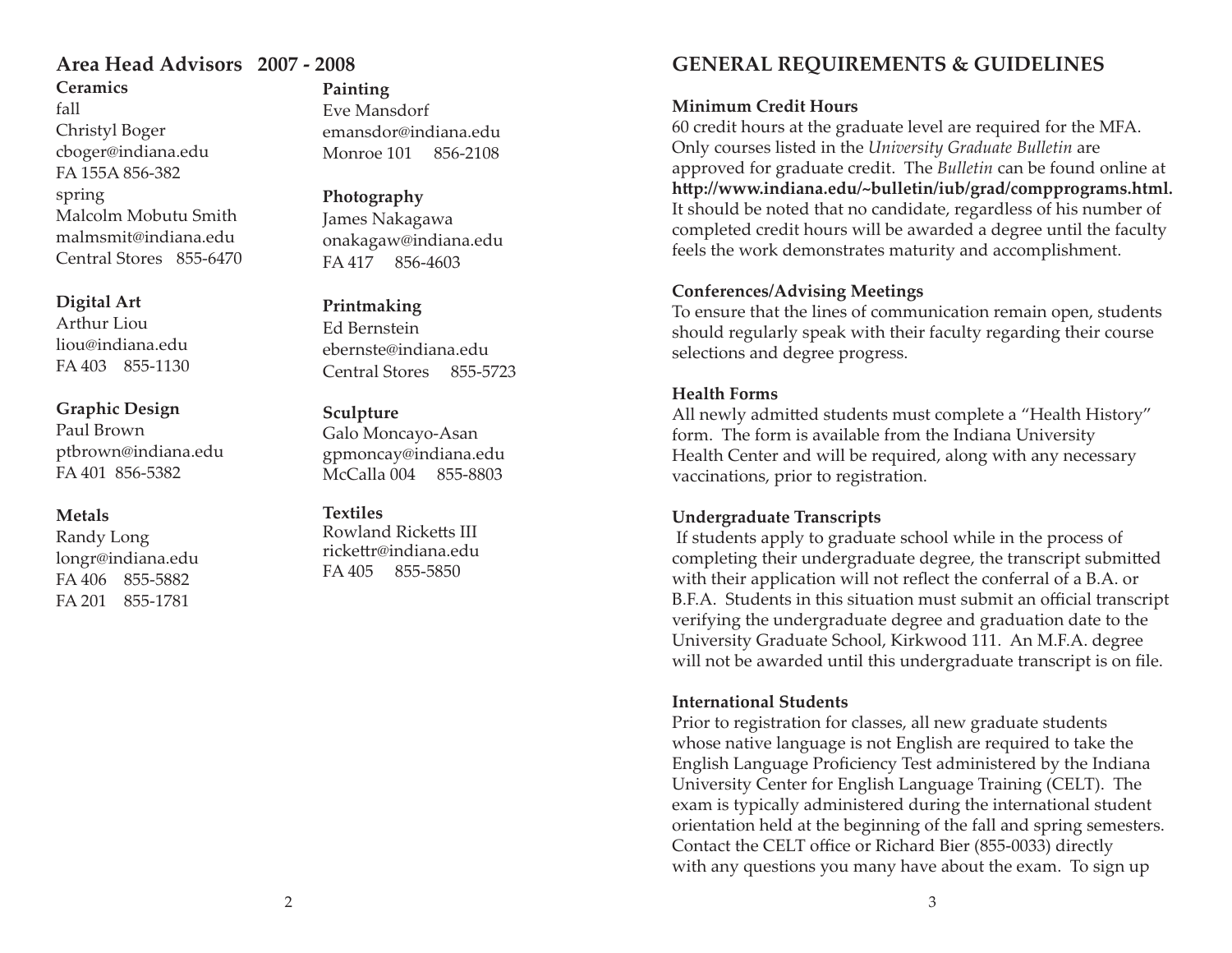## **Ceramics**fallChristyl Boger cboger@indiana.edu FA 155A 856-382spring Malcolm Mobutu Smith malmsmit@indiana.eduCentral Stores 855-6470

## **Digital Art**

Arthur Liouliou@indiana.eduFA 403 855-1130

#### **Graphic Design**

Paul Brownptbrown@indiana.edu FA 401 856-5382

# **Metals**

Randy Long longr@indiana.edu FA 406 855-5882FA 201 855-1781

# **Painting**

Eve Mansdorfemansdor@indiana.eduMonroe 101 856-2108

**Photography** James Nakagawa onakagaw@indiana.edu FA 417 856-4603

#### **Printmaking**

Ed Bernsteinebernste@indiana.eduCentral Stores 855-5723

#### **Sculpture**

Galo Moncayo-Asan gpmoncay@indiana.edu McCalla 004 855-8803

#### **Textiles**

Rowland Ricketts III rickettr@indiana.edu FA 405 855-5850

# **Area Head Advisors 2007 - 2008 GENERAL REQUIREMENTS & GUIDELINES**

# **Minimum Credit Hours**

60 credit hours at the graduate level are required for the MFA. Only courses listed in the *University Graduate Bulletin* are approved for graduate credit. The *Bulletin* can be found online at http://www.indiana.edu/~bulletin/iub/grad/compprograms.html. It should be noted that no candidate, regardless of his number of completed credit hours will be awarded a degree until the faculty feels the work demonstrates maturity and accomplishment.

# **Conferences/Advising Meetings**

To ensure that the lines of communication remain open, students should regularly speak with their faculty regarding their course selections and degree progress.

#### **Health Forms**

All newly admitted students must complete a "Health History" form. The form is available from the Indiana University Health Center and will be required, along with any necessary vaccinations, prior to registration.

# **Undergraduate Transcripts**

 If students apply to graduate school while in the process of completing their undergraduate degree, the transcript submitted with their application will not reflect the conferral of a B.A. or B.F.A. Students in this situation must submit an official transcript verifying the undergraduate degree and graduation date to the University Graduate School, Kirkwood 111. An M.F.A. degree will not be awarded until this undergraduate transcript is on file.

#### **International Students**

Prior to registration for classes, all new graduate students whose native language is not English are required to take the English Language Proficiency Test administered by the Indiana University Center for English Language Training (CELT). The exam is typically administered during the international student orientation held at the beginning of the fall and spring semesters. Contact the CELT office or Richard Bier (855-0033) directly with any questions you many have about the exam. To sign up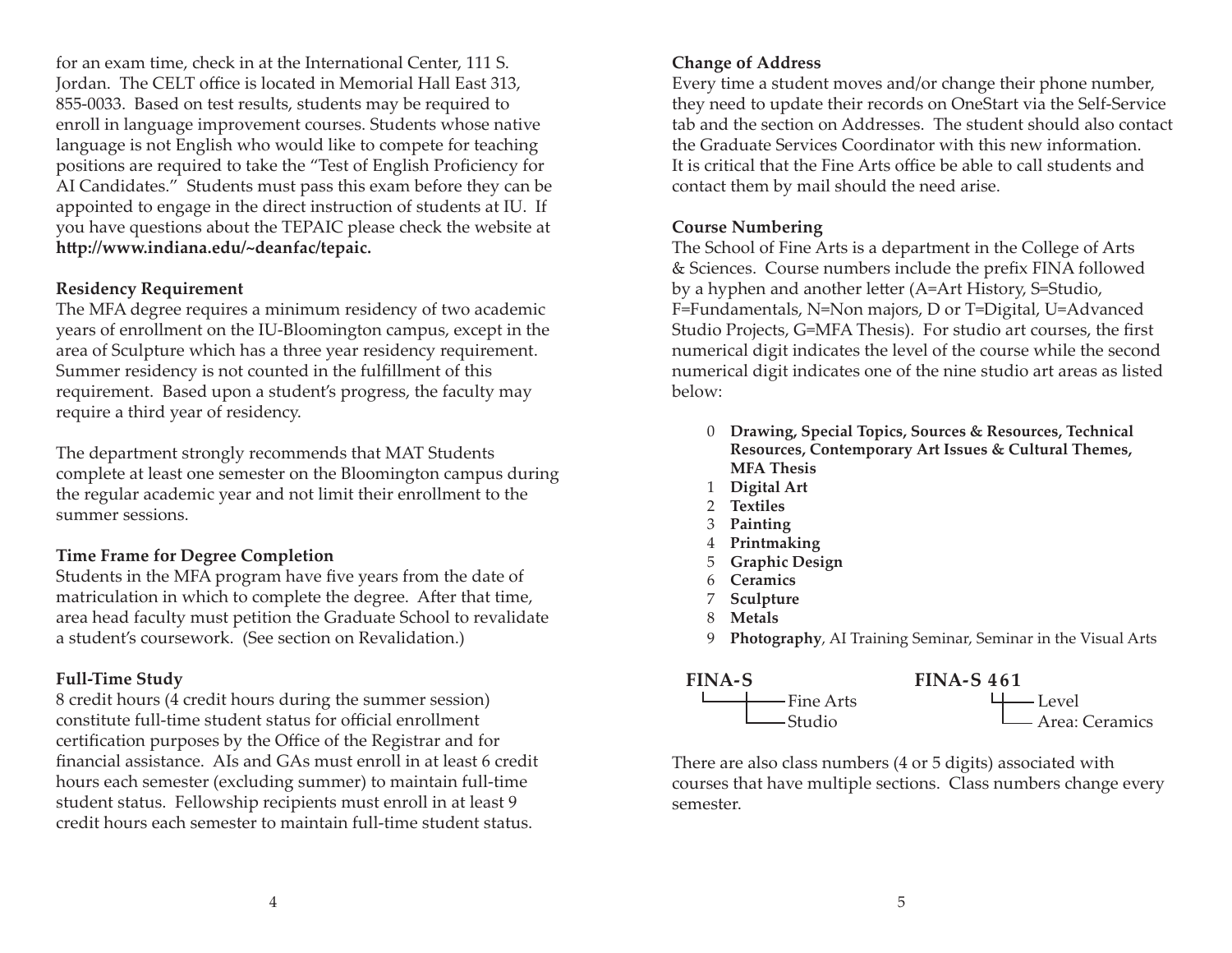for an exam time, check in at the International Center, 111 S. Jordan. The CELT office is located in Memorial Hall East 313, 855-0033. Based on test results, students may be required to enroll in language improvement courses. Students whose native language is not English who would like to compete for teaching positions are required to take the "Test of English Proficiency for AI Candidates." Students must pass this exam before they can be appointed to engage in the direct instruction of students at IU. If you have questions about the TEPAIC please check the website at **h p://www.indiana.edu/~deanfac/tepaic.**

#### **Residency Requirement**

The MFA degree requires a minimum residency of two academic years of enrollment on the IU-Bloomington campus, except in the area of Sculpture which has a three year residency requirement. Summer residency is not counted in the fulfillment of this requirement. Based upon a student's progress, the faculty may require a third year of residency.

The department strongly recommends that MAT Students complete at least one semester on the Bloomington campus during the regular academic year and not limit their enrollment to the summer sessions.

# **Time Frame for Degree Completion**

Students in the MFA program have five years from the date of matriculation in which to complete the degree. After that time, area head faculty must petition the Graduate School to revalidate a student's coursework. (See section on Revalidation.)

# **Full-Time Study**

8 credit hours (4 credit hours during the summer session) constitute full-time student status for official enrollment certification purposes by the Office of the Registrar and for financial assistance. AIs and GAs must enroll in at least 6 credit hours each semester (excluding summer) to maintain full-time student status. Fellowship recipients must enroll in at least 9 credit hours each semester to maintain full-time student status.

# **Change of Address**

Every time a student moves and/or change their phone number, they need to update their records on OneStart via the Self-Service tab and the section on Addresses. The student should also contact the Graduate Services Coordinator with this new information. It is critical that the Fine Arts office be able to call students and contact them by mail should the need arise.

# **Course Numbering**

The School of Fine Arts is a department in the College of Arts & Sciences. Course numbers include the prefix FINA followed by a hyphen and another letter (A=Art History, S=Studio, F=Fundamentals, N=Non majors, D or T=Digital, U=Advanced Studio Projects, G=MFA Thesis). For studio art courses, the first numerical digit indicates the level of the course while the second numerical digit indicates one of the nine studio art areas as listed below:

- 0 **Drawing, Special Topics, Sources & Resources, Technical Resources, Contemporary Art Issues & Cultural Themes, MFA Thesis**
- <sup>1</sup>**Digital Art**
- 2 **Textiles**
- 3 **Painting**
- <sup>4</sup>**Printmaking**
- <sup>5</sup>**Graphic Design**
- 6 **Ceramics**
- <sup>7</sup>**Sculpture**
- 8 **Metals**
- 9 **Photography**, AI Training Seminar, Seminar in the Visual Arts



There are also class numbers (4 or 5 digits) associated with courses that have multiple sections. Class numbers change every semester.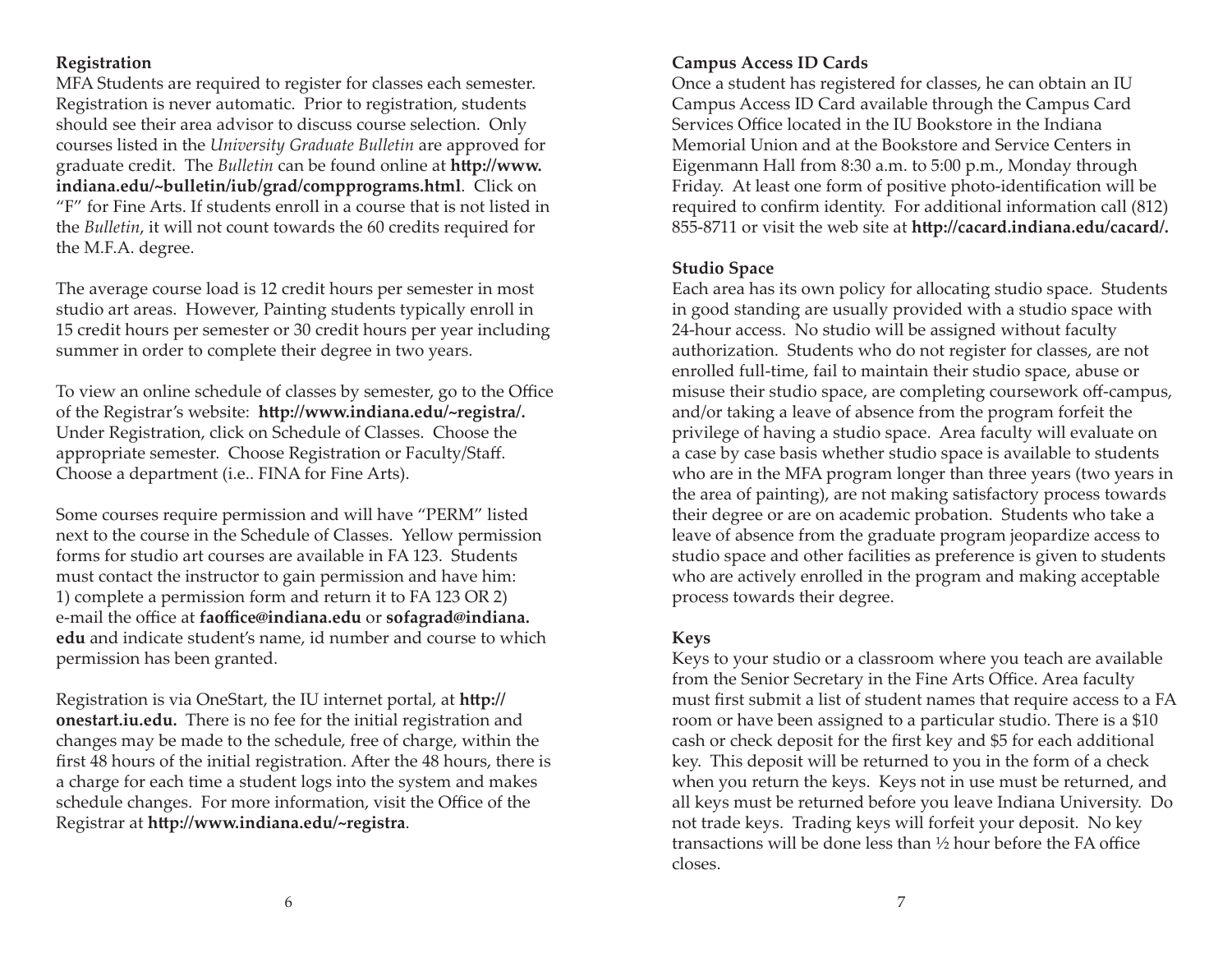## **Registration**

MFA Students are required to register for classes each semester. Registration is never automatic. Prior to registration, students should see their area advisor to discuss course selection. Only courses listed in the *University Graduate Bulletin* are approved for graduate credit. The *Bulletin* can be found online at **http://www. indiana.edu/~bulletin/iub/grad/compprograms.html**. Click on "F" for Fine Arts. If students enroll in a course that is not listed in the *Bulletin*, it will not count towards the 60 credits required for the M.F.A. degree.

The average course load is 12 credit hours per semester in most studio art areas. However, Painting students typically enroll in 15 credit hours per semester or 30 credit hours per year including summer in order to complete their degree in two years.

To view an online schedule of classes by semester, go to the Office of the Registrar's website: http://www.indiana.edu/~registra/. Under Registration, click on Schedule of Classes. Choose the appropriate semester. Choose Registration or Faculty/Staff . Choose a department (i.e.. FINA for Fine Arts).

Some courses require permission and will have "PERM" listed next to the course in the Schedule of Classes. Yellow permission forms for studio art courses are available in FA 123. Students must contact the instructor to gain permission and have him: 1) complete a permission form and return it to FA 123 OR 2) e-mail the office at **faoffice@indiana.edu** or **sofagrad@indiana. edu** and indicate student's name, id number and course to which permission has been granted.

Registration is via OneStart, the IU internet portal, at **http:// onestart.iu.edu.** There is no fee for the initial registration and changes may be made to the schedule, free of charge, within the first 48 hours of the initial registration. After the 48 hours, there is a charge for each time a student logs into the system and makes schedule changes. For more information, visit the Office of the Registrar at http://www.indiana.edu/~registra.

# **Campus Access ID Cards**

Once a student has registered for classes, he can obtain an IU Campus Access ID Card available through the Campus Card Services Office located in the IU Bookstore in the Indiana Memorial Union and at the Bookstore and Service Centers in Eigenmann Hall from 8:30 a.m. to 5:00 p.m., Monday through Friday. At least one form of positive photo-identification will be required to confirm identity. For additional information call (812) 855-8711 or visit the web site at **http://cacard.indiana.edu/cacard/.** 

#### **Studio Space**

Each area has its own policy for allocating studio space. Students in good standing are usually provided with a studio space with 24-hour access. No studio will be assigned without faculty authorization. Students who do not register for classes, are not enrolled full-time, fail to maintain their studio space, abuse or misuse their studio space, are completing coursework off -campus, and/or taking a leave of absence from the program forfeit the privilege of having a studio space. Area faculty will evaluate on a case by case basis whether studio space is available to students who are in the MFA program longer than three years (two years in the area of painting), are not making satisfactory process towards their degree or are on academic probation. Students who take a leave of absence from the graduate program jeopardize access to studio space and other facilities as preference is given to students who are actively enrolled in the program and making acceptable process towards their degree.

#### **Keys**

Keys to your studio or a classroom where you teach are available from the Senior Secretary in the Fine Arts Office. Area faculty must first submit a list of student names that require access to a FA room or have been assigned to a particular studio. There is a \$10 cash or check deposit for the first key and \$5 for each additional key. This deposit will be returned to you in the form of a check when you return the keys. Keys not in use must be returned, and all keys must be returned before you leave Indiana University. Do not trade keys. Trading keys will forfeit your deposit. No key transactions will be done less than  $\frac{1}{2}$  hour before the FA office closes.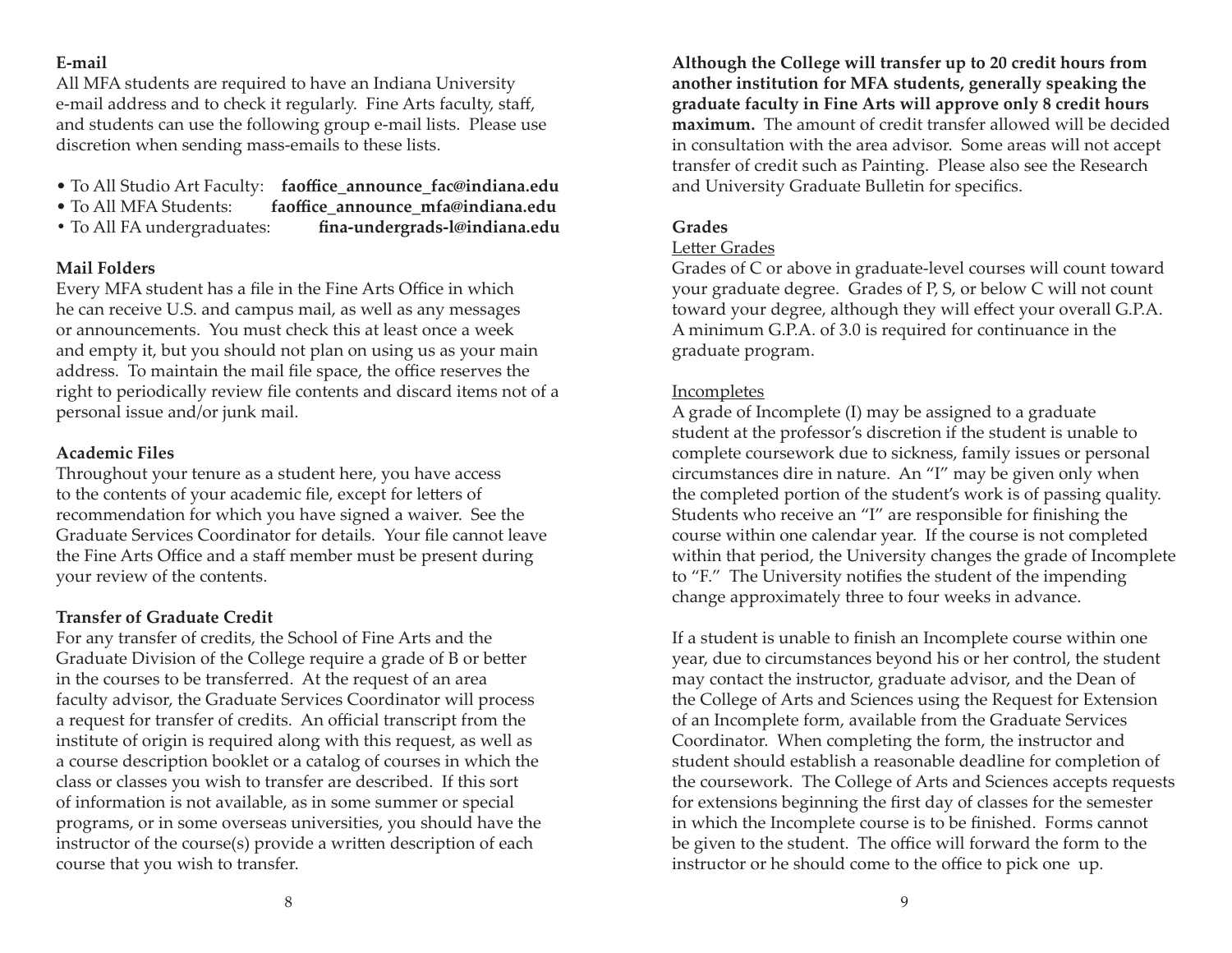# **E-mail**

All MFA students are required to have an Indiana University e-mail address and to check it regularly. Fine Arts faculty, staff, and students can use the following group e-mail lists. Please use discretion when sending mass-emails to these lists.

- To All Studio Art Faculty: faoffice announce fac@indiana.edu
- To All MFA Students: faoffice announce mfa@indiana.edu
- To All FA undergraduates: **fi na-undergrads-l@indiana.edu**

# **Mail Folders**

Every MFA student has a file in the Fine Arts Office in which he can receive U.S. and campus mail, as well as any messages or announcements. You must check this at least once a week and empty it, but you should not plan on using us as your main address. To maintain the mail file space, the office reserves the right to periodically review file contents and discard items not of a personal issue and/or junk mail.

# **Academic Files**

Throughout your tenure as a student here, you have access to the contents of your academic file, except for letters of recommendation for which you have signed a waiver. See the Graduate Services Coordinator for details. Your file cannot leave the Fine Arts Office and a staff member must be present during your review of the contents.

# **Transfer of Graduate Credit**

For any transfer of credits, the School of Fine Arts and the Graduate Division of the College require a grade of B or better in the courses to be transferred. At the request of an area faculty advisor, the Graduate Services Coordinator will process a request for transfer of credits. An official transcript from the institute of origin is required along with this request, as well as a course description booklet or a catalog of courses in which the class or classes you wish to transfer are described. If this sort of information is not available, as in some summer or special programs, or in some overseas universities, you should have the instructor of the course(s) provide a written description of each course that you wish to transfer.

**Although the College will transfer up to 20 credit hours from another institution for MFA students, generally speaking the graduate faculty in Fine Arts will approve only 8 credit hours maximum.** The amount of credit transfer allowed will be decided in consultation with the area advisor. Some areas will not accept transfer of credit such as Painting. Please also see the Research and University Graduate Bulletin for specifics.

# **Grades**

## Letter Grades

Grades of C or above in graduate-level courses will count toward your graduate degree. Grades of P, S, or below C will not count toward your degree, although they will effect your overall G.P.A. A minimum G.P.A. of 3.0 is required for continuance in the graduate program.

# Incompletes

A grade of Incomplete (I) may be assigned to a graduate student at the professor's discretion if the student is unable to complete coursework due to sickness, family issues or personal circumstances dire in nature. An "I" may be given only when the completed portion of the student's work is of passing quality. Students who receive an "I" are responsible for finishing the course within one calendar year. If the course is not completed within that period, the University changes the grade of Incomplete to "F." The University notifies the student of the impending change approximately three to four weeks in advance.

If a student is unable to finish an Incomplete course within one year, due to circumstances beyond his or her control, the student may contact the instructor, graduate advisor, and the Dean of the College of Arts and Sciences using the Request for Extension of an Incomplete form, available from the Graduate Services Coordinator. When completing the form, the instructor and student should establish a reasonable deadline for completion of the coursework. The College of Arts and Sciences accepts requests for extensions beginning the first day of classes for the semester in which the Incomplete course is to be finished. Forms cannot be given to the student. The office will forward the form to the instructor or he should come to the office to pick one up.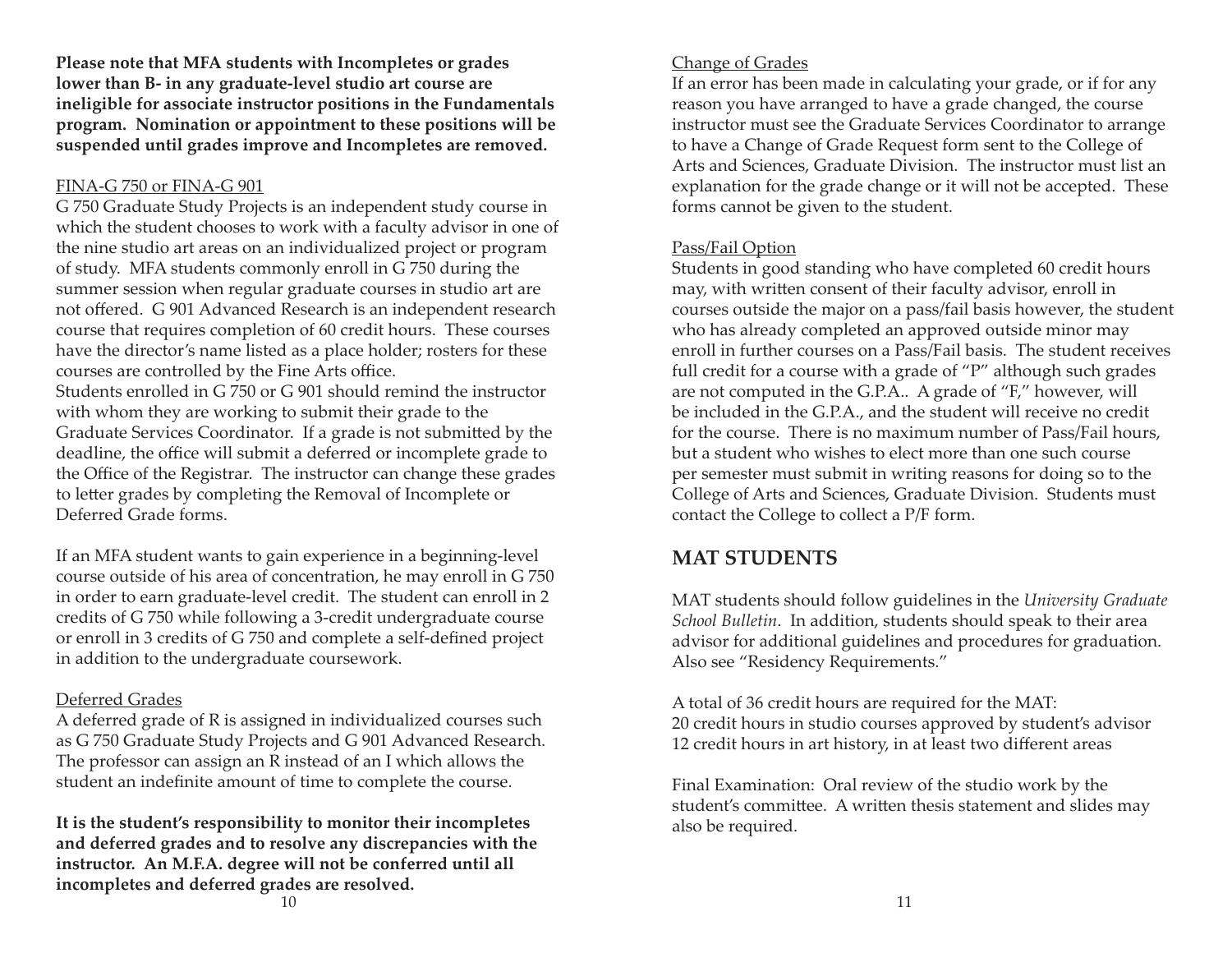**Please note that MFA students with Incompletes or grades lower than B- in any graduate-level studio art course are ineligible for associate instructor positions in the Fundamentals program. Nomination or appointment to these positions will be suspended until grades improve and Incompletes are removed.**

#### FINA-G 750 or FINA-G 901

G 750 Graduate Study Projects is an independent study course in which the student chooses to work with a faculty advisor in one of the nine studio art areas on an individualized project or program of study. MFA students commonly enroll in G 750 during the summer session when regular graduate courses in studio art are not offered. G 901 Advanced Research is an independent research course that requires completion of 60 credit hours. These courses have the director's name listed as a place holder; rosters for these courses are controlled by the Fine Arts office.

Students enrolled in G 750 or G 901 should remind the instructor with whom they are working to submit their grade to the Graduate Services Coordinator. If a grade is not submitted by the deadline, the office will submit a deferred or incomplete grade to the Office of the Registrar. The instructor can change these grades to letter grades by completing the Removal of Incomplete or Deferred Grade forms.

If an MFA student wants to gain experience in a beginning-level course outside of his area of concentration, he may enroll in G 750 in order to earn graduate-level credit. The student can enroll in 2 credits of G 750 while following a 3-credit undergraduate course or enroll in 3 credits of G 750 and complete a self-defined project in addition to the undergraduate coursework.

#### Deferred Grades

A deferred grade of R is assigned in individualized courses such as G 750 Graduate Study Projects and G 901 Advanced Research. The professor can assign an R instead of an I which allows the student an indefinite amount of time to complete the course.

**It is the student's responsibility to monitor their incompletes and deferred grades and to resolve any discrepancies with the instructor. An M.F.A. degree will not be conferred until all incompletes and deferred grades are resolved.**

If an error has been made in calculating your grade, or if for any reason you have arranged to have a grade changed, the course instructor must see the Graduate Services Coordinator to arrange to have a Change of Grade Request form sent to the College of Arts and Sciences, Graduate Division. The instructor must list an explanation for the grade change or it will not be accepted. These forms cannot be given to the student.

## Pass/Fail Option

Students in good standing who have completed 60 credit hours may, with written consent of their faculty advisor, enroll in courses outside the major on a pass/fail basis however, the student who has already completed an approved outside minor may enroll in further courses on a Pass/Fail basis. The student receives full credit for a course with a grade of "P" although such grades are not computed in the G.P.A.. A grade of "F," however, will be included in the G.P.A., and the student will receive no credit for the course. There is no maximum number of Pass/Fail hours, but a student who wishes to elect more than one such course per semester must submit in writing reasons for doing so to the College of Arts and Sciences, Graduate Division. Students must contact the College to collect a P/F form.

# **MAT STUDENTS**

MAT students should follow guidelines in the *University Graduate School Bulletin*. In addition, students should speak to their area advisor for additional guidelines and procedures for graduation. Also see "Residency Requirements."

A total of 36 credit hours are required for the MAT: 20 credit hours in studio courses approved by student's advisor 12 credit hours in art history, in at least two different areas

Final Examination: Oral review of the studio work by the student's committee. A written thesis statement and slides may also be required.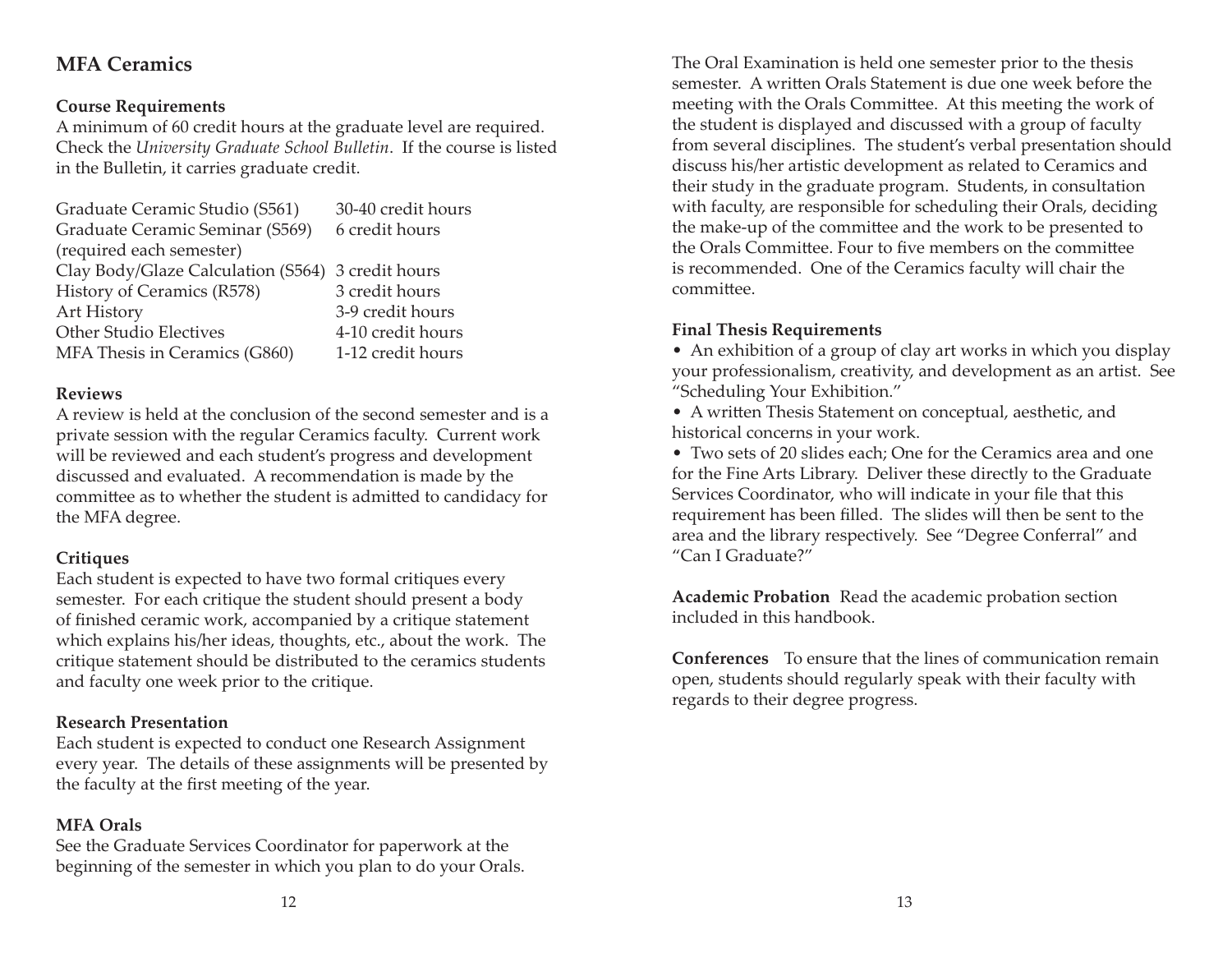# **MFA Ceramics**

# **Course Requirements**

A minimum of 60 credit hours at the graduate level are required. Check the *University Graduate School Bulletin*. If the course is listed in the Bulletin, it carries graduate credit.

| Graduate Ceramic Studio (S561)                    | 30-40 credit hours |
|---------------------------------------------------|--------------------|
| Graduate Ceramic Seminar (S569)                   | 6 credit hours     |
| (required each semester)                          |                    |
| Clay Body/Glaze Calculation (S564) 3 credit hours |                    |
| History of Ceramics (R578)                        | 3 credit hours     |
| Art History                                       | 3-9 credit hours   |
| <b>Other Studio Electives</b>                     | 4-10 credit hours  |
| MFA Thesis in Ceramics (G860)                     | 1-12 credit hours  |

#### **Reviews**

A review is held at the conclusion of the second semester and is a private session with the regular Ceramics faculty. Current work will be reviewed and each student's progress and development discussed and evaluated. A recommendation is made by the committee as to whether the student is admitted to candidacy for the MFA degree.

# **Critiques**

Each student is expected to have two formal critiques every semester. For each critique the student should present a body of finished ceramic work, accompanied by a critique statement which explains his/her ideas, thoughts, etc., about the work. The critique statement should be distributed to the ceramics students and faculty one week prior to the critique.

# **Research Presentation**

Each student is expected to conduct one Research Assignment every year. The details of these assignments will be presented by the faculty at the first meeting of the year.

# **MFA Orals**

See the Graduate Services Coordinator for paperwork at the beginning of the semester in which you plan to do your Orals.

The Oral Examination is held one semester prior to the thesis semester. A written Orals Statement is due one week before the meeting with the Orals Committee. At this meeting the work of the student is displayed and discussed with a group of faculty from several disciplines. The student's verbal presentation should discuss his/her artistic development as related to Ceramics and their study in the graduate program. Students, in consultation with faculty, are responsible for scheduling their Orals, deciding the make-up of the committee and the work to be presented to the Orals Committee. Four to five members on the committee is recommended. One of the Ceramics faculty will chair the committee

# **Final Thesis Requirements**

• An exhibition of a group of clay art works in which you display your professionalism, creativity, and development as an artist. See "Scheduling Your Exhibition."

• A written Thesis Statement on conceptual, aesthetic, and historical concerns in your work.

• Two sets of 20 slides each; One for the Ceramics area and one for the Fine Arts Library. Deliver these directly to the Graduate Services Coordinator, who will indicate in your file that this requirement has been filled. The slides will then be sent to the area and the library respectively. See "Degree Conferral" and "Can I Graduate?"

**Academic Probation** Read the academic probation section included in this handbook.

**Conferences** To ensure that the lines of communication remain open, students should regularly speak with their faculty with regards to their degree progress.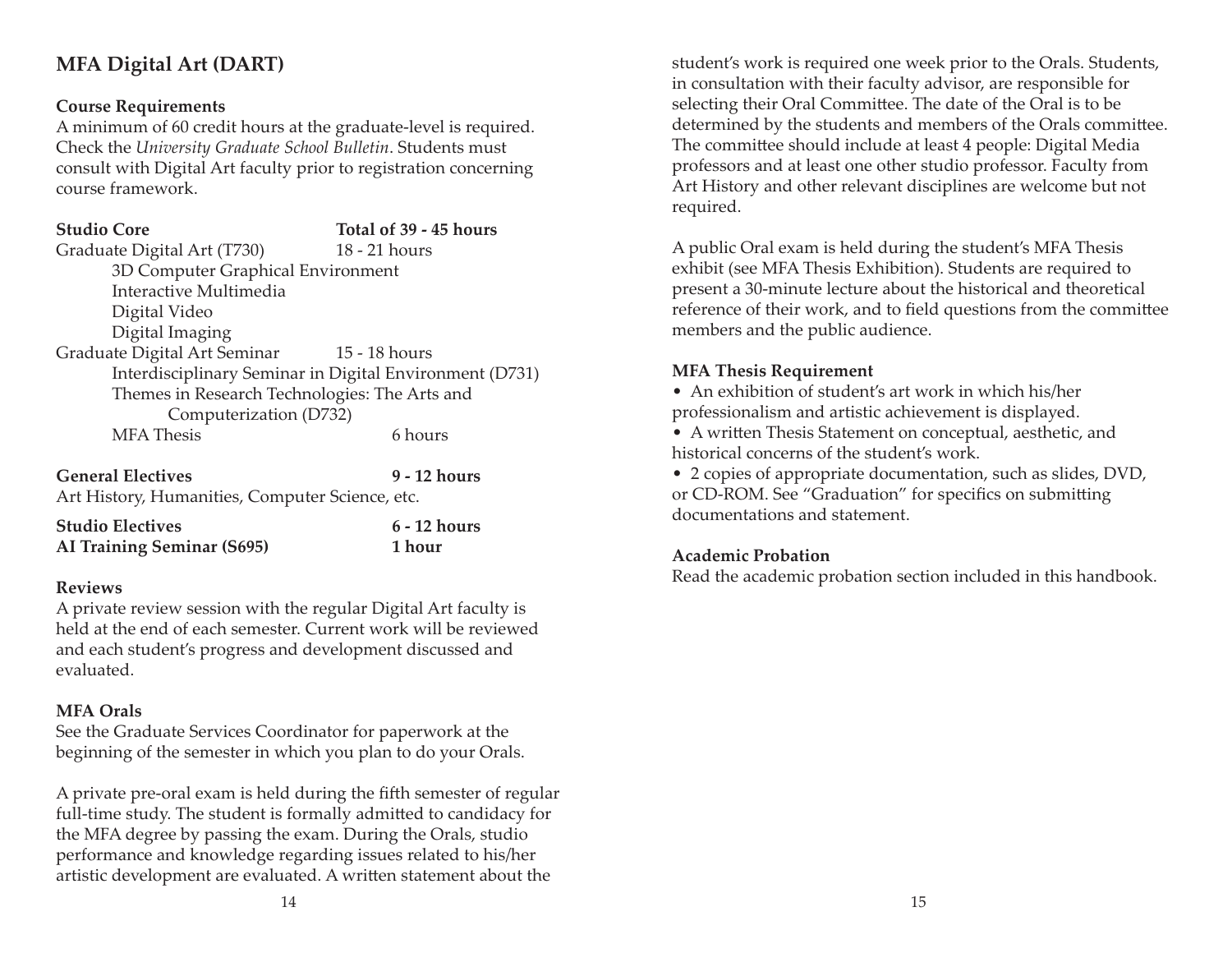# **MFA Digital Art (DART)**

#### **Course Requirements**

A minimum of 60 credit hours at the graduate-level is required. Check the *University Graduate School Bulletin*. Students must consult with Digital Art faculty prior to registration concerning course framework.

# **Studio Core Total of 39 - 45 hours**

Graduate Digital Art (T730) 18 - 21 hours 3D Computer Graphical Environment Interactive Multimedia Digital Video Digital Imaging Graduate Digital Art Seminar 15 - 18 hours Interdisciplinary Seminar in Digital Environment (D731) Themes in Research Technologies: The Arts and Computerization (D732) MFA Thesis 6 hours

**General Electives 9 - 12 hours**Art History, Humanities, Computer Science, etc.

| <b>Studio Electives</b>           | 6 - 12 hours |
|-----------------------------------|--------------|
| <b>AI Training Seminar (S695)</b> | 1 hour       |

#### **Reviews**

A private review session with the regular Digital Art faculty is held at the end of each semester. Current work will be reviewed and each student's progress and development discussed and evaluated.

#### **MFA Orals**

See the Graduate Services Coordinator for paperwork at the beginning of the semester in which you plan to do your Orals.

A private pre-oral exam is held during the fifth semester of regular full-time study. The student is formally admitted to candidacy for the MFA degree by passing the exam. During the Orals, studio performance and knowledge regarding issues related to his/her artistic development are evaluated. A written statement about the

student's work is required one week prior to the Orals. Students, in consultation with their faculty advisor, are responsible for selecting their Oral Committee. The date of the Oral is to be determined by the students and members of the Orals committee. The committee should include at least 4 people: Digital Media professors and at least one other studio professor. Faculty from Art History and other relevant disciplines are welcome but not required.

A public Oral exam is held during the student's MFA Thesis exhibit (see MFA Thesis Exhibition). Students are required to present a 30-minute lecture about the historical and theoretical reference of their work, and to field questions from the committee members and the public audience.

#### **MFA Thesis Requirement**

• An exhibition of student's art work in which his/her professionalism and artistic achievement is displayed.

• A written Thesis Statement on conceptual, aesthetic, and historical concerns of the student's work.

• 2 copies of appropriate documentation, such as slides, DVD, or CD-ROM. See "Graduation" for specifics on submitting documentations and statement.

#### **Academic Probation**

Read the academic probation section included in this handbook.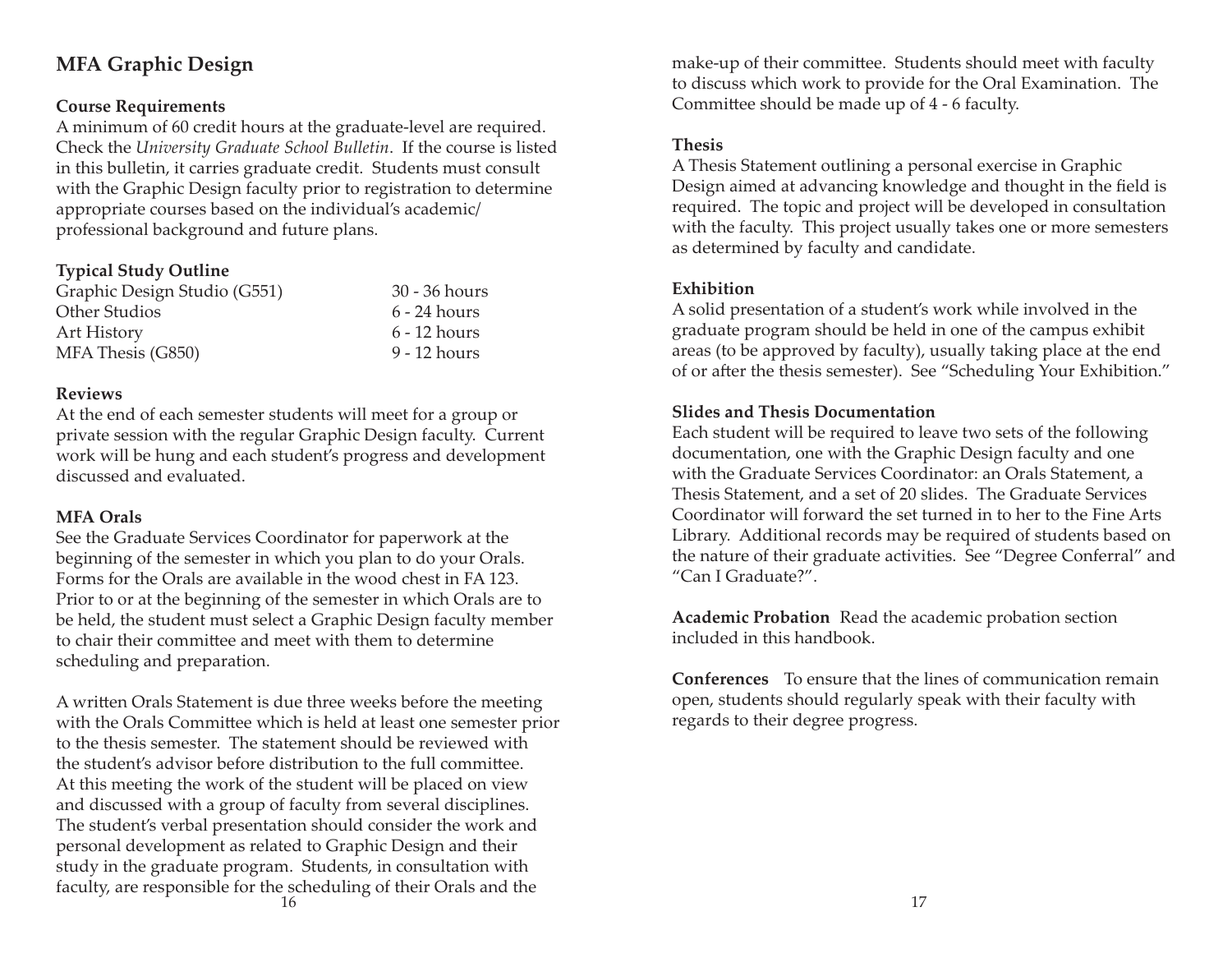# **MFA Graphic Design**

## **Course Requirements**

A minimum of 60 credit hours at the graduate-level are required. Check the *University Graduate School Bulletin*. If the course is listed in this bulletin, it carries graduate credit. Students must consult with the Graphic Design faculty prior to registration to determine appropriate courses based on the individual's academic/ professional background and future plans.

## **Typical Study Outline**

| 30 - 36 hours  |
|----------------|
| $6 - 24$ hours |
| $6 - 12$ hours |
| 9 - 12 hours   |
|                |

#### **Reviews**

At the end of each semester students will meet for a group or private session with the regular Graphic Design faculty. Current work will be hung and each student's progress and development discussed and evaluated.

#### **MFA Orals**

See the Graduate Services Coordinator for paperwork at the beginning of the semester in which you plan to do your Orals. Forms for the Orals are available in the wood chest in FA 123. Prior to or at the beginning of the semester in which Orals are to be held, the student must select a Graphic Design faculty member to chair their committee and meet with them to determine scheduling and preparation.

A written Orals Statement is due three weeks before the meeting with the Orals Committee which is held at least one semester prior to the thesis semester. The statement should be reviewed with the student's advisor before distribution to the full committee. At this meeting the work of the student will be placed on view and discussed with a group of faculty from several disciplines. The student's verbal presentation should consider the work and personal development as related to Graphic Design and their study in the graduate program. Students, in consultation with faculty, are responsible for the scheduling of their Orals and the  $\sim$  17

make-up of their committee. Students should meet with faculty to discuss which work to provide for the Oral Examination. The Committee should be made up of 4 - 6 faculty.

#### **Thesis**

A Thesis Statement outlining a personal exercise in Graphic Design aimed at advancing knowledge and thought in the field is required. The topic and project will be developed in consultation with the faculty. This project usually takes one or more semesters as determined by faculty and candidate.

#### **Exhibition**

A solid presentation of a student's work while involved in the graduate program should be held in one of the campus exhibit areas (to be approved by faculty), usually taking place at the end of or after the thesis semester). See "Scheduling Your Exhibition."

#### **Slides and Thesis Documentation**

Each student will be required to leave two sets of the following documentation, one with the Graphic Design faculty and one with the Graduate Services Coordinator: an Orals Statement, a Thesis Statement, and a set of 20 slides. The Graduate Services Coordinator will forward the set turned in to her to the Fine Arts Library. Additional records may be required of students based on the nature of their graduate activities. See "Degree Conferral" and "Can I Graduate?".

**Academic Probation** Read the academic probation section included in this handbook.

**Conferences** To ensure that the lines of communication remain open, students should regularly speak with their faculty with regards to their degree progress.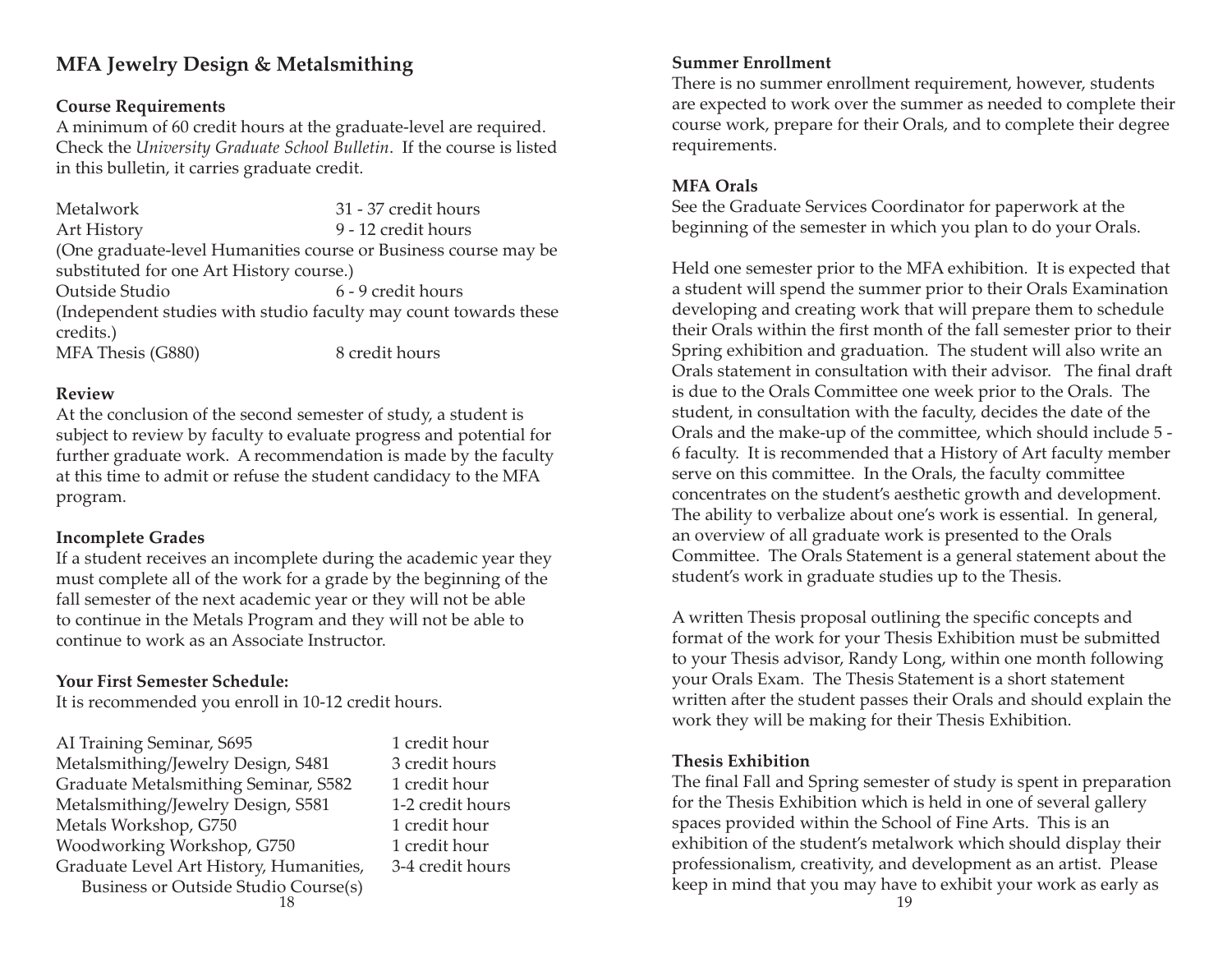# **MFA Jewelry Design & Metalsmithing**

#### **Course Requirements**

A minimum of 60 credit hours at the graduate-level are required. Check the *University Graduate School Bulletin*. If the course is listed in this bulletin, it carries graduate credit.

Metalwork 31 - 37 credit hoursArt History 9 - 12 credit hours (One graduate-level Humanities course or Business course may be substituted for one Art History course.) Outside Studio 6 - 9 credit hours(Independent studies with studio faculty may count towards these credits.) MFA Thesis (G880) 8 credit hours

#### **Review**

At the conclusion of the second semester of study, a student is subject to review by faculty to evaluate progress and potential for further graduate work. A recommendation is made by the faculty at this time to admit or refuse the student candidacy to the MFA program.

#### **Incomplete Grades**

If a student receives an incomplete during the academic year they must complete all of the work for a grade by the beginning of the fall semester of the next academic year or they will not be able to continue in the Metals Program and they will not be able to continue to work as an Associate Instructor.

#### **Your First Semester Schedule:**

It is recommended you enroll in 10-12 credit hours.

| AI Training Seminar, S695               | 1 credit hour    |                                   |
|-----------------------------------------|------------------|-----------------------------------|
| Metalsmithing/Jewelry Design, S481      | 3 credit hours   | <b>Thesis Exhibition</b>          |
| Graduate Metalsmithing Seminar, S582    | 1 credit hour    | The final Fall and Spring semes   |
| Metalsmithing/Jewelry Design, S581      | 1-2 credit hours | for the Thesis Exhibition which   |
| Metals Workshop, G750                   | 1 credit hour    | spaces provided within the Scho   |
| Woodworking Workshop, G750              | 1 credit hour    | exhibition of the student's metal |
| Graduate Level Art History, Humanities, | 3-4 credit hours | professionalism, creativity, and  |
| Business or Outside Studio Course(s)    |                  | keep in mind that you may have    |
|                                         |                  | 19                                |

**Summer Enrollment**

There is no summer enrollment requirement, however, students are expected to work over the summer as needed to complete their course work, prepare for their Orals, and to complete their degree requirements.

#### **MFA Orals**

See the Graduate Services Coordinator for paperwork at the beginning of the semester in which you plan to do your Orals.

Held one semester prior to the MFA exhibition. It is expected that a student will spend the summer prior to their Orals Examination developing and creating work that will prepare them to schedule their Orals within the first month of the fall semester prior to their Spring exhibition and graduation. The student will also write an Orals statement in consultation with their advisor. The final draft is due to the Orals Committee one week prior to the Orals. The student, in consultation with the faculty, decides the date of the Orals and the make-up of the committee, which should include 5 -6 faculty. It is recommended that a History of Art faculty member serve on this committee. In the Orals, the faculty committee concentrates on the student's aesthetic growth and development. The ability to verbalize about one's work is essential. In general, an overview of all graduate work is presented to the Orals Committee. The Orals Statement is a general statement about the student's work in graduate studies up to the Thesis.

A written Thesis proposal outlining the specific concepts and format of the work for your Thesis Exhibition must be submitted to your Thesis advisor, Randy Long, within one month following your Orals Exam. The Thesis Statement is a short statement written after the student passes their Orals and should explain the work they will be making for their Thesis Exhibition.

#### **Thesis Exhibition**

The final Fall and Spring semester of study is spent in preparation for the Thesis Exhibition which is held in one of several gallery spaces provided within the School of Fine Arts. This is an exhibition of the student's metalwork which should display their professionalism, creativity, and development as an artist. Please keep in mind that you may have to exhibit your work as early as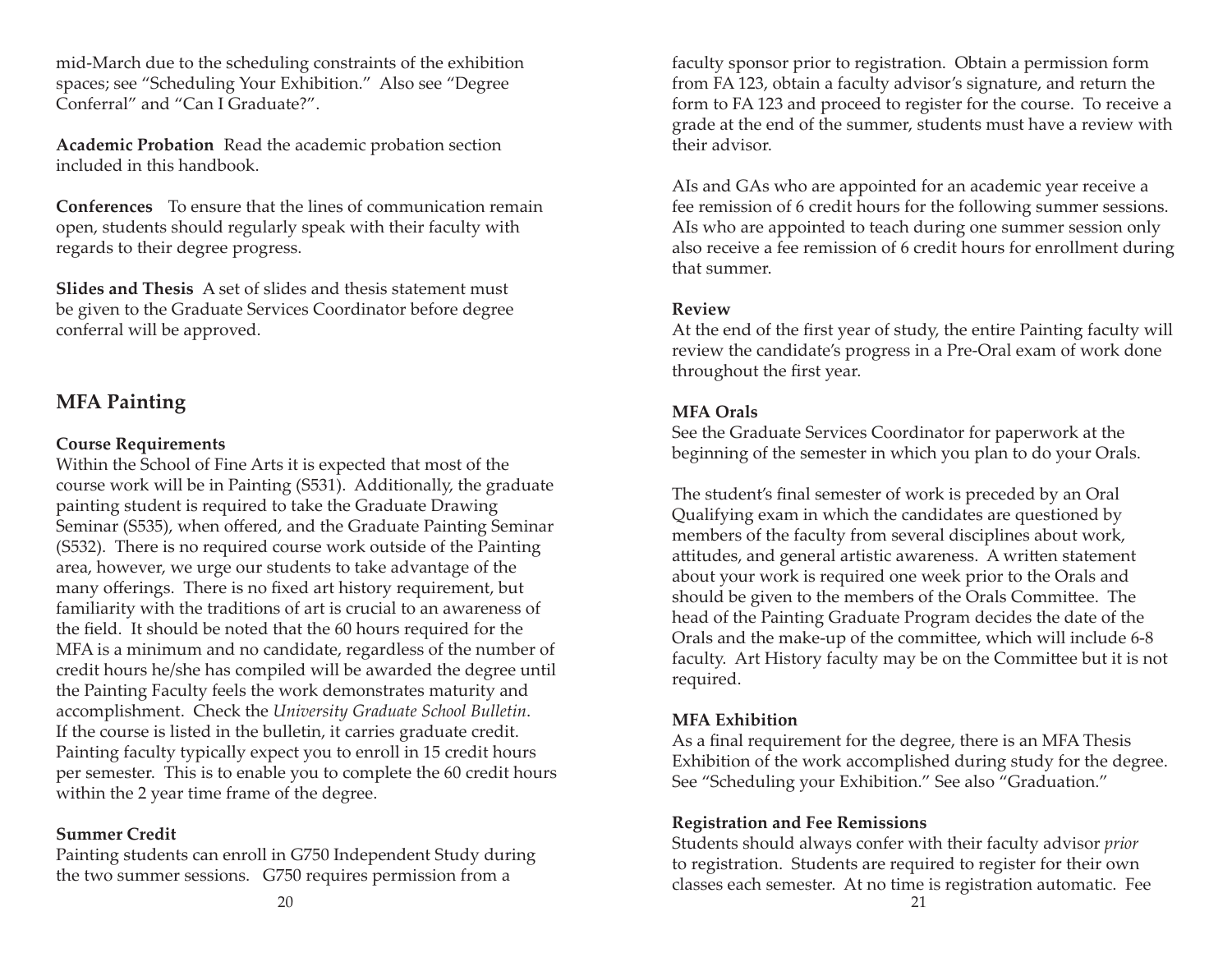mid-March due to the scheduling constraints of the exhibition spaces; see "Scheduling Your Exhibition." Also see "Degree Conferral" and "Can I Graduate?".

**Academic Probation** Read the academic probation section included in this handbook.

**Conferences** To ensure that the lines of communication remain open, students should regularly speak with their faculty with regards to their degree progress.

**Slides and Thesis** A set of slides and thesis statement must be given to the Graduate Services Coordinator before degree conferral will be approved.

# **MFA Painting**

#### **Course Requirements**

Within the School of Fine Arts it is expected that most of the course work will be in Painting (S531). Additionally, the graduate painting student is required to take the Graduate Drawing Seminar (S535), when offered, and the Graduate Painting Seminar (S532). There is no required course work outside of the Painting area, however, we urge our students to take advantage of the many offerings. There is no fixed art history requirement, but familiarity with the traditions of art is crucial to an awareness of the field. It should be noted that the 60 hours required for the MFA is a minimum and no candidate, regardless of the number of credit hours he/she has compiled will be awarded the degree until the Painting Faculty feels the work demonstrates maturity and accomplishment. Check the *University Graduate School Bulletin*. If the course is listed in the bulletin, it carries graduate credit. Painting faculty typically expect you to enroll in 15 credit hours per semester. This is to enable you to complete the 60 credit hours within the 2 year time frame of the degree.

# **Summer Credit**

Painting students can enroll in G750 Independent Study during the two summer sessions. G750 requires permission from a

faculty sponsor prior to registration. Obtain a permission form from FA 123, obtain a faculty advisor's signature, and return the form to FA 123 and proceed to register for the course. To receive a grade at the end of the summer, students must have a review with their advisor.

AIs and GAs who are appointed for an academic year receive a fee remission of 6 credit hours for the following summer sessions. AIs who are appointed to teach during one summer session only also receive a fee remission of 6 credit hours for enrollment during that summer.

#### **Review**

At the end of the first year of study, the entire Painting faculty will review the candidate's progress in a Pre-Oral exam of work done throughout the first year.

# **MFA Orals**

See the Graduate Services Coordinator for paperwork at the beginning of the semester in which you plan to do your Orals.

The student's final semester of work is preceded by an Oral Qualifying exam in which the candidates are questioned by members of the faculty from several disciplines about work, attitudes, and general artistic awareness. A written statement about your work is required one week prior to the Orals and should be given to the members of the Orals Committee. The head of the Painting Graduate Program decides the date of the Orals and the make-up of the committee, which will include 6-8 faculty. Art History faculty may be on the Committee but it is not required.

# **MFA Exhibition**

As a final requirement for the degree, there is an MFA Thesis Exhibition of the work accomplished during study for the degree. See "Scheduling your Exhibition." See also "Graduation."

# **Registration and Fee Remissions**

Students should always confer with their faculty advisor *prior* to registration. Students are required to register for their own classes each semester. At no time is registration automatic. Fee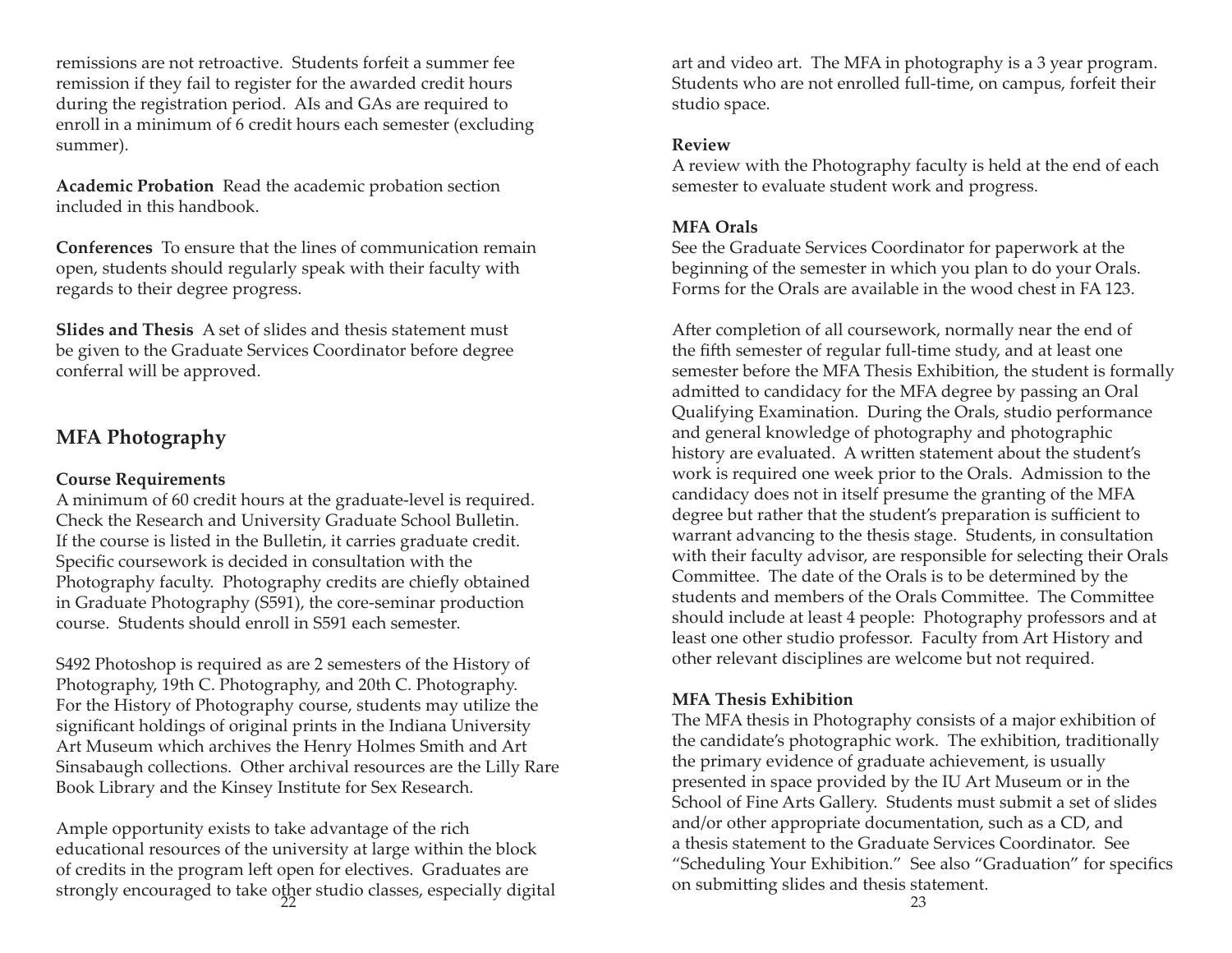remissions are not retroactive. Students forfeit a summer fee remission if they fail to register for the awarded credit hours during the registration period. AIs and GAs are required to enroll in a minimum of 6 credit hours each semester (excluding summer).

**Academic Probation** Read the academic probation section included in this handbook.

**Conferences** To ensure that the lines of communication remain open, students should regularly speak with their faculty with regards to their degree progress.

**Slides and Thesis** A set of slides and thesis statement must be given to the Graduate Services Coordinator before degree conferral will be approved.

# **MFA Photography**

#### **Course Requirements**

A minimum of 60 credit hours at the graduate-level is required. Check the Research and University Graduate School Bulletin. If the course is listed in the Bulletin, it carries graduate credit. Specific coursework is decided in consultation with the Photography faculty. Photography credits are chiefly obtained in Graduate Photography (S591), the core-seminar production course. Students should enroll in S591 each semester.

S492 Photoshop is required as are 2 semesters of the History of Photography, 19th C. Photography, and 20th C. Photography. For the History of Photography course, students may utilize the significant holdings of original prints in the Indiana University Art Museum which archives the Henry Holmes Smith and Art Sinsabaugh collections. Other archival resources are the Lilly Rare Book Library and the Kinsey Institute for Sex Research.

Ample opportunity exists to take advantage of the rich educational resources of the university at large within the block of credits in the program left open for electives. Graduates are strongly encouraged to take other studio classes, especially digital on submitting sinces and thesis sta<br>23

art and video art. The MFA in photography is a 3 year program. Students who are not enrolled full-time, on campus, forfeit their studio space.

#### **Review**

A review with the Photography faculty is held at the end of each semester to evaluate student work and progress.

#### **MFA Orals**

See the Graduate Services Coordinator for paperwork at the beginning of the semester in which you plan to do your Orals. Forms for the Orals are available in the wood chest in FA 123.

After completion of all coursework, normally near the end of the fifth semester of regular full-time study, and at least one semester before the MFA Thesis Exhibition, the student is formally admitted to candidacy for the MFA degree by passing an Oral Qualifying Examination. During the Orals, studio performance and general knowledge of photography and photographic history are evaluated. A written statement about the student's work is required one week prior to the Orals. Admission to the candidacy does not in itself presume the granting of the MFA degree but rather that the student's preparation is sufficient to warrant advancing to the thesis stage. Students, in consultation with their faculty advisor, are responsible for selecting their Orals Committee. The date of the Orals is to be determined by the students and members of the Orals Committee. The Committee should include at least 4 people: Photography professors and at least one other studio professor. Faculty from Art History and other relevant disciplines are welcome but not required.

#### **MFA Thesis Exhibition**

The MFA thesis in Photography consists of a major exhibition of the candidate's photographic work. The exhibition, traditionally the primary evidence of graduate achievement, is usually presented in space provided by the IU Art Museum or in the School of Fine Arts Gallery. Students must submit a set of slides and/or other appropriate documentation, such as a CD, and a thesis statement to the Graduate Services Coordinator. See "Scheduling Your Exhibition." See also "Graduation" for specifics on submitting slides and thesis statement.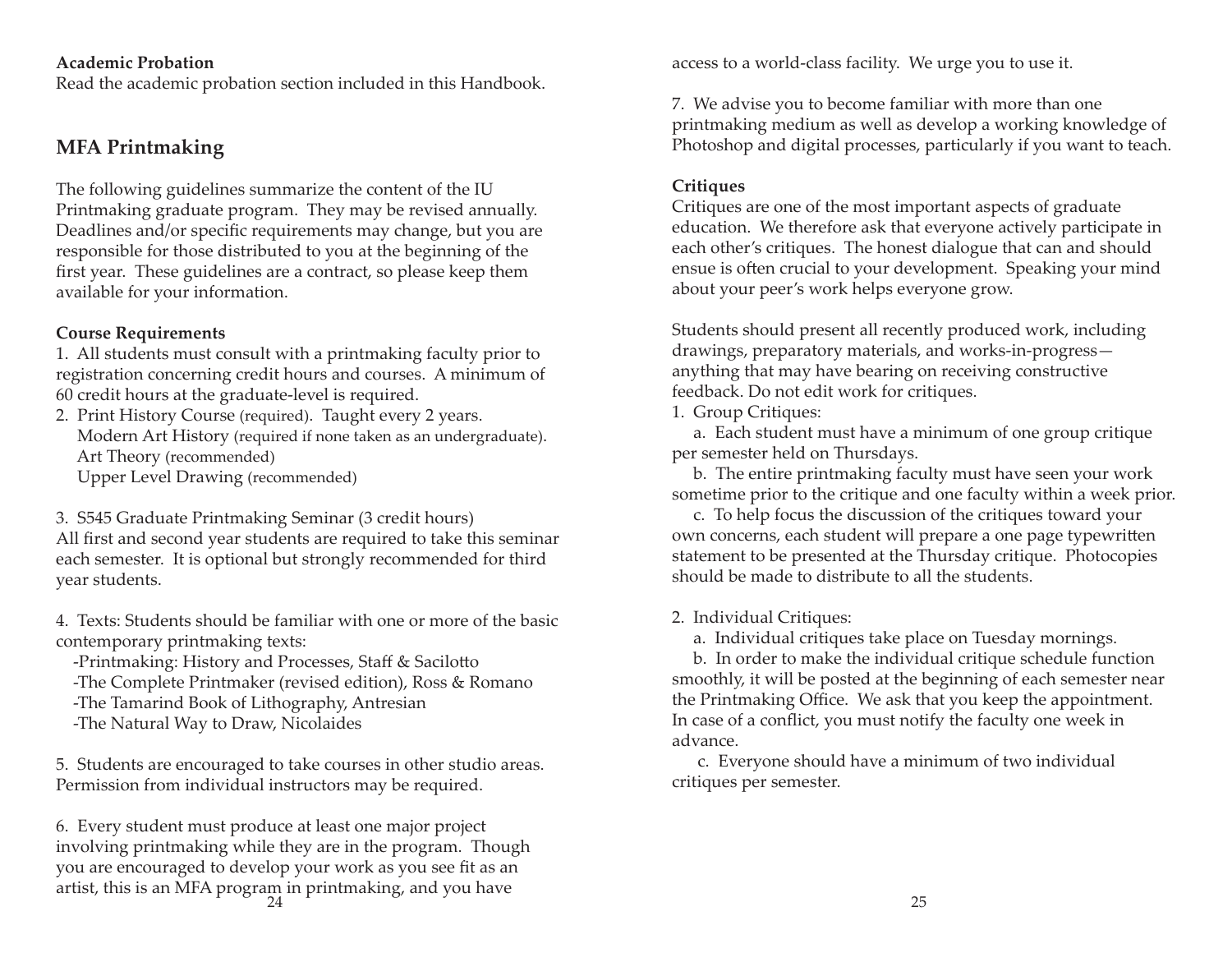#### **Academic Probation**

Read the academic probation section included in this Handbook.

# **MFA Printmaking**

The following guidelines summarize the content of the IU Printmaking graduate program. They may be revised annually. Deadlines and/or specific requirements may change, but you are responsible for those distributed to you at the beginning of the first year. These guidelines are a contract, so please keep them available for your information.

#### **Course Requirements**

1. All students must consult with a printmaking faculty prior to registration concerning credit hours and courses. A minimum of 60 credit hours at the graduate-level is required.

2. Print History Course (required). Taught every 2 years. Modern Art History (required if none taken as an undergraduate). Art Theory (recommended) Upper Level Drawing (recommended)

3. S545 Graduate Printmaking Seminar (3 credit hours) All first and second year students are required to take this seminar each semester. It is optional but strongly recommended for third year students.

4. Texts: Students should be familiar with one or more of the basic contemporary printmaking texts:

- -Printmaking: History and Processes, Staff & Sacilotto
- -The Complete Printmaker (revised edition), Ross & Romano
- -The Tamarind Book of Lithography, Antresian
- -The Natural Way to Draw, Nicolaides

5. Students are encouraged to take courses in other studio areas. Permission from individual instructors may be required.

6. Every student must produce at least one major project involving printmaking while they are in the program. Though you are encouraged to develop your work as you see fit as an artist, this is an MFA program in printmaking, and you have 24 $\frac{4}{1}$  25

access to a world-class facility. We urge you to use it.

7. We advise you to become familiar with more than one printmaking medium as well as develop a working knowledge of Photoshop and digital processes, particularly if you want to teach.

#### **Critiques**

Critiques are one of the most important aspects of graduate education. We therefore ask that everyone actively participate in each other's critiques. The honest dialogue that can and should ensue is often crucial to your development. Speaking your mind about your peer's work helps everyone grow.

Students should present all recently produced work, including drawings, preparatory materials, and works-in-progress anything that may have bearing on receiving constructive feedback. Do not edit work for critiques.

1. Group Critiques:

 a. Each student must have a minimum of one group critique per semester held on Thursdays.

 b. The entire printmaking faculty must have seen your work sometime prior to the critique and one faculty within a week prior.

 c. To help focus the discussion of the critiques toward your own concerns, each student will prepare a one page typewritten statement to be presented at the Thursday critique. Photocopies should be made to distribute to all the students.

#### 2. Individual Critiques:

a. Individual critiques take place on Tuesday mornings.

 b. In order to make the individual critique schedule function smoothly, it will be posted at the beginning of each semester near the Printmaking Office. We ask that you keep the appointment. In case of a conflict, you must notify the faculty one week in advance.

 c. Everyone should have a minimum of two individual critiques per semester.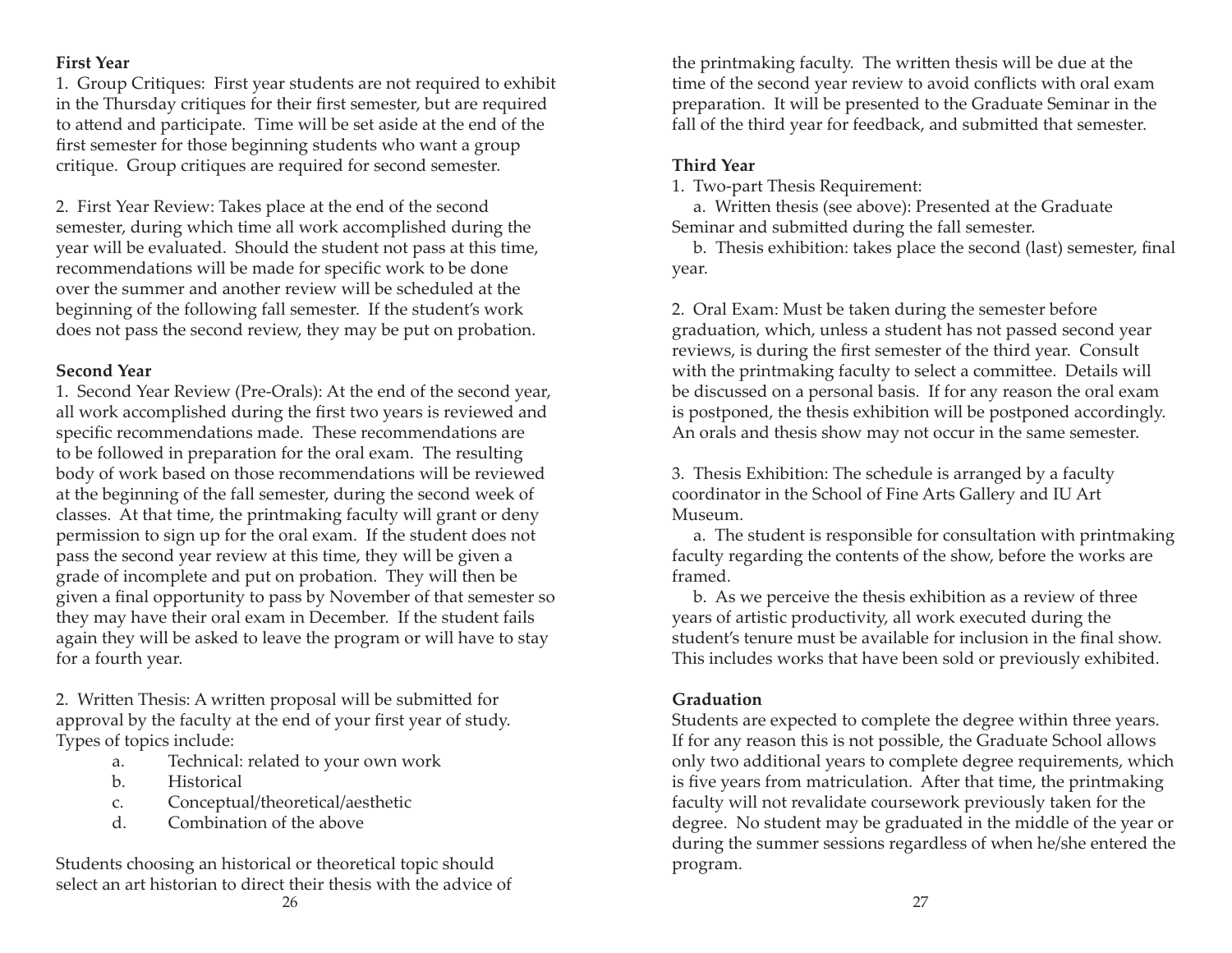#### **First Year**

1. Group Critiques: First year students are not required to exhibit in the Thursday critiques for their first semester, but are required to attend and participate. Time will be set aside at the end of the first semester for those beginning students who want a group critique. Group critiques are required for second semester.

2. First Year Review: Takes place at the end of the second semester, during which time all work accomplished during the year will be evaluated. Should the student not pass at this time, recommendations will be made for specific work to be done over the summer and another review will be scheduled at the beginning of the following fall semester. If the student's work does not pass the second review, they may be put on probation.

#### **Second Year**

1. Second Year Review (Pre-Orals): At the end of the second year, all work accomplished during the first two years is reviewed and specific recommendations made. These recommendations are to be followed in preparation for the oral exam. The resulting body of work based on those recommendations will be reviewed at the beginning of the fall semester, during the second week of classes. At that time, the printmaking faculty will grant or deny permission to sign up for the oral exam. If the student does not pass the second year review at this time, they will be given a grade of incomplete and put on probation. They will then be given a final opportunity to pass by November of that semester so they may have their oral exam in December. If the student fails again they will be asked to leave the program or will have to stay for a fourth year.

2. Written Thesis: A written proposal will be submitted for approval by the faculty at the end of your first year of study. Types of topics include:

- a. Technical: related to your own work
- b. Historical
- c. Conceptual/theoretical/aesthetic
- d. Combination of the above

Students choosing an historical or theoretical topic should select an art historian to direct their thesis with the advice of

the printmaking faculty. The written thesis will be due at the time of the second year review to avoid conflicts with oral exam preparation. It will be presented to the Graduate Seminar in the fall of the third year for feedback, and submitted that semester.

# **Third Year**

1. Two-part Thesis Requirement:

a. Written thesis (see above): Presented at the Graduate Seminar and submitted during the fall semester.

b. Thesis exhibition: takes place the second (last) semester, final year.

2. Oral Exam: Must be taken during the semester before graduation, which, unless a student has not passed second year reviews, is during the first semester of the third year. Consult with the printmaking faculty to select a committee. Details will be discussed on a personal basis. If for any reason the oral exam is postponed, the thesis exhibition will be postponed accordingly. An orals and thesis show may not occur in the same semester.

3. Thesis Exhibition: The schedule is arranged by a faculty coordinator in the School of Fine Arts Gallery and IU Art Museum.

 a. The student is responsible for consultation with printmaking faculty regarding the contents of the show, before the works are framed.

 b. As we perceive the thesis exhibition as a review of three years of artistic productivity, all work executed during the student's tenure must be available for inclusion in the final show. This includes works that have been sold or previously exhibited.

# **Graduation**

Students are expected to complete the degree within three years. If for any reason this is not possible, the Graduate School allows only two additional years to complete degree requirements, which is five years from matriculation. After that time, the printmaking faculty will not revalidate coursework previously taken for the degree. No student may be graduated in the middle of the year or during the summer sessions regardless of when he/she entered the program.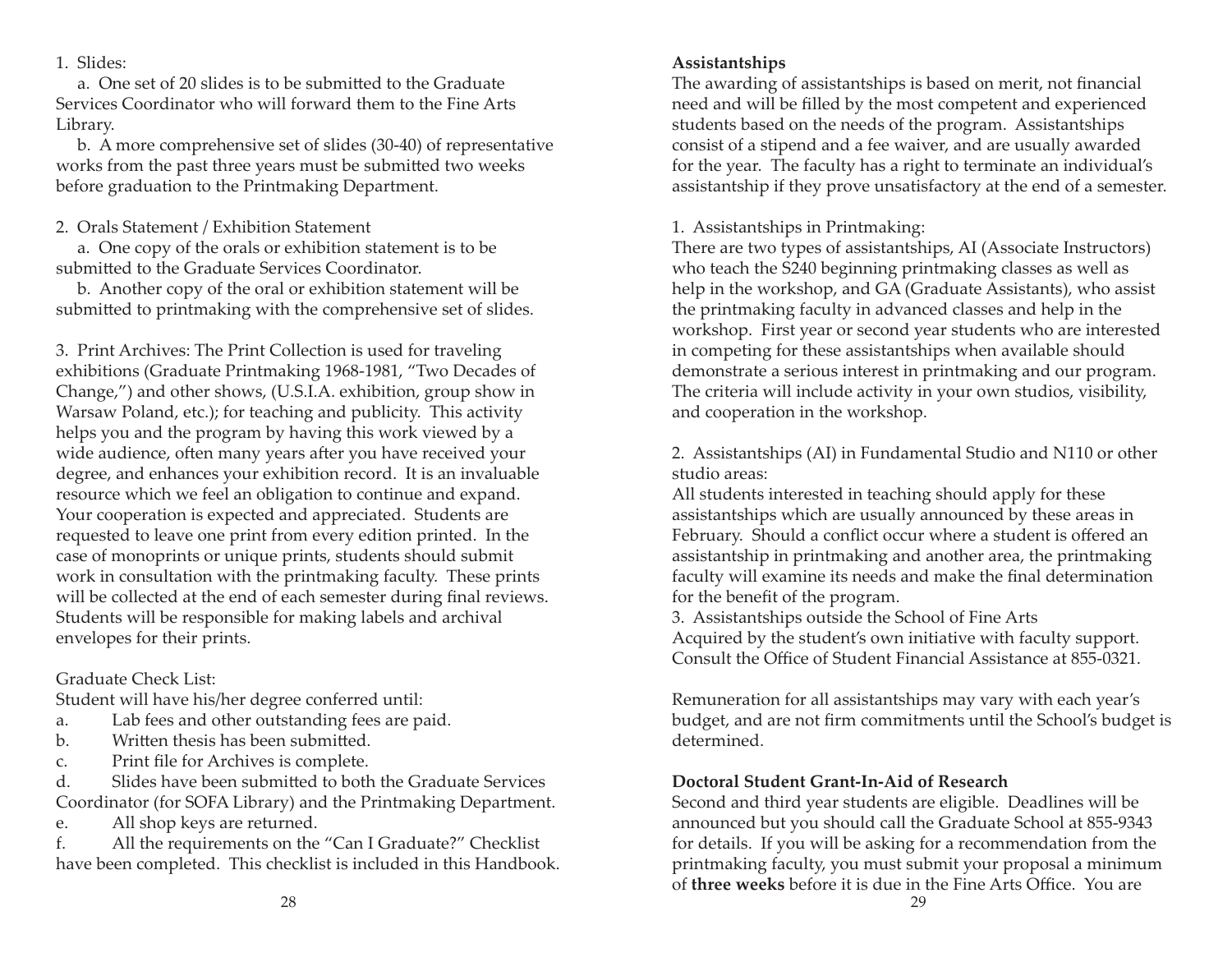1. Slides:

a. One set of 20 slides is to be submitted to the Graduate Services Coordinator who will forward them to the Fine Arts Library.

 b. A more comprehensive set of slides (30-40) of representative works from the past three years must be submitted two weeks before graduation to the Printmaking Department.

2. Orals Statement / Exhibition Statement

 a. One copy of the orals or exhibition statement is to be submitted to the Graduate Services Coordinator.

 b. Another copy of the oral or exhibition statement will be submitted to printmaking with the comprehensive set of slides.

3. Print Archives: The Print Collection is used for traveling exhibitions (Graduate Printmaking 1968-1981, "Two Decades of Change,") and other shows, (U.S.I.A. exhibition, group show in Warsaw Poland, etc.); for teaching and publicity. This activity helps you and the program by having this work viewed by a wide audience, often many years after you have received your degree, and enhances your exhibition record. It is an invaluable resource which we feel an obligation to continue and expand. Your cooperation is expected and appreciated. Students are requested to leave one print from every edition printed. In the case of monoprints or unique prints, students should submit work in consultation with the printmaking faculty. These prints will be collected at the end of each semester during final reviews. Students will be responsible for making labels and archival envelopes for their prints.

Graduate Check List:

Student will have his/her degree conferred until:

a. Lab fees and other outstanding fees are paid.

- b. Written thesis has been submitted.
- c. Print file for Archives is complete.

d. Slides have been submitted to both the Graduate Services Coordinator (for SOFA Library) and the Printmaking Department.

e. All shop keys are returned.

f. All the requirements on the "Can I Graduate?" Checklist have been completed. This checklist is included in this Handbook. The awarding of assistantships is based on merit, not financial need and will be filled by the most competent and experienced students based on the needs of the program. Assistantships consist of a stipend and a fee waiver, and are usually awarded for the year. The faculty has a right to terminate an individual's assistantship if they prove unsatisfactory at the end of a semester.

1. Assistantships in Printmaking:

There are two types of assistantships, AI (Associate Instructors) who teach the S240 beginning printmaking classes as well as help in the workshop, and GA (Graduate Assistants), who assist the printmaking faculty in advanced classes and help in the workshop. First year or second year students who are interested in competing for these assistantships when available should demonstrate a serious interest in printmaking and our program. The criteria will include activity in your own studios, visibility, and cooperation in the workshop.

2. Assistantships (AI) in Fundamental Studio and N110 or other studio areas:

All students interested in teaching should apply for these assistantships which are usually announced by these areas in February. Should a conflict occur where a student is offered an assistantship in printmaking and another area, the printmaking faculty will examine its needs and make the final determination for the benefit of the program.

3. Assistantships outside the School of Fine Arts Acquired by the student's own initiative with faculty support. Consult the Office of Student Financial Assistance at 855-0321.

Remuneration for all assistantships may vary with each year's budget, and are not firm commitments until the School's budget is determined.

# **Doctoral Student Grant-In-Aid of Research**

Second and third year students are eligible. Deadlines will be announced but you should call the Graduate School at 855-9343 for details. If you will be asking for a recommendation from the printmaking faculty, you must submit your proposal a minimum of **three weeks** before it is due in the Fine Arts Office. You are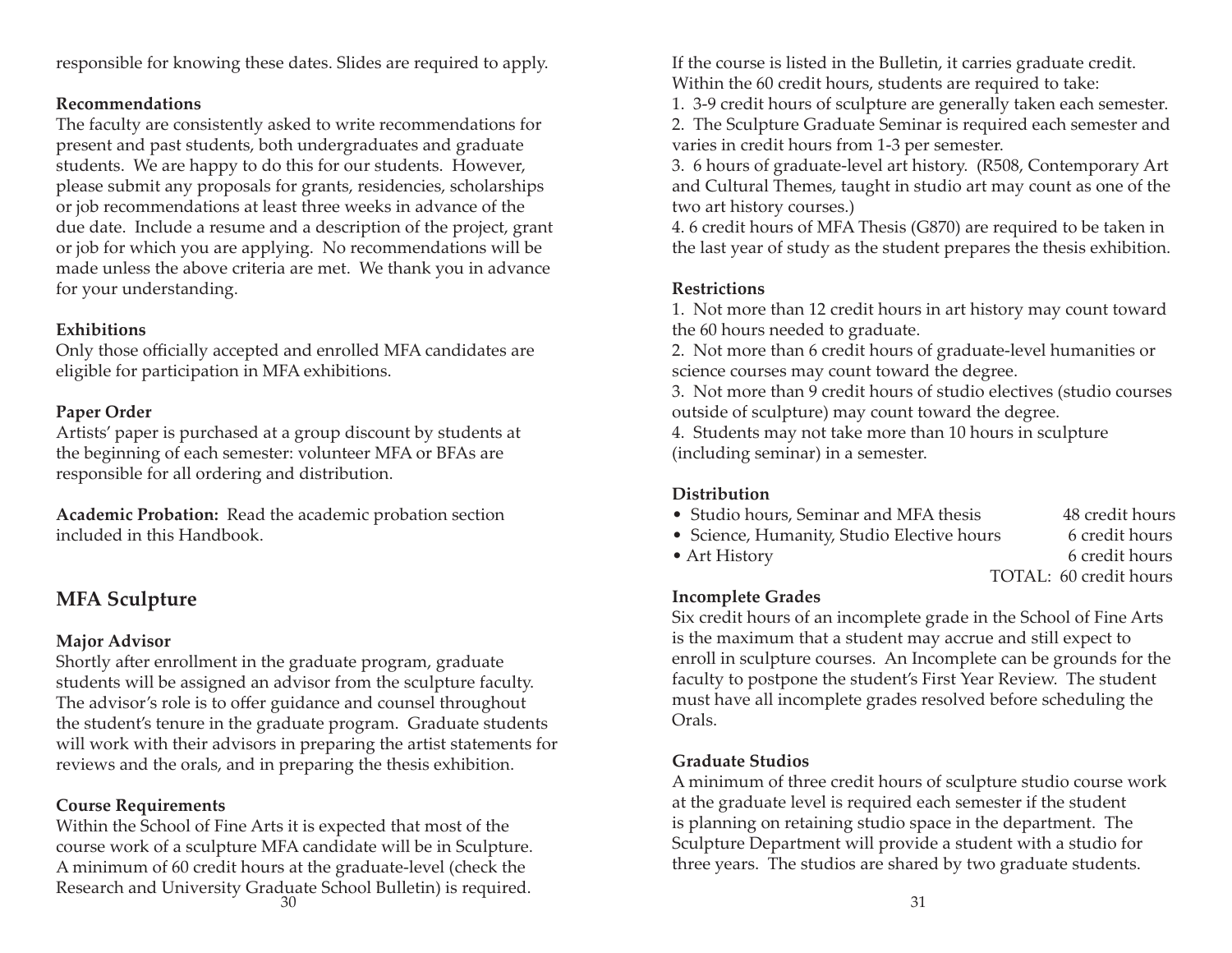responsible for knowing these dates. Slides are required to apply.

#### **Recommendations**

The faculty are consistently asked to write recommendations for present and past students, both undergraduates and graduate students. We are happy to do this for our students. However, please submit any proposals for grants, residencies, scholarships or job recommendations at least three weeks in advance of the due date. Include a resume and a description of the project, grant or job for which you are applying. No recommendations will be made unless the above criteria are met. We thank you in advance for your understanding.

# **Exhibitions**

Only those officially accepted and enrolled MFA candidates are eligible for participation in MFA exhibitions.

# **Paper Order**

Artists' paper is purchased at a group discount by students at the beginning of each semester: volunteer MFA or BFAs are responsible for all ordering and distribution.

**Academic Probation:** Read the academic probation section included in this Handbook.

# **MFA Sculpture**

# **Major Advisor**

Shortly after enrollment in the graduate program, graduate students will be assigned an advisor from the sculpture faculty. The advisor's role is to offer guidance and counsel throughout the student's tenure in the graduate program. Graduate students will work with their advisors in preparing the artist statements for reviews and the orals, and in preparing the thesis exhibition.

# **Course Requirements**

Within the School of Fine Arts it is expected that most of the course work of a sculpture MFA candidate will be in Sculpture. A minimum of 60 credit hours at the graduate-level (check the Research and University Graduate School Bulletin) is required.  $\frac{31}{2}$ 

If the course is listed in the Bulletin, it carries graduate credit. Within the 60 credit hours, students are required to take:

1. 3-9 credit hours of sculpture are generally taken each semester.

2. The Sculpture Graduate Seminar is required each semester and varies in credit hours from 1-3 per semester.

3. 6 hours of graduate-level art history. (R508, Contemporary Art and Cultural Themes, taught in studio art may count as one of the two art history courses.)

4. 6 credit hours of MFA Thesis (G870) are required to be taken in the last year of study as the student prepares the thesis exhibition.

# **Restrictions**

1. Not more than 12 credit hours in art history may count toward the 60 hours needed to graduate.

2. Not more than 6 credit hours of graduate-level humanities or science courses may count toward the degree.

3. Not more than 9 credit hours of studio electives (studio courses outside of sculpture) may count toward the degree.

4. Students may not take more than 10 hours in sculpture (including seminar) in a semester.

# **Distribution**

- Studio hours, Seminar and MFA thesis 48 credit hours
- Science, Humanity, Studio Elective hours 6 credit hours
	-
- Art History 6 credit hours

TOTAL: 60 credit hours

# **Incomplete Grades**

Six credit hours of an incomplete grade in the School of Fine Arts is the maximum that a student may accrue and still expect to enroll in sculpture courses. An Incomplete can be grounds for the faculty to postpone the student's First Year Review. The student must have all incomplete grades resolved before scheduling the Orals.

# **Graduate Studios**

A minimum of three credit hours of sculpture studio course work at the graduate level is required each semester if the student is planning on retaining studio space in the department. The Sculpture Department will provide a student with a studio for three years. The studios are shared by two graduate students.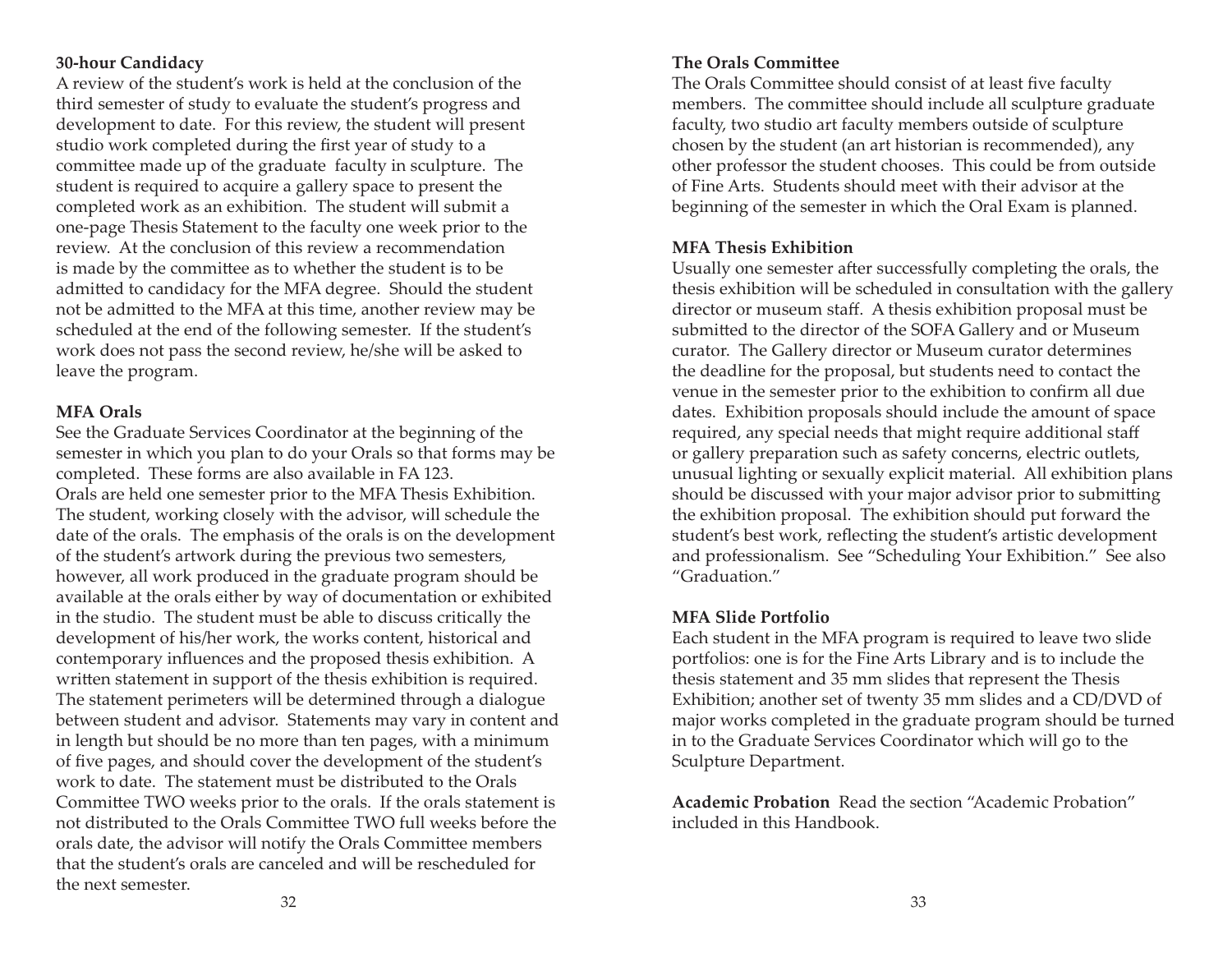## **30-hour Candidacy**

A review of the student's work is held at the conclusion of the third semester of study to evaluate the student's progress and development to date. For this review, the student will present studio work completed during the first year of study to a committee made up of the graduate faculty in sculpture. The student is required to acquire a gallery space to present the completed work as an exhibition. The student will submit a one-page Thesis Statement to the faculty one week prior to the review. At the conclusion of this review a recommendation is made by the committee as to whether the student is to be admitted to candidacy for the MFA degree. Should the student not be admitted to the MFA at this time, another review may be scheduled at the end of the following semester. If the student's work does not pass the second review, he/she will be asked to leave the program.

## **MFA Orals**

See the Graduate Services Coordinator at the beginning of the semester in which you plan to do your Orals so that forms may be completed. These forms are also available in FA 123. Orals are held one semester prior to the MFA Thesis Exhibition. The student, working closely with the advisor, will schedule the date of the orals. The emphasis of the orals is on the development of the student's artwork during the previous two semesters, however, all work produced in the graduate program should be available at the orals either by way of documentation or exhibited in the studio. The student must be able to discuss critically the development of his/her work, the works content, historical and contemporary influences and the proposed thesis exhibition. A written statement in support of the thesis exhibition is required. The statement perimeters will be determined through a dialogue between student and advisor. Statements may vary in content and in length but should be no more than ten pages, with a minimum of five pages, and should cover the development of the student's work to date. The statement must be distributed to the Orals Committee TWO weeks prior to the orals. If the orals statement is not distributed to the Orals Committee TWO full weeks before the orals date, the advisor will notify the Orals Committee members that the student's orals are canceled and will be rescheduled for the next semester.

#### **The Orals Committee**

The Orals Committee should consist of at least five faculty members. The committee should include all sculpture graduate faculty, two studio art faculty members outside of sculpture chosen by the student (an art historian is recommended), any other professor the student chooses. This could be from outside of Fine Arts. Students should meet with their advisor at the beginning of the semester in which the Oral Exam is planned.

## **MFA Thesis Exhibition**

Usually one semester after successfully completing the orals, the thesis exhibition will be scheduled in consultation with the gallery director or museum staff. A thesis exhibition proposal must be submitted to the director of the SOFA Gallery and or Museum curator. The Gallery director or Museum curator determines the deadline for the proposal, but students need to contact the venue in the semester prior to the exhibition to confirm all due dates. Exhibition proposals should include the amount of space required, any special needs that might require additional staff or gallery preparation such as safety concerns, electric outlets, unusual lighting or sexually explicit material. All exhibition plans should be discussed with your major advisor prior to submitting the exhibition proposal. The exhibition should put forward the student's best work, reflecting the student's artistic development and professionalism. See "Scheduling Your Exhibition." See also "Graduation."

#### **MFA Slide Portfolio**

Each student in the MFA program is required to leave two slide portfolios: one is for the Fine Arts Library and is to include the thesis statement and 35 mm slides that represent the Thesis Exhibition; another set of twenty 35 mm slides and a CD/DVD of major works completed in the graduate program should be turned in to the Graduate Services Coordinator which will go to the Sculpture Department.

**Academic Probation** Read the section "Academic Probation" included in this Handbook.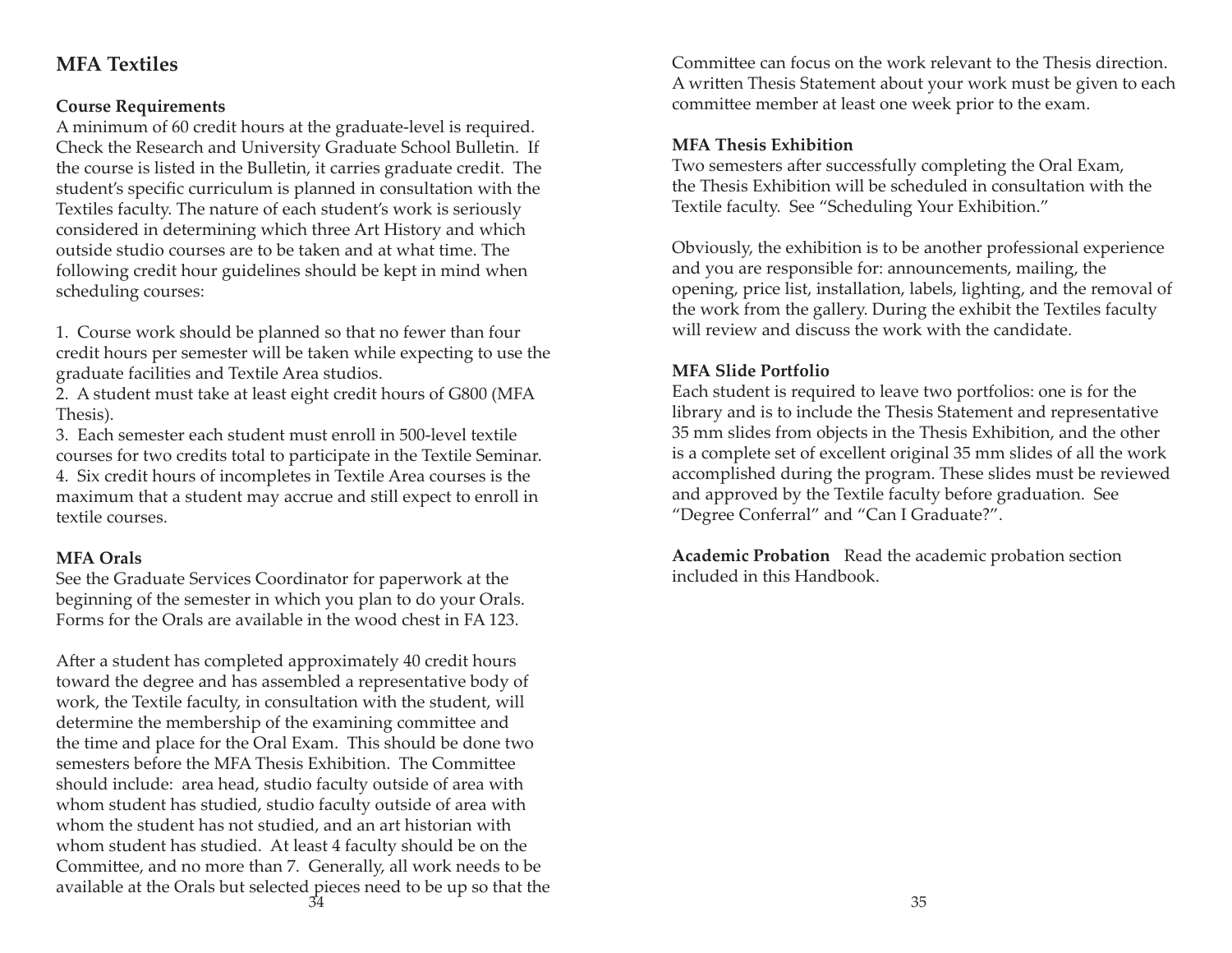# **MFA Textiles**

# **Course Requirements**

A minimum of 60 credit hours at the graduate-level is required. Check the Research and University Graduate School Bulletin. If the course is listed in the Bulletin, it carries graduate credit. The student's specific curriculum is planned in consultation with the Textiles faculty. The nature of each student's work is seriously considered in determining which three Art History and which outside studio courses are to be taken and at what time. The following credit hour guidelines should be kept in mind when scheduling courses:

1. Course work should be planned so that no fewer than four credit hours per semester will be taken while expecting to use the graduate facilities and Textile Area studios.

2. A student must take at least eight credit hours of G800 (MFA Thesis).

3. Each semester each student must enroll in 500-level textile courses for two credits total to participate in the Textile Seminar. 4. Six credit hours of incompletes in Textile Area courses is the maximum that a student may accrue and still expect to enroll in textile courses.

#### **MFA Orals**

See the Graduate Services Coordinator for paperwork at the beginning of the semester in which you plan to do your Orals. Forms for the Orals are available in the wood chest in FA 123.

After a student has completed approximately 40 credit hours toward the degree and has assembled a representative body of work, the Textile faculty, in consultation with the student, will determine the membership of the examining committee and the time and place for the Oral Exam. This should be done two semesters before the MFA Thesis Exhibition. The Committee should include: area head, studio faculty outside of area with whom student has studied, studio faculty outside of area with whom the student has not studied, and an art historian with whom student has studied. At least 4 faculty should be on the Committee, and no more than 7. Generally, all work needs to be available at the Orals but selected pieces need to be up so that the <u>а</u> за народно в 135 марта 135 марта 135 марта 135 марта 135 марта 135 марта 135 марта 135 марта 135

Committee can focus on the work relevant to the Thesis direction. A written Thesis Statement about your work must be given to each committee member at least one week prior to the exam.

## **MFA Thesis Exhibition**

Two semesters after successfully completing the Oral Exam, the Thesis Exhibition will be scheduled in consultation with the Textile faculty. See "Scheduling Your Exhibition."

Obviously, the exhibition is to be another professional experience and you are responsible for: announcements, mailing, the opening, price list, installation, labels, lighting, and the removal of the work from the gallery. During the exhibit the Textiles faculty will review and discuss the work with the candidate.

## **MFA Slide Portfolio**

Each student is required to leave two portfolios: one is for the library and is to include the Thesis Statement and representative 35 mm slides from objects in the Thesis Exhibition, and the other is a complete set of excellent original 35 mm slides of all the work accomplished during the program. These slides must be reviewed and approved by the Textile faculty before graduation. See "Degree Conferral" and "Can I Graduate?".

**Academic Probation** Read the academic probation section included in this Handbook.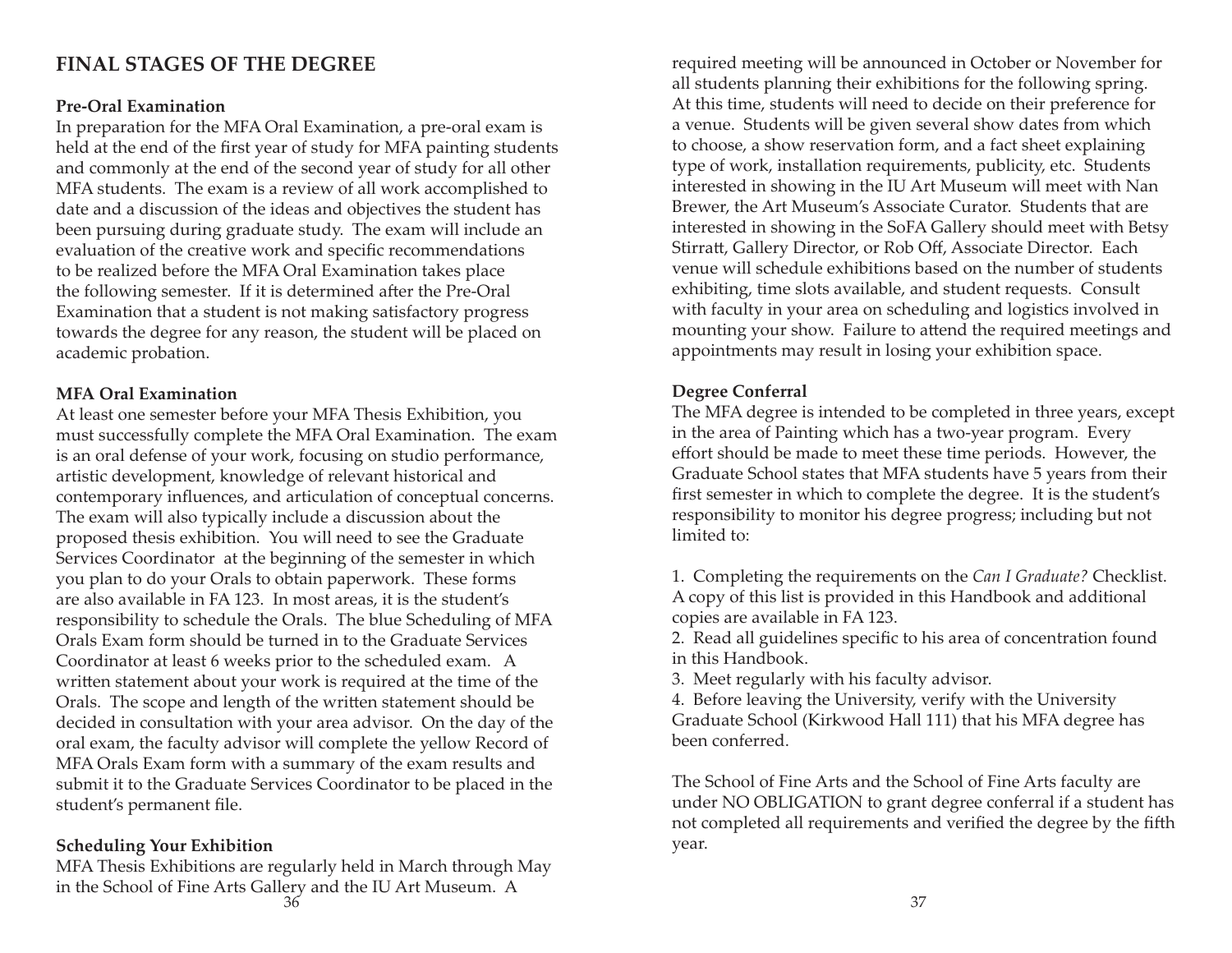# **FINAL STAGES OF THE DEGREE**

#### **Pre-Oral Examination**

In preparation for the MFA Oral Examination, a pre-oral exam is held at the end of the first year of study for MFA painting students and commonly at the end of the second year of study for all other MFA students. The exam is a review of all work accomplished to date and a discussion of the ideas and objectives the student has been pursuing during graduate study. The exam will include an evaluation of the creative work and specific recommendations to be realized before the MFA Oral Examination takes place the following semester. If it is determined after the Pre-Oral Examination that a student is not making satisfactory progress towards the degree for any reason, the student will be placed on academic probation.

#### **MFA Oral Examination**

At least one semester before your MFA Thesis Exhibition, you must successfully complete the MFA Oral Examination. The exam is an oral defense of your work, focusing on studio performance, artistic development, knowledge of relevant historical and contemporary influences, and articulation of conceptual concerns. The exam will also typically include a discussion about the proposed thesis exhibition. You will need to see the Graduate Services Coordinator at the beginning of the semester in which you plan to do your Orals to obtain paperwork. These forms are also available in FA 123. In most areas, it is the student's responsibility to schedule the Orals. The blue Scheduling of MFA Orals Exam form should be turned in to the Graduate Services Coordinator at least 6 weeks prior to the scheduled exam. A written statement about your work is required at the time of the Orals. The scope and length of the written statement should be decided in consultation with your area advisor. On the day of the oral exam, the faculty advisor will complete the yellow Record of MFA Orals Exam form with a summary of the exam results and submit it to the Graduate Services Coordinator to be placed in the student's permanent file.

# **Scheduling Your Exhibition**

MFA Thesis Exhibitions are regularly held in March through May in the School of Fine Arts Gallery and the IU Art Museum. A  $\sim$  37

required meeting will be announced in October or November for all students planning their exhibitions for the following spring. At this time, students will need to decide on their preference for a venue. Students will be given several show dates from which to choose, a show reservation form, and a fact sheet explaining type of work, installation requirements, publicity, etc. Students interested in showing in the IU Art Museum will meet with Nan Brewer, the Art Museum's Associate Curator. Students that are interested in showing in the SoFA Gallery should meet with Betsy Stirratt, Gallery Director, or Rob Off, Associate Director. Each venue will schedule exhibitions based on the number of students exhibiting, time slots available, and student requests. Consult with faculty in your area on scheduling and logistics involved in mounting your show. Failure to attend the required meetings and appointments may result in losing your exhibition space.

# **Degree Conferral**

The MFA degree is intended to be completed in three years, except in the area of Painting which has a two-year program. Every effort should be made to meet these time periods. However, the Graduate School states that MFA students have 5 years from their first semester in which to complete the degree. It is the student's responsibility to monitor his degree progress; including but not limited to:

1. Completing the requirements on the *Can I Graduate?* Checklist. A copy of this list is provided in this Handbook and additional copies are available in FA 123.

2. Read all guidelines specific to his area of concentration found in this Handbook.

3. Meet regularly with his faculty advisor.

4. Before leaving the University, verify with the University Graduate School (Kirkwood Hall 111) that his MFA degree has been conferred.

The School of Fine Arts and the School of Fine Arts faculty are under NO OBLIGATION to grant degree conferral if a student has not completed all requirements and verified the degree by the fifth year.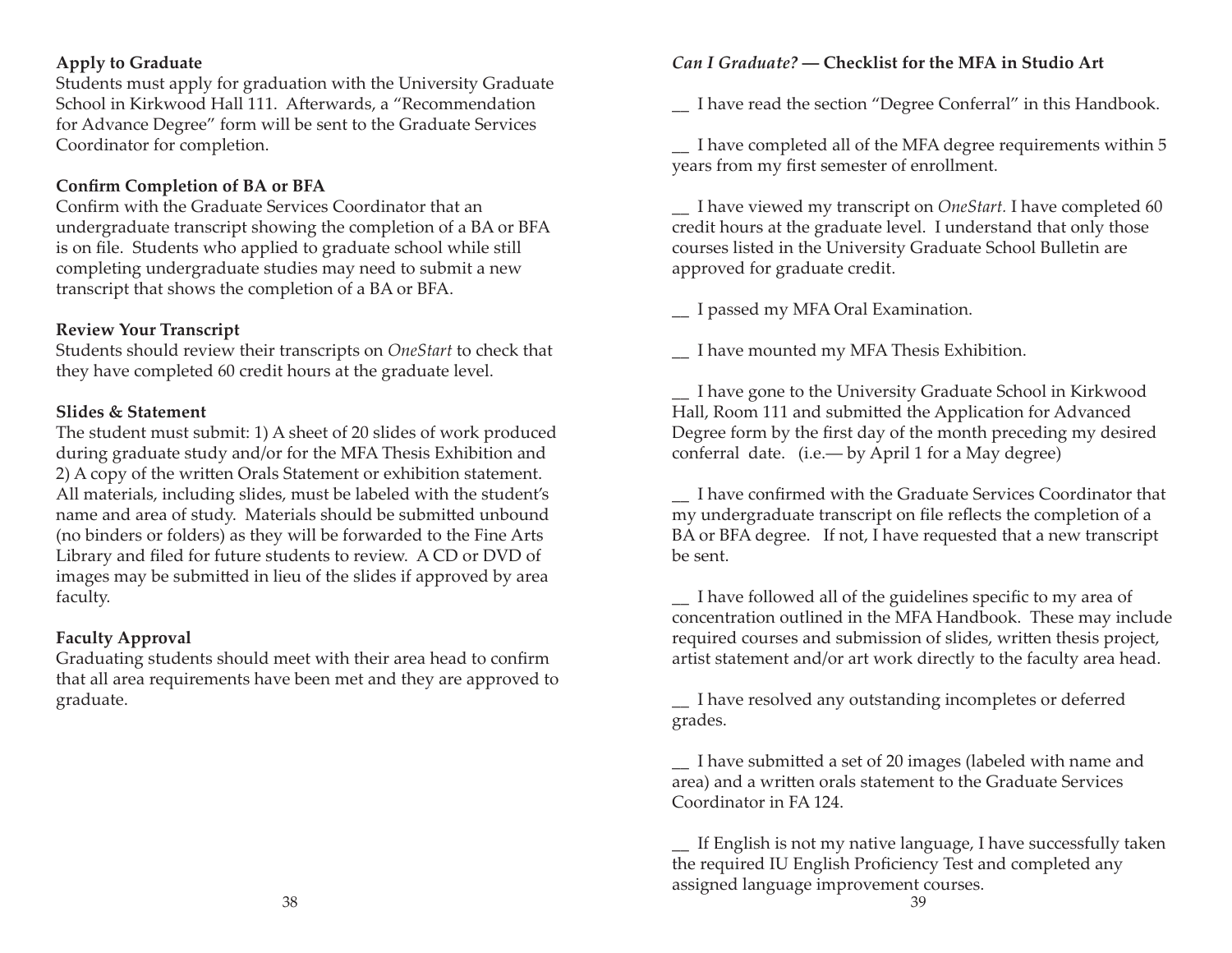# **Apply to Graduate**

Students must apply for graduation with the University Graduate School in Kirkwood Hall 111. Afterwards, a "Recommendation for Advance Degree" form will be sent to the Graduate Services Coordinator for completion.

# **Confirm Completion of BA or BFA**

Confirm with the Graduate Services Coordinator that an undergraduate transcript showing the completion of a BA or BFA is on file. Students who applied to graduate school while still completing undergraduate studies may need to submit a new transcript that shows the completion of a BA or BFA.

# **Review Your Transcript**

Students should review their transcripts on *OneStart* to check that they have completed 60 credit hours at the graduate level.

# **Slides & Statement**

The student must submit: 1) A sheet of 20 slides of work produced during graduate study and/or for the MFA Thesis Exhibition and 2) A copy of the written Orals Statement or exhibition statement. All materials, including slides, must be labeled with the student's name and area of study. Materials should be submitted unbound (no binders or folders) as they will be forwarded to the Fine Arts Library and filed for future students to review. A CD or DVD of images may be submitted in lieu of the slides if approved by area faculty.

# **Faculty Approval**

Graduating students should meet with their area head to confirm that all area requirements have been met and they are approved to graduate.

# *Can I Graduate?* **― Checklist for the MFA in Studio Art**

\_\_ I have read the section "Degree Conferral" in this Handbook.

\_\_ I have completed all of the MFA degree requirements within 5 years from my first semester of enrollment.

\_\_ I have viewed my transcript on *OneStart.* I have completed 60 credit hours at the graduate level. I understand that only those courses listed in the University Graduate School Bulletin are approved for graduate credit.

\_\_ I passed my MFA Oral Examination.

\_\_ I have mounted my MFA Thesis Exhibition.

\_\_ I have gone to the University Graduate School in Kirkwood Hall, Room 111 and submitted the Application for Advanced Degree form by the first day of the month preceding my desired conferral date. (i.e.― by April 1 for a May degree)

\_\_ I have confi rmed with the Graduate Services Coordinator that my undergraduate transcript on file reflects the completion of a BA or BFA degree. If not, I have requested that a new transcript be sent.

\_ I have followed all of the guidelines specific to my area of concentration outlined in the MFA Handbook. These may include required courses and submission of slides, written thesis project, artist statement and/or art work directly to the faculty area head.

\_\_ I have resolved any outstanding incompletes or deferred grades.

1 I have submitted a set of 20 images (labeled with name and area) and a written orals statement to the Graduate Services Coordinator in FA 124.

If English is not my native language, I have successfully taken the required IU English Proficiency Test and completed any assigned language improvement courses.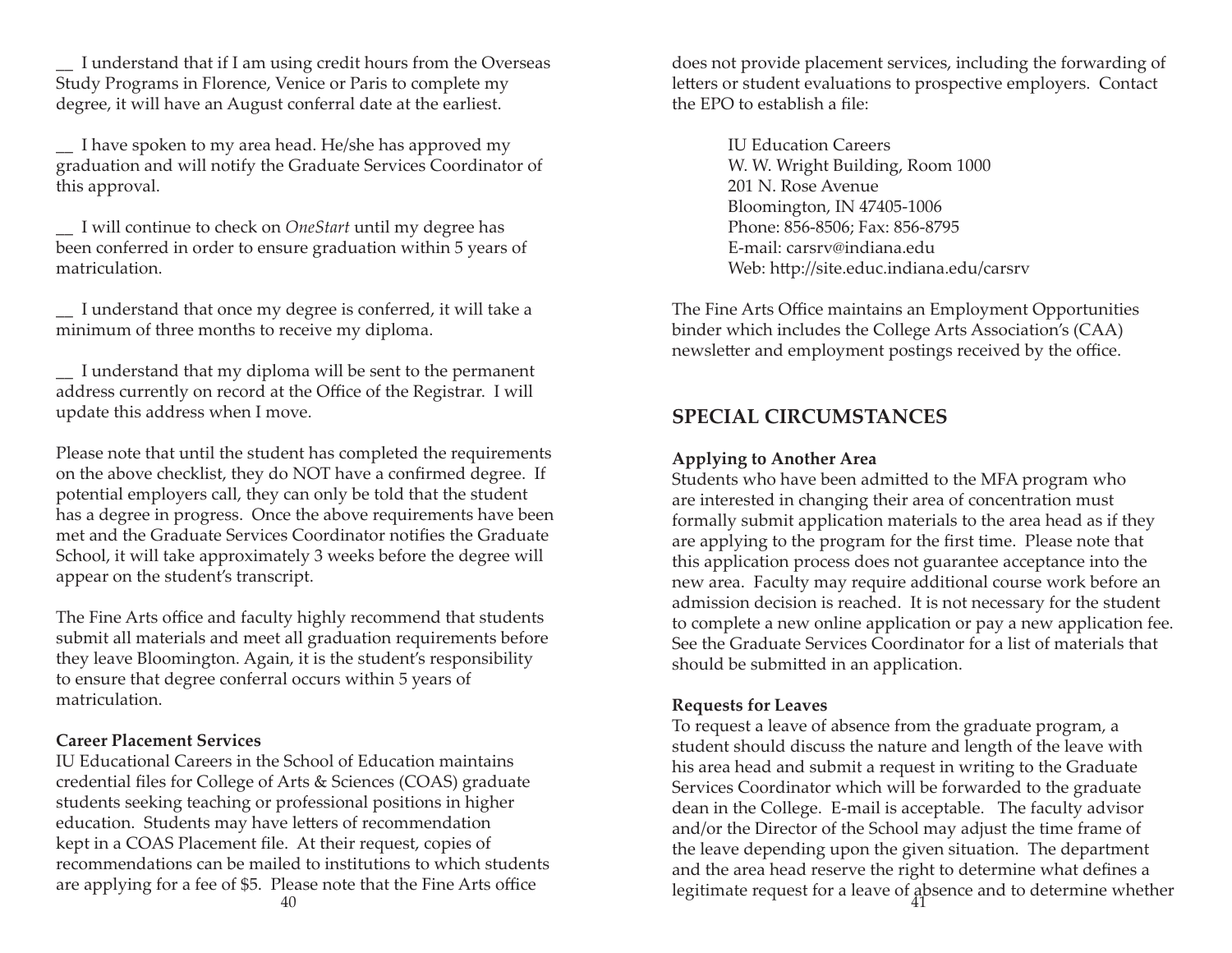I understand that if I am using credit hours from the Overseas Study Programs in Florence, Venice or Paris to complete my degree, it will have an August conferral date at the earliest.

\_\_ I have spoken to my area head. He/she has approved my graduation and will notify the Graduate Services Coordinator of this approval.

\_\_ I will continue to check on *OneStart* until my degree has been conferred in order to ensure graduation within 5 years of matriculation.

\_\_ I understand that once my degree is conferred, it will take a minimum of three months to receive my diploma.

\_\_ I understand that my diploma will be sent to the permanent address currently on record at the Office of the Registrar. I will update this address when I move.

Please note that until the student has completed the requirements on the above checklist, they do NOT have a confirmed degree. If potential employers call, they can only be told that the student has a degree in progress. Once the above requirements have been met and the Graduate Services Coordinator notifies the Graduate School, it will take approximately 3 weeks before the degree will appear on the student's transcript.

The Fine Arts office and faculty highly recommend that students submit all materials and meet all graduation requirements before they leave Bloomington. Again, it is the student's responsibility to ensure that degree conferral occurs within 5 years of matriculation.

#### **Career Placement Services**

IU Educational Careers in the School of Education maintains credential files for College of Arts & Sciences (COAS) graduate students seeking teaching or professional positions in higher education. Students may have letters of recommendation kept in a COAS Placement file. At their request, copies of recommendations can be mailed to institutions to which students are applying for a fee of \$5. Please note that the Fine Arts office

does not provide placement services, including the forwarding of letters or student evaluations to prospective employers. Contact the EPO to establish a file:

> IU Education Careers W. W. Wright Building, Room 1000 201 N. Rose Avenue Bloomington, IN 47405-1006 Phone: 856-8506; Fax: 856-8795 E-mail: carsrv@indiana.eduWeb: http://site.educ.indiana.edu/carsrv

The Fine Arts Office maintains an Employment Opportunities binder which includes the College Arts Association's (CAA) newsletter and employment postings received by the office.

# **SPECIAL CIRCUMSTANCES**

#### **Applying to Another Area**

Students who have been admitted to the MFA program who are interested in changing their area of concentration must formally submit application materials to the area head as if they are applying to the program for the first time. Please note that this application process does not guarantee acceptance into the new area. Faculty may require additional course work before an admission decision is reached. It is not necessary for the student to complete a new online application or pay a new application fee. See the Graduate Services Coordinator for a list of materials that should be submitted in an application.

#### **Requests for Leaves**

To request a leave of absence from the graduate program, a student should discuss the nature and length of the leave with his area head and submit a request in writing to the Graduate Services Coordinator which will be forwarded to the graduate dean in the College. E-mail is acceptable. The faculty advisor and/or the Director of the School may adjust the time frame of the leave depending upon the given situation. The department and the area head reserve the right to determine what defines a lease note that the Fine Arts office the second tequest for a leave of absence and to determine whether 40  $41$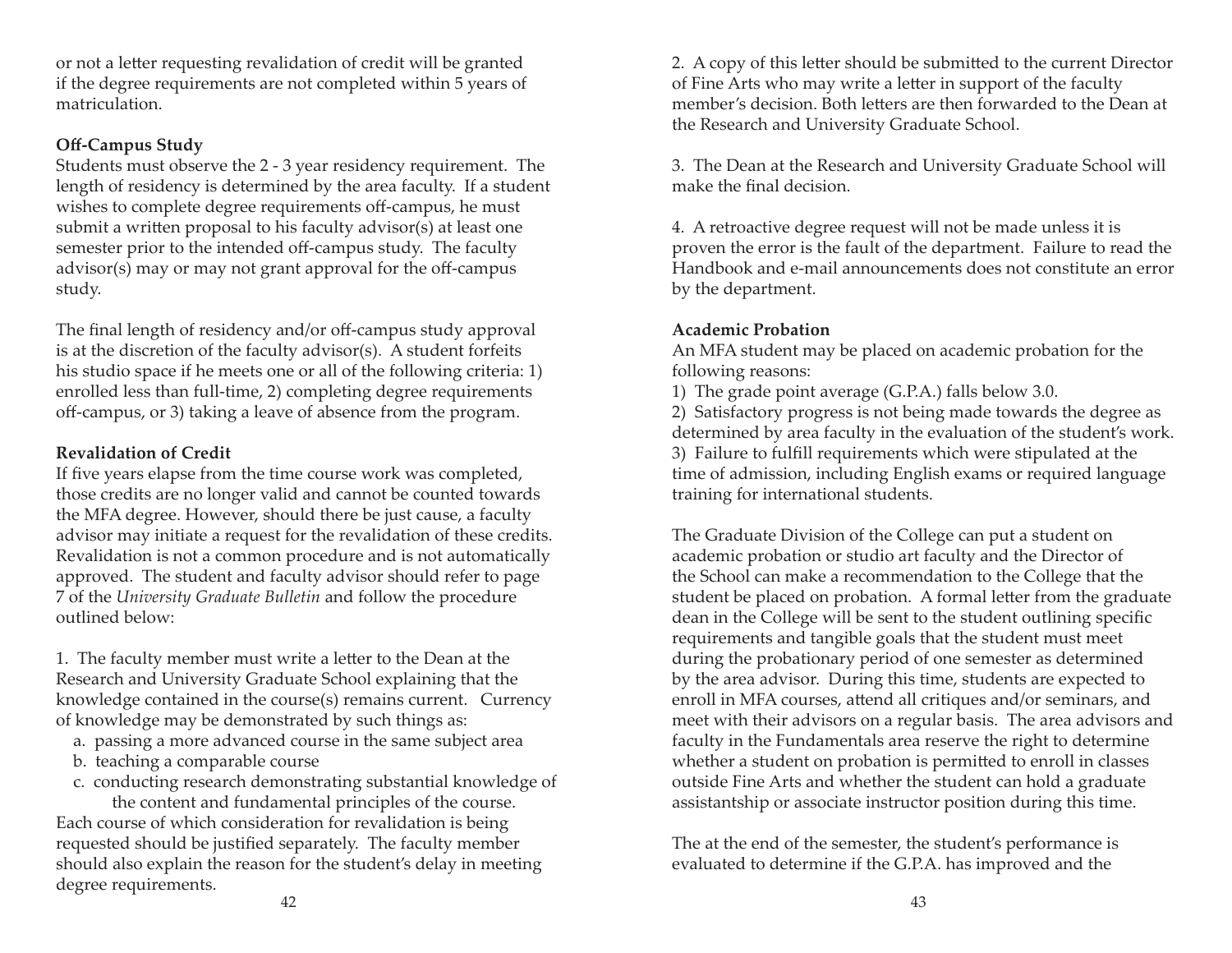or not a letter requesting revalidation of credit will be granted if the degree requirements are not completed within 5 years of matriculation.

## **Off -Campus Study**

Students must observe the 2 - 3 year residency requirement. The length of residency is determined by the area faculty. If a student wishes to complete degree requirements off-campus, he must submit a written proposal to his faculty advisor(s) at least one semester prior to the intended off-campus study. The faculty advisor(s) may or may not grant approval for the off-campus study.

The final length of residency and/or off-campus study approval is at the discretion of the faculty advisor(s). A student forfeits his studio space if he meets one or all of the following criteria: 1) enrolled less than full-time, 2) completing degree requirements off -campus, or 3) taking a leave of absence from the program.

# **Revalidation of Credit**

If five years elapse from the time course work was completed, those credits are no longer valid and cannot be counted towards the MFA degree. However, should there be just cause, a faculty advisor may initiate a request for the revalidation of these credits. Revalidation is not a common procedure and is not automatically approved. The student and faculty advisor should refer to page 7 of the *University Graduate Bulletin* and follow the procedure outlined below:

1. The faculty member must write a letter to the Dean at the Research and University Graduate School explaining that the knowledge contained in the course(s) remains current. Currency of knowledge may be demonstrated by such things as:

- a. passing a more advanced course in the same subject area
- b. teaching a comparable course
- c. conducting research demonstrating substantial knowledge of the content and fundamental principles of the course.

Each course of which consideration for revalidation is being requested should be justified separately. The faculty member should also explain the reason for the student's delay in meeting degree requirements.

2. A copy of this letter should be submitted to the current Director of Fine Arts who may write a letter in support of the faculty member's decision. Both letters are then forwarded to the Dean at the Research and University Graduate School.

3. The Dean at the Research and University Graduate School will make the final decision.

4. A retroactive degree request will not be made unless it is proven the error is the fault of the department. Failure to read the Handbook and e-mail announcements does not constitute an error by the department.

# **Academic Probation**

An MFA student may be placed on academic probation for the following reasons:

1) The grade point average (G.P.A.) falls below 3.0.

2) Satisfactory progress is not being made towards the degree as determined by area faculty in the evaluation of the student's work. 3) Failure to fulfill requirements which were stipulated at the time of admission, including English exams or required language training for international students.

The Graduate Division of the College can put a student on academic probation or studio art faculty and the Director of the School can make a recommendation to the College that the student be placed on probation. A formal letter from the graduate dean in the College will be sent to the student outlining specific requirements and tangible goals that the student must meet during the probationary period of one semester as determined by the area advisor. During this time, students are expected to enroll in MFA courses, attend all critiques and/or seminars, and meet with their advisors on a regular basis. The area advisors and faculty in the Fundamentals area reserve the right to determine whether a student on probation is permitted to enroll in classes outside Fine Arts and whether the student can hold a graduate assistantship or associate instructor position during this time.

The at the end of the semester, the student's performance is evaluated to determine if the G.P.A. has improved and the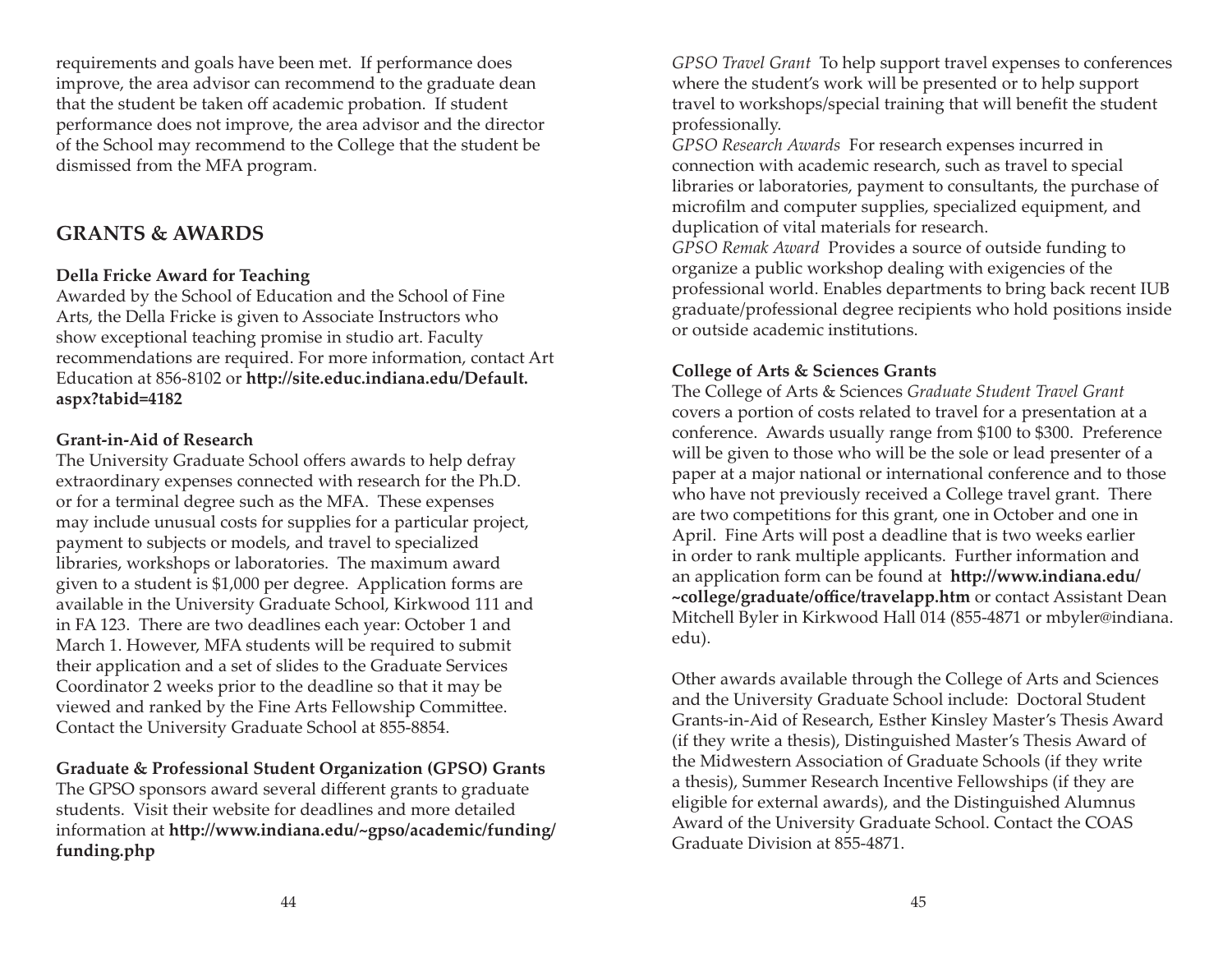requirements and goals have been met. If performance does improve, the area advisor can recommend to the graduate dean that the student be taken off academic probation. If student performance does not improve, the area advisor and the director of the School may recommend to the College that the student be dismissed from the MFA program.

# **GRANTS & AWARDS**

# **Della Fricke Award for Teaching**

Awarded by the School of Education and the School of Fine Arts, the Della Fricke is given to Associate Instructors who show exceptional teaching promise in studio art. Faculty recommendations are required. For more information, contact Art Education at 856-8102 or http://site.educ.indiana.edu/Default. **aspx?tabid=4182**

#### **Grant-in-Aid of Research**

The University Graduate School offers awards to help defray extraordinary expenses connected with research for the Ph.D. or for a terminal degree such as the MFA. These expenses may include unusual costs for supplies for a particular project, payment to subjects or models, and travel to specialized libraries, workshops or laboratories. The maximum award given to a student is \$1,000 per degree. Application forms are available in the University Graduate School, Kirkwood 111 and in FA 123. There are two deadlines each year: October 1 and March 1. However, MFA students will be required to submit their application and a set of slides to the Graduate Services Coordinator 2 weeks prior to the deadline so that it may be viewed and ranked by the Fine Arts Fellowship Committee. Contact the University Graduate School at 855-8854.

# **Graduate & Professional Student Organization (GPSO) Grants**

The GPSO sponsors award several different grants to graduate students. Visit their website for deadlines and more detailed information at http://www.indiana.edu/~gpso/academic/funding/ **funding.php** 

*GPSO Travel Grant* To help support travel expenses to conferences where the student's work will be presented or to help support travel to workshops/special training that will benefit the student professionally.

*GPSO Research Awards* For research expenses incurred in connection with academic research, such as travel to special libraries or laboratories, payment to consultants, the purchase of microfilm and computer supplies, specialized equipment, and duplication of vital materials for research.

*GPSO Remak Award* Provides a source of outside funding to organize a public workshop dealing with exigencies of the professional world. Enables departments to bring back recent IUB graduate/professional degree recipients who hold positions inside or outside academic institutions.

# **College of Arts & Sciences Grants**

The College of Arts & Sciences *Graduate Student Travel Grant* covers a portion of costs related to travel for a presentation at a conference. Awards usually range from \$100 to \$300. Preference will be given to those who will be the sole or lead presenter of a paper at a major national or international conference and to those who have not previously received a College travel grant. There are two competitions for this grant, one in October and one in April. Fine Arts will post a deadline that is two weeks earlier in order to rank multiple applicants. Further information and an application form can be found at **http://www.indiana.edu/ ~college/graduate/offi ce/travelapp.htm** or contact Assistant Dean Mitchell Byler in Kirkwood Hall 014 (855-4871 or mbyler@indiana. edu).

Other awards available through the College of Arts and Sciences and the University Graduate School include: Doctoral Student Grants-in-Aid of Research, Esther Kinsley Master's Thesis Award (if they write a thesis), Distinguished Master's Thesis Award of the Midwestern Association of Graduate Schools (if they write a thesis), Summer Research Incentive Fellowships (if they are eligible for external awards), and the Distinguished Alumnus Award of the University Graduate School. Contact the COAS Graduate Division at 855-4871.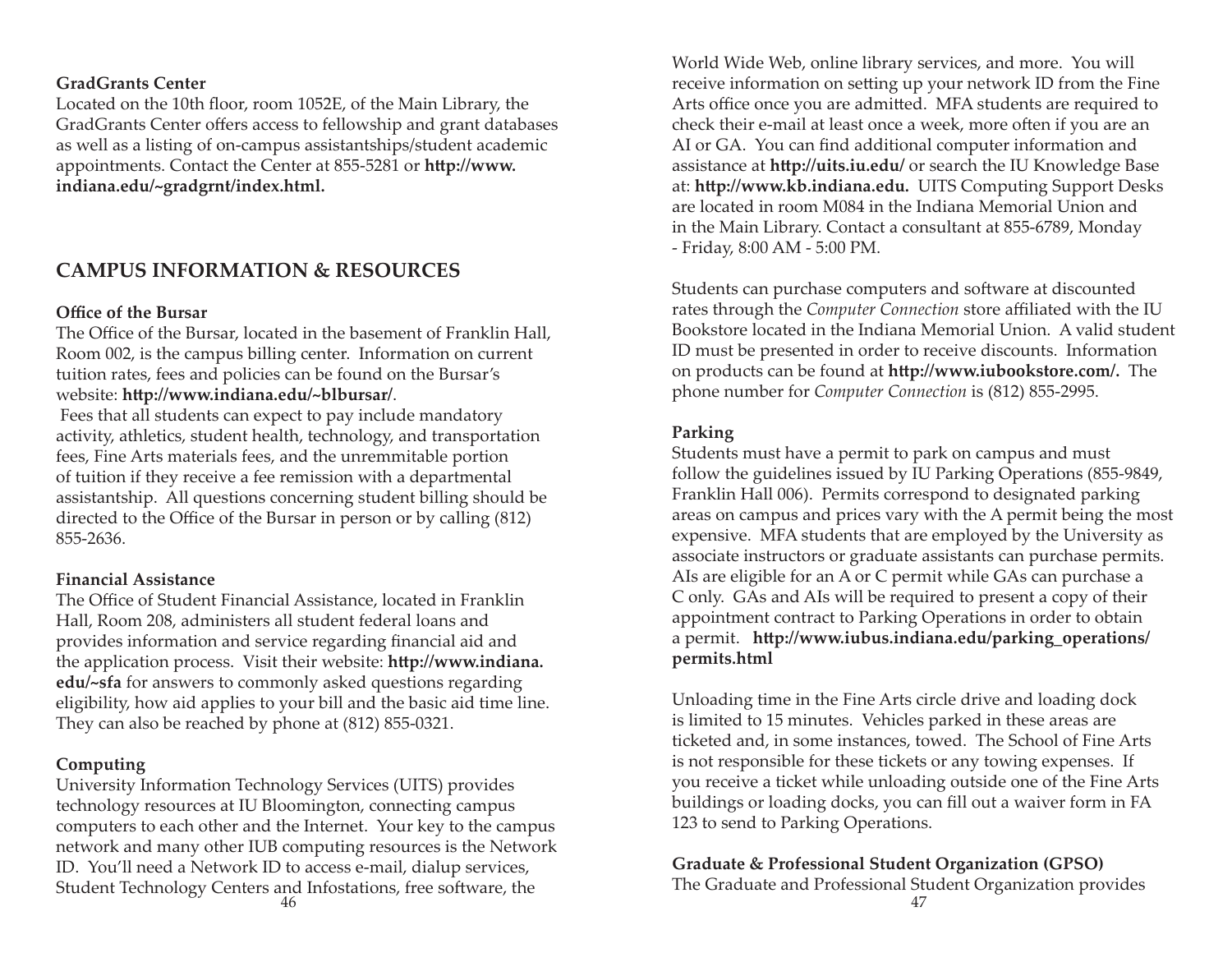#### **GradGrants Center**

Located on the 10th floor, room 1052E, of the Main Library, the GradGrants Center offers access to fellowship and grant databases as well as a listing of on-campus assistantships/student academic appointments. Contact the Center at 855-5281 or **http://www. indiana.edu/~gradgrnt/index.html.**

# **CAMPUS INFORMATION & RESOURCES**

#### **Office of the Bursar**

The Office of the Bursar, located in the basement of Franklin Hall, Room 002, is the campus billing center. Information on current tuition rates, fees and policies can be found on the Bursar's website: http://www.indiana.edu/~blbursar/.

 Fees that all students can expect to pay include mandatory activity, athletics, student health, technology, and transportation fees, Fine Arts materials fees, and the unremmitable portion of tuition if they receive a fee remission with a departmental assistantship. All questions concerning student billing should be directed to the Office of the Bursar in person or by calling (812) 855-2636.

#### **Financial Assistance**

The Office of Student Financial Assistance, located in Franklin Hall, Room 208, administers all student federal loans and provides information and service regarding financial aid and the application process. Visit their website: **http://www.indiana. edu/~sfa** for answers to commonly asked questions regarding eligibility, how aid applies to your bill and the basic aid time line. They can also be reached by phone at (812) 855-0321.

#### **Computing**

University Information Technology Services (UITS) provides technology resources at IU Bloomington, connecting campus computers to each other and the Internet. Your key to the campus network and many other IUB computing resources is the Network ID. You'll need a Network ID to access e-mail, dialup services, Student Technology Centers and Infostations, free software, the  $\sim$  47

World Wide Web, online library services, and more. You will receive information on setting up your network ID from the Fine Arts office once you are admitted. MFA students are required to check their e-mail at least once a week, more often if you are an AI or GA. You can find additional computer information and assistance at **http://uits.iu.edu/** or search the IU Knowledge Base at: http://www.kb.indiana.edu. UITS Computing Support Desks are located in room M084 in the Indiana Memorial Union and in the Main Library. Contact a consultant at 855-6789, Monday - Friday, 8:00 AM - 5:00 PM.

Students can purchase computers and software at discounted rates through the *Computer Connection* store affiliated with the IU Bookstore located in the Indiana Memorial Union. A valid student ID must be presented in order to receive discounts. Information on products can be found at **http://www.iubookstore.com/.** The phone number for *Computer Connection* is (812) 855-2995.

#### **Parking**

Students must have a permit to park on campus and must follow the guidelines issued by IU Parking Operations (855-9849, Franklin Hall 006). Permits correspond to designated parking areas on campus and prices vary with the A permit being the most expensive. MFA students that are employed by the University as associate instructors or graduate assistants can purchase permits. AIs are eligible for an A or C permit while GAs can purchase a C only. GAs and AIs will be required to present a copy of their appointment contract to Parking Operations in order to obtain a permit. http://www.iubus.indiana.edu/parking\_operations/ **permits.html**

Unloading time in the Fine Arts circle drive and loading dock is limited to 15 minutes. Vehicles parked in these areas are ticketed and, in some instances, towed. The School of Fine Arts is not responsible for these tickets or any towing expenses. If you receive a ticket while unloading outside one of the Fine Arts buildings or loading docks, you can fill out a waiver form in FA 123 to send to Parking Operations.

#### **Graduate & Professional Student Organization (GPSO)**

The Graduate and Professional Student Organization provides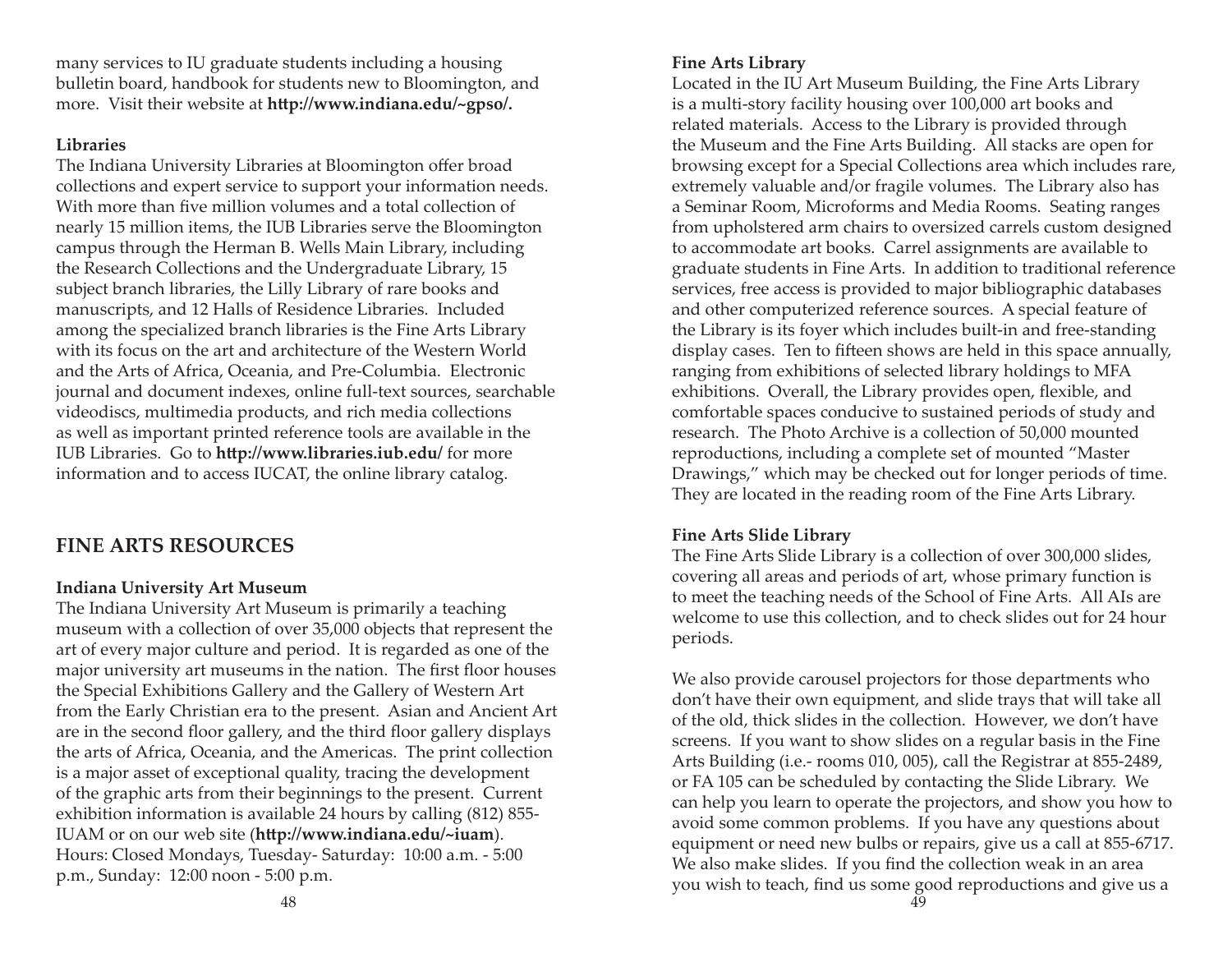many services to IU graduate students including a housing bulletin board, handbook for students new to Bloomington, and more. Visit their website at http://www.indiana.edu/~gpso/.

#### **Libraries**

The Indiana University Libraries at Bloomington offer broad collections and expert service to support your information needs. With more than five million volumes and a total collection of nearly 15 million items, the IUB Libraries serve the Bloomington campus through the Herman B. Wells Main Library, including the Research Collections and the Undergraduate Library, 15 subject branch libraries, the Lilly Library of rare books and manuscripts, and 12 Halls of Residence Libraries. Included among the specialized branch libraries is the Fine Arts Library with its focus on the art and architecture of the Western World and the Arts of Africa, Oceania, and Pre-Columbia. Electronic journal and document indexes, online full-text sources, searchable videodiscs, multimedia products, and rich media collections as well as important printed reference tools are available in the IUB Libraries. Go to http://www.libraries.iub.edu/ for more information and to access IUCAT, the online library catalog.

# **FINE ARTS RESOURCES**

#### **Indiana University Art Museum**

The Indiana University Art Museum is primarily a teaching museum with a collection of over 35,000 objects that represent the art of every major culture and period. It is regarded as one of the major university art museums in the nation. The first floor houses the Special Exhibitions Gallery and the Gallery of Western Art from the Early Christian era to the present. Asian and Ancient Art are in the second floor gallery, and the third floor gallery displays the arts of Africa, Oceania, and the Americas. The print collection is a major asset of exceptional quality, tracing the development of the graphic arts from their beginnings to the present. Current exhibition information is available 24 hours by calling (812) 855- IUAM or on our web site (http://www.indiana.edu/~iuam). Hours: Closed Mondays, Tuesday- Saturday: 10:00 a.m. - 5:00 p.m., Sunday: 12:00 noon - 5:00 p.m.

Located in the IU Art Museum Building, the Fine Arts Library is a multi-story facility housing over 100,000 art books and related materials. Access to the Library is provided through the Museum and the Fine Arts Building. All stacks are open for browsing except for a Special Collections area which includes rare, extremely valuable and/or fragile volumes. The Library also has a Seminar Room, Microforms and Media Rooms. Seating ranges from upholstered arm chairs to oversized carrels custom designed to accommodate art books. Carrel assignments are available to graduate students in Fine Arts. In addition to traditional reference services, free access is provided to major bibliographic databases and other computerized reference sources. A special feature of the Library is its foyer which includes built-in and free-standing display cases. Ten to fifteen shows are held in this space annually, ranging from exhibitions of selected library holdings to MFA exhibitions. Overall, the Library provides open, flexible, and comfortable spaces conducive to sustained periods of study and research. The Photo Archive is a collection of 50,000 mounted reproductions, including a complete set of mounted "Master Drawings," which may be checked out for longer periods of time. They are located in the reading room of the Fine Arts Library.

#### **Fine Arts Slide Library**

The Fine Arts Slide Library is a collection of over 300,000 slides, covering all areas and periods of art, whose primary function is to meet the teaching needs of the School of Fine Arts. All AIs are welcome to use this collection, and to check slides out for 24 hour periods.

We also provide carousel projectors for those departments who don't have their own equipment, and slide trays that will take all of the old, thick slides in the collection. However, we don't have screens. If you want to show slides on a regular basis in the Fine Arts Building (i.e.- rooms 010, 005), call the Registrar at 855-2489, or FA 105 can be scheduled by contacting the Slide Library. We can help you learn to operate the projectors, and show you how to avoid some common problems. If you have any questions about equipment or need new bulbs or repairs, give us a call at 855-6717. We also make slides. If you find the collection weak in an area you wish to teach, find us some good reproductions and give us a 49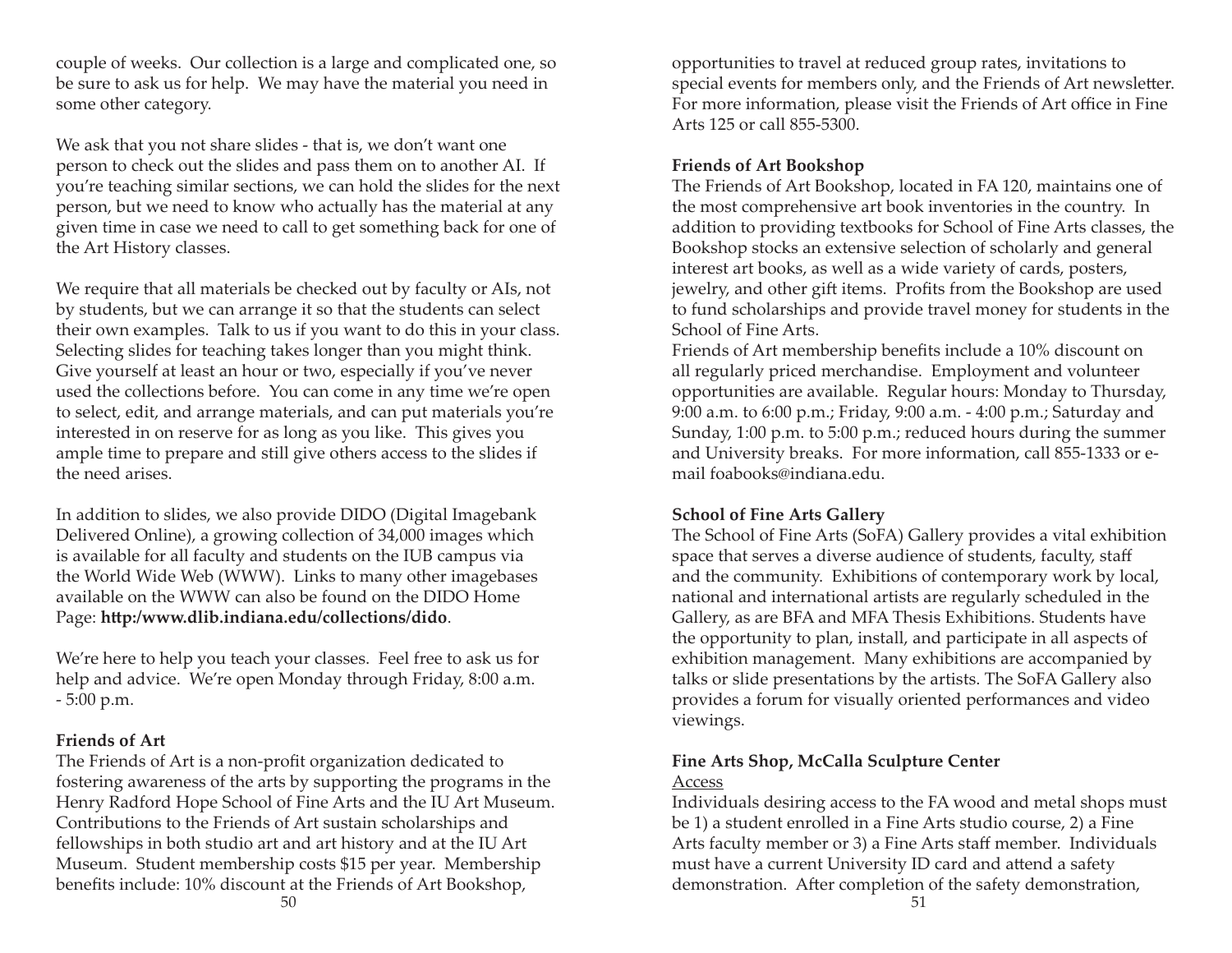couple of weeks. Our collection is a large and complicated one, so be sure to ask us for help. We may have the material you need in some other category.

We ask that you not share slides - that is, we don't want one person to check out the slides and pass them on to another AI. If you're teaching similar sections, we can hold the slides for the next person, but we need to know who actually has the material at any given time in case we need to call to get something back for one of the Art History classes.

We require that all materials be checked out by faculty or AIs, not by students, but we can arrange it so that the students can select their own examples. Talk to us if you want to do this in your class. Selecting slides for teaching takes longer than you might think. Give yourself at least an hour or two, especially if you've never used the collections before. You can come in any time we're open to select, edit, and arrange materials, and can put materials you're interested in on reserve for as long as you like. This gives you ample time to prepare and still give others access to the slides if the need arises.

In addition to slides, we also provide DIDO (Digital Imagebank Delivered Online), a growing collection of 34,000 images which is available for all faculty and students on the IUB campus via the World Wide Web (WWW). Links to many other imagebases available on the WWW can also be found on the DIDO Home Page: http:/www.dlib.indiana.edu/collections/dido.

We're here to help you teach your classes. Feel free to ask us for help and advice. We're open Monday through Friday, 8:00 a.m. - 5:00 p.m.

#### **Friends of Art**

The Friends of Art is a non-profit organization dedicated to fostering awareness of the arts by supporting the programs in the Henry Radford Hope School of Fine Arts and the IU Art Museum. Contributions to the Friends of Art sustain scholarships and fellowships in both studio art and art history and at the IU Art Museum. Student membership costs \$15 per year. Membership benefits include: 10% discount at the Friends of Art Bookshop,

opportunities to travel at reduced group rates, invitations to special events for members only, and the Friends of Art newsletter. For more information, please visit the Friends of Art office in Fine Arts 125 or call 855-5300.

# **Friends of Art Bookshop**

The Friends of Art Bookshop, located in FA 120, maintains one of the most comprehensive art book inventories in the country. In addition to providing textbooks for School of Fine Arts classes, the Bookshop stocks an extensive selection of scholarly and general interest art books, as well as a wide variety of cards, posters, jewelry, and other gift items. Profits from the Bookshop are used to fund scholarships and provide travel money for students in the School of Fine Arts.

Friends of Art membership benefits include a 10% discount on all regularly priced merchandise. Employment and volunteer opportunities are available. Regular hours: Monday to Thursday, 9:00 a.m. to 6:00 p.m.; Friday, 9:00 a.m. - 4:00 p.m.; Saturday and Sunday, 1:00 p.m. to 5:00 p.m.; reduced hours during the summer and University breaks. For more information, call 855-1333 or email foabooks@indiana.edu.

# **School of Fine Arts Gallery**

The School of Fine Arts (SoFA) Gallery provides a vital exhibition space that serves a diverse audience of students, faculty, staff and the community. Exhibitions of contemporary work by local, national and international artists are regularly scheduled in the Gallery, as are BFA and MFA Thesis Exhibitions. Students have the opportunity to plan, install, and participate in all aspects of exhibition management. Many exhibitions are accompanied by talks or slide presentations by the artists. The SoFA Gallery also provides a forum for visually oriented performances and video viewings.

# **Fine Arts Shop, McCalla Sculpture Center**

#### Access

Individuals desiring access to the FA wood and metal shops must be 1) a student enrolled in a Fine Arts studio course, 2) a Fine Arts faculty member or 3) a Fine Arts staff member. Individuals must have a current University ID card and attend a safety demonstration. After completion of the safety demonstration,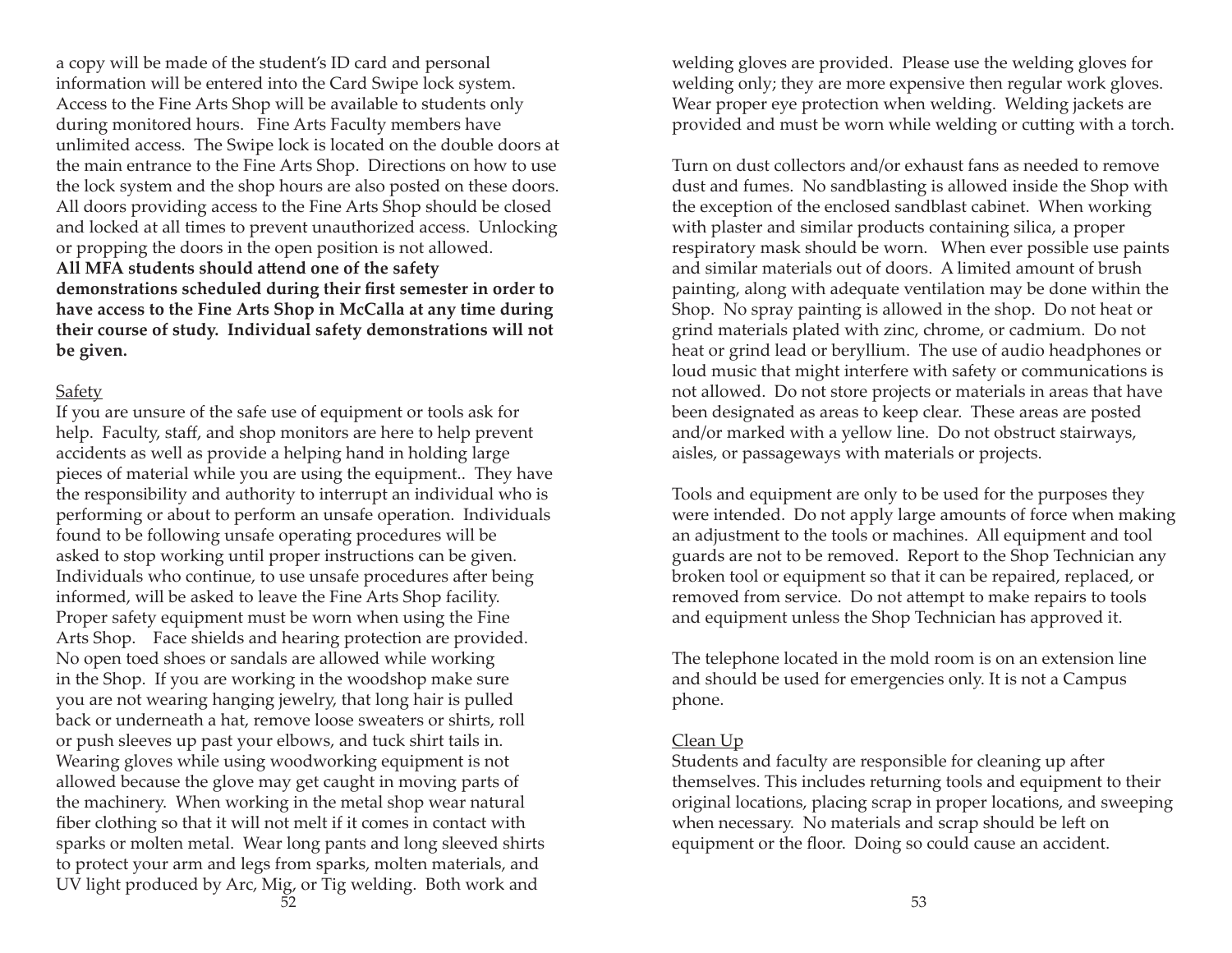a copy will be made of the student's ID card and personal information will be entered into the Card Swipe lock system. Access to the Fine Arts Shop will be available to students only during monitored hours. Fine Arts Faculty members have unlimited access. The Swipe lock is located on the double doors at the main entrance to the Fine Arts Shop. Directions on how to use the lock system and the shop hours are also posted on these doors. All doors providing access to the Fine Arts Shop should be closed and locked at all times to prevent unauthorized access. Unlocking or propping the doors in the open position is not allowed.

All MFA students should attend one of the safety demonstrations scheduled during their first semester in order to **have access to the Fine Arts Shop in McCalla at any time during their course of study. Individual safety demonstrations will not be given.** 

#### Safety

If you are unsure of the safe use of equipment or tools ask for help. Faculty, staff, and shop monitors are here to help prevent accidents as well as provide a helping hand in holding large pieces of material while you are using the equipment.. They have the responsibility and authority to interrupt an individual who is performing or about to perform an unsafe operation. Individuals found to be following unsafe operating procedures will be asked to stop working until proper instructions can be given. Individuals who continue, to use unsafe procedures after being informed, will be asked to leave the Fine Arts Shop facility. Proper safety equipment must be worn when using the Fine Arts Shop. Face shields and hearing protection are provided. No open toed shoes or sandals are allowed while working in the Shop. If you are working in the woodshop make sure you are not wearing hanging jewelry, that long hair is pulled back or underneath a hat, remove loose sweaters or shirts, roll or push sleeves up past your elbows, and tuck shirt tails in. Wearing gloves while using woodworking equipment is not allowed because the glove may get caught in moving parts of the machinery. When working in the metal shop wear natural fiber clothing so that it will not melt if it comes in contact with sparks or molten metal. Wear long pants and long sleeved shirts to protect your arm and legs from sparks, molten materials, and UV light produced by Arc, Mig, or Tig welding. Both work and  $\sim$  53

welding gloves are provided. Please use the welding gloves for welding only; they are more expensive then regular work gloves. Wear proper eye protection when welding. Welding jackets are provided and must be worn while welding or cutting with a torch.

Turn on dust collectors and/or exhaust fans as needed to remove dust and fumes. No sandblasting is allowed inside the Shop with the exception of the enclosed sandblast cabinet. When working with plaster and similar products containing silica, a proper respiratory mask should be worn. When ever possible use paints and similar materials out of doors. A limited amount of brush painting, along with adequate ventilation may be done within the Shop. No spray painting is allowed in the shop. Do not heat or grind materials plated with zinc, chrome, or cadmium. Do not heat or grind lead or beryllium. The use of audio headphones or loud music that might interfere with safety or communications is not allowed. Do not store projects or materials in areas that have been designated as areas to keep clear. These areas are posted and/or marked with a yellow line. Do not obstruct stairways, aisles, or passageways with materials or projects.

Tools and equipment are only to be used for the purposes they were intended. Do not apply large amounts of force when making an adjustment to the tools or machines. All equipment and tool guards are not to be removed. Report to the Shop Technician any broken tool or equipment so that it can be repaired, replaced, or removed from service. Do not attempt to make repairs to tools and equipment unless the Shop Technician has approved it.

The telephone located in the mold room is on an extension line and should be used for emergencies only. It is not a Campus phone.

#### Clean Up

Students and faculty are responsible for cleaning up after themselves. This includes returning tools and equipment to their original locations, placing scrap in proper locations, and sweeping when necessary. No materials and scrap should be left on equipment or the floor. Doing so could cause an accident.

52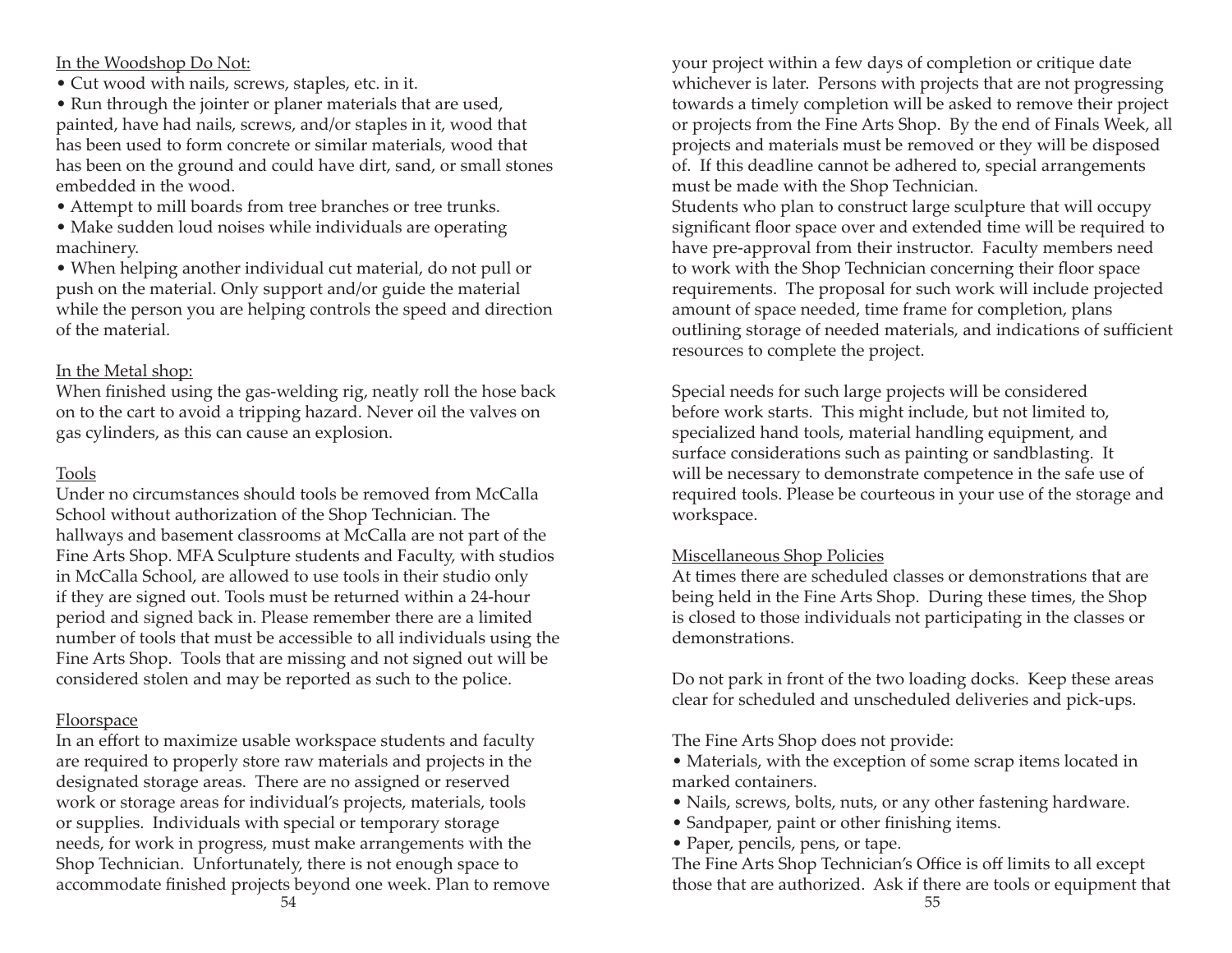#### In the Woodshop Do Not:

• Cut wood with nails, screws, staples, etc. in it.

• Run through the jointer or planer materials that are used, painted, have had nails, screws, and/or staples in it, wood that has been used to form concrete or similar materials, wood that has been on the ground and could have dirt, sand, or small stones embedded in the wood.

• Attempt to mill boards from tree branches or tree trunks.

• Make sudden loud noises while individuals are operating machinery.

• When helping another individual cut material, do not pull or push on the material. Only support and/or guide the material while the person you are helping controls the speed and direction of the material.

# In the Metal shop:

When finished using the gas-welding rig, neatly roll the hose back on to the cart to avoid a tripping hazard. Never oil the valves on gas cylinders, as this can cause an explosion.

# Tools

Under no circumstances should tools be removed from McCalla School without authorization of the Shop Technician. The hallways and basement classrooms at McCalla are not part of the Fine Arts Shop. MFA Sculpture students and Faculty, with studios in McCalla School, are allowed to use tools in their studio only if they are signed out. Tools must be returned within a 24-hour period and signed back in. Please remember there are a limited number of tools that must be accessible to all individuals using the Fine Arts Shop. Tools that are missing and not signed out will be considered stolen and may be reported as such to the police.

# **Floorspace**

In an effort to maximize usable workspace students and faculty are required to properly store raw materials and projects in the designated storage areas. There are no assigned or reserved work or storage areas for individual's projects, materials, tools or supplies. Individuals with special or temporary storage needs, for work in progress, must make arrangements with the Shop Technician. Unfortunately, there is not enough space to accommodate finished projects beyond one week. Plan to remove your project within a few days of completion or critique date whichever is later. Persons with projects that are not progressing towards a timely completion will be asked to remove their project or projects from the Fine Arts Shop. By the end of Finals Week, all projects and materials must be removed or they will be disposed of. If this deadline cannot be adhered to, special arrangements must be made with the Shop Technician.

Students who plan to construct large sculpture that will occupy significant floor space over and extended time will be required to have pre-approval from their instructor. Faculty members need to work with the Shop Technician concerning their floor space requirements. The proposal for such work will include projected amount of space needed, time frame for completion, plans outlining storage of needed materials, and indications of sufficient resources to complete the project.

Special needs for such large projects will be considered before work starts. This might include, but not limited to, specialized hand tools, material handling equipment, and surface considerations such as painting or sandblasting. It will be necessary to demonstrate competence in the safe use of required tools. Please be courteous in your use of the storage and workspace.

# Miscellaneous Shop Policies

At times there are scheduled classes or demonstrations that are being held in the Fine Arts Shop. During these times, the Shop is closed to those individuals not participating in the classes or demonstrations.

Do not park in front of the two loading docks. Keep these areas clear for scheduled and unscheduled deliveries and pick-ups.

The Fine Arts Shop does not provide:

- Materials, with the exception of some scrap items located in marked containers.
- Nails, screws, bolts, nuts, or any other fastening hardware.
- Sandpaper, paint or other finishing items.
- Paper, pencils, pens, or tape.

The Fine Arts Shop Technician's Office is off limits to all except those that are authorized. Ask if there are tools or equipment that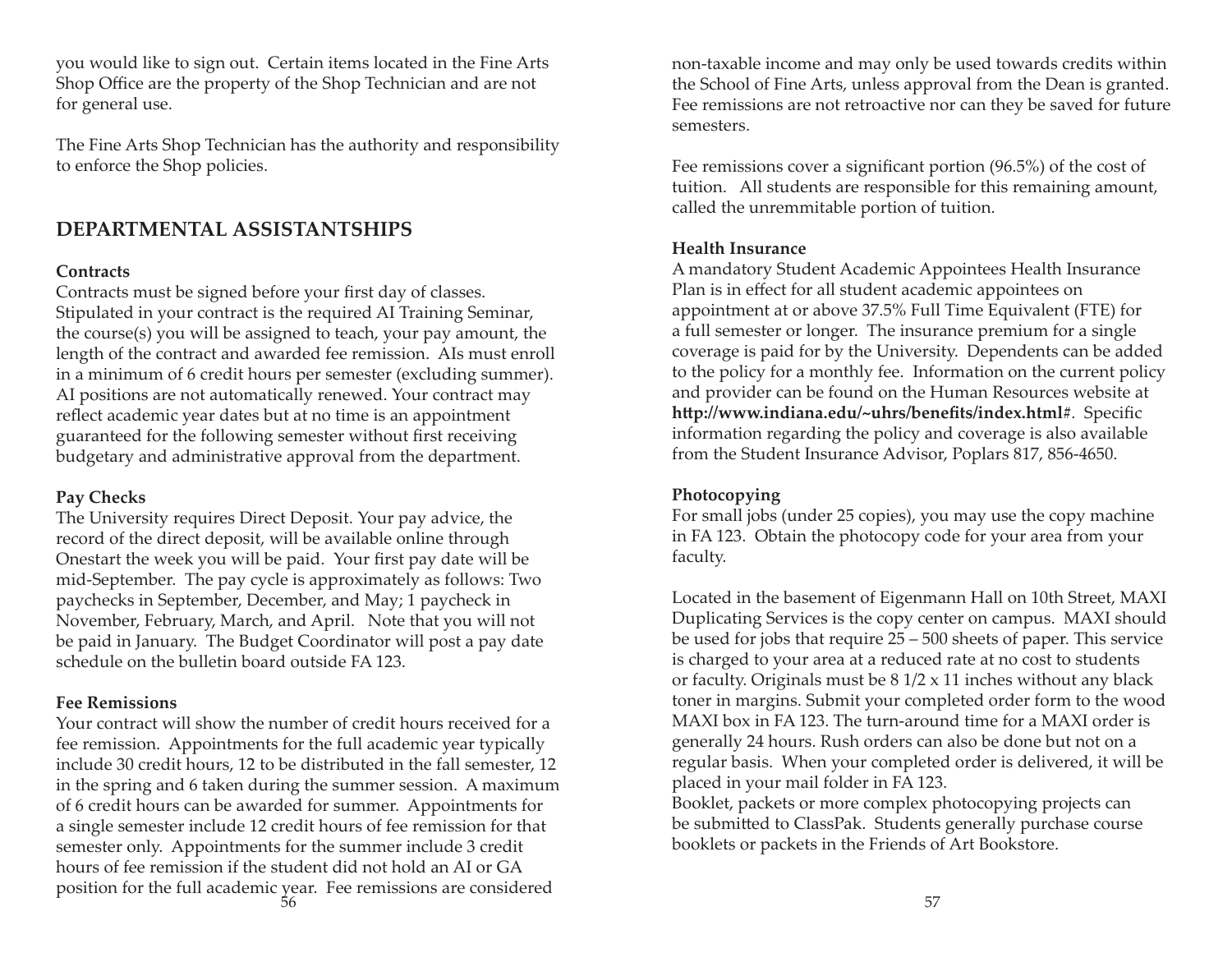you would like to sign out. Certain items located in the Fine Arts Shop Office are the property of the Shop Technician and are not for general use.

The Fine Arts Shop Technician has the authority and responsibility to enforce the Shop policies.

# **DEPARTMENTAL ASSISTANTSHIPS**

#### **Contracts**

Contracts must be signed before your first day of classes. Stipulated in your contract is the required AI Training Seminar, the course(s) you will be assigned to teach, your pay amount, the length of the contract and awarded fee remission. AIs must enroll in a minimum of 6 credit hours per semester (excluding summer). AI positions are not automatically renewed. Your contract may reflect academic year dates but at no time is an appointment guaranteed for the following semester without first receiving budgetary and administrative approval from the department.

#### **Pay Checks**

The University requires Direct Deposit. Your pay advice, the record of the direct deposit, will be available online through Onestart the week you will be paid. Your first pay date will be mid-September. The pay cycle is approximately as follows: Two paychecks in September, December, and May; 1 paycheck in November, February, March, and April. Note that you will not be paid in January. The Budget Coordinator will post a pay date schedule on the bulletin board outside FA 123.

#### **Fee Remissions**

Your contract will show the number of credit hours received for a fee remission. Appointments for the full academic year typically include 30 credit hours, 12 to be distributed in the fall semester, 12 in the spring and 6 taken during the summer session. A maximum of 6 credit hours can be awarded for summer. Appointments for a single semester include 12 credit hours of fee remission for that semester only. Appointments for the summer include 3 credit hours of fee remission if the student did not hold an AI or GA position for the full academic year. Fee remissions are considered  $\sim$  57

non-taxable income and may only be used towards credits within the School of Fine Arts, unless approval from the Dean is granted. Fee remissions are not retroactive nor can they be saved for future semesters.

Fee remissions cover a significant portion  $(96.5%)$  of the cost of tuition. All students are responsible for this remaining amount, called the unremmitable portion of tuition.

#### **Health Insurance**

A mandatory Student Academic Appointees Health Insurance Plan is in effect for all student academic appointees on appointment at or above 37.5% Full Time Equivalent (FTE) for a full semester or longer. The insurance premium for a single coverage is paid for by the University. Dependents can be added to the policy for a monthly fee. Information on the current policy and provider can be found on the Human Resources website at http://www.indiana.edu/~uhrs/benefits/index.html#. Specific information regarding the policy and coverage is also available from the Student Insurance Advisor, Poplars 817, 856-4650.

#### **Photocopying**

For small jobs (under 25 copies), you may use the copy machine in FA 123. Obtain the photocopy code for your area from your faculty.

Located in the basement of Eigenmann Hall on 10th Street, MAXI Duplicating Services is the copy center on campus. MAXI should be used for jobs that require 25 – 500 sheets of paper. This service is charged to your area at a reduced rate at no cost to students or faculty. Originals must be  $8 \frac{1}{2} \times 11$  inches without any black toner in margins. Submit your completed order form to the wood MAXI box in FA 123. The turn-around time for a MAXI order is generally 24 hours. Rush orders can also be done but not on a regular basis. When your completed order is delivered, it will be placed in your mail folder in FA 123.

Booklet, packets or more complex photocopying projects can be submitted to ClassPak. Students generally purchase course booklets or packets in the Friends of Art Bookstore.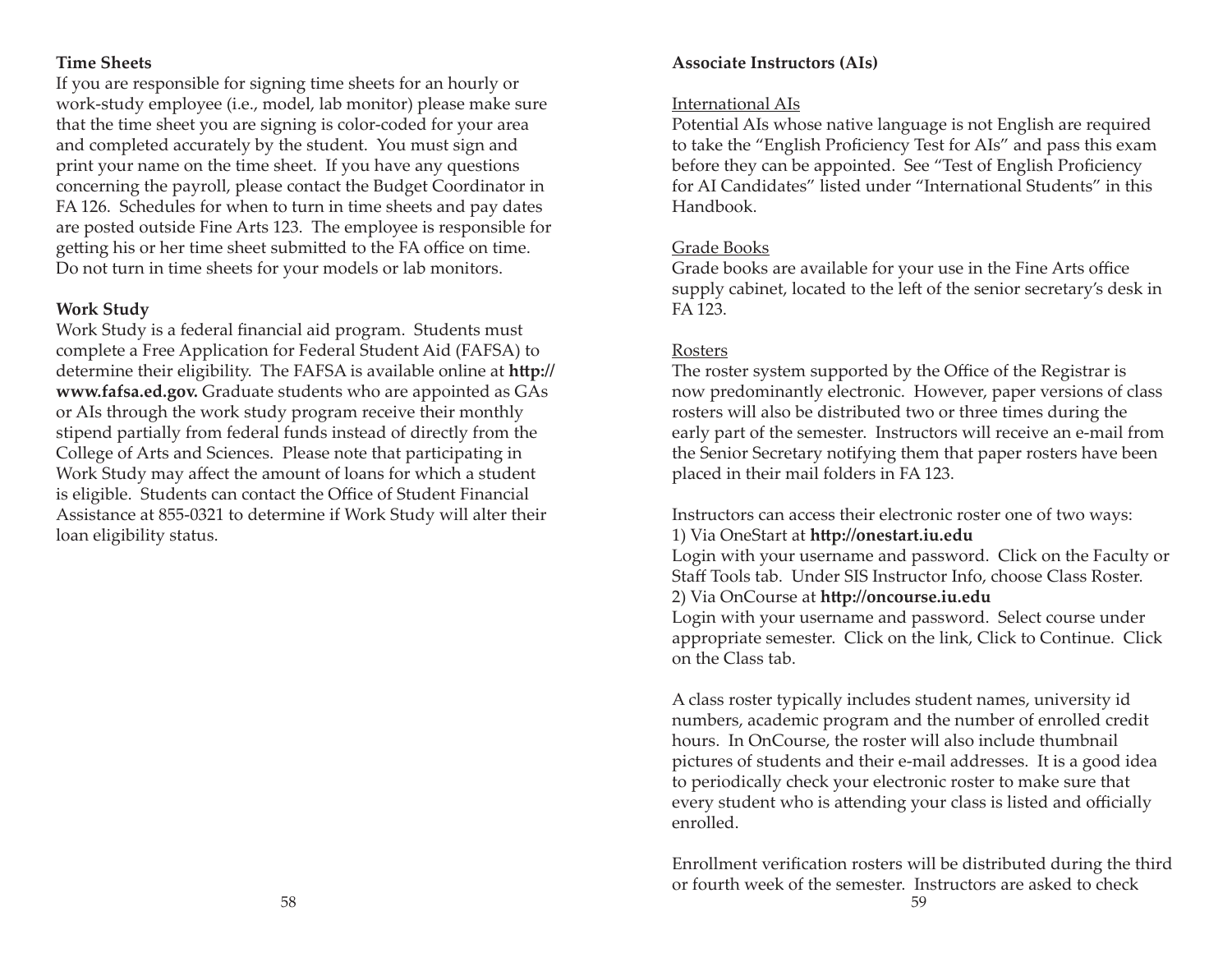#### **Time Sheets**

If you are responsible for signing time sheets for an hourly or work-study employee (i.e., model, lab monitor) please make sure that the time sheet you are signing is color-coded for your area and completed accurately by the student. You must sign and print your name on the time sheet. If you have any questions concerning the payroll, please contact the Budget Coordinator in FA 126. Schedules for when to turn in time sheets and pay dates are posted outside Fine Arts 123. The employee is responsible for getting his or her time sheet submitted to the FA office on time. Do not turn in time sheets for your models or lab monitors.

## **Work Study**

Work Study is a federal financial aid program. Students must complete a Free Application for Federal Student Aid (FAFSA) to determine their eligibility. The FAFSA is available online at **http:// www.fafsa.ed.gov.** Graduate students who are appointed as GAs or AIs through the work study program receive their monthly stipend partially from federal funds instead of directly from the College of Arts and Sciences. Please note that participating in Work Study may affect the amount of loans for which a student is eligible. Students can contact the Office of Student Financial Assistance at 855-0321 to determine if Work Study will alter their loan eligibility status.

# **Associate Instructors (AIs)**

#### International AIs

Potential AIs whose native language is not English are required to take the "English Proficiency Test for AIs" and pass this exam before they can be appointed. See "Test of English Proficiency for AI Candidates" listed under "International Students" in this Handbook.

# Grade Books

Grade books are available for your use in the Fine Arts office supply cabinet, located to the left of the senior secretary's desk in FA 123.

# <u>Rosters</u>

The roster system supported by the Office of the Registrar is now predominantly electronic. However, paper versions of class rosters will also be distributed two or three times during the early part of the semester. Instructors will receive an e-mail from the Senior Secretary notifying them that paper rosters have been placed in their mail folders in FA 123.

Instructors can access their electronic roster one of two ways: 1) Via OneStart at **http://onestart.iu.edu** 

Login with your username and password. Click on the Faculty or Staff Tools tab. Under SIS Instructor Info, choose Class Roster. 2) Via OnCourse at **http://oncourse.iu.edu** 

Login with your username and password. Select course under appropriate semester. Click on the link, Click to Continue. Click on the Class tab.

A class roster typically includes student names, university id numbers, academic program and the number of enrolled credit hours. In OnCourse, the roster will also include thumbnail pictures of students and their e-mail addresses. It is a good idea to periodically check your electronic roster to make sure that every student who is attending your class is listed and officially enrolled.

Enrollment verification rosters will be distributed during the third or fourth week of the semester. Instructors are asked to check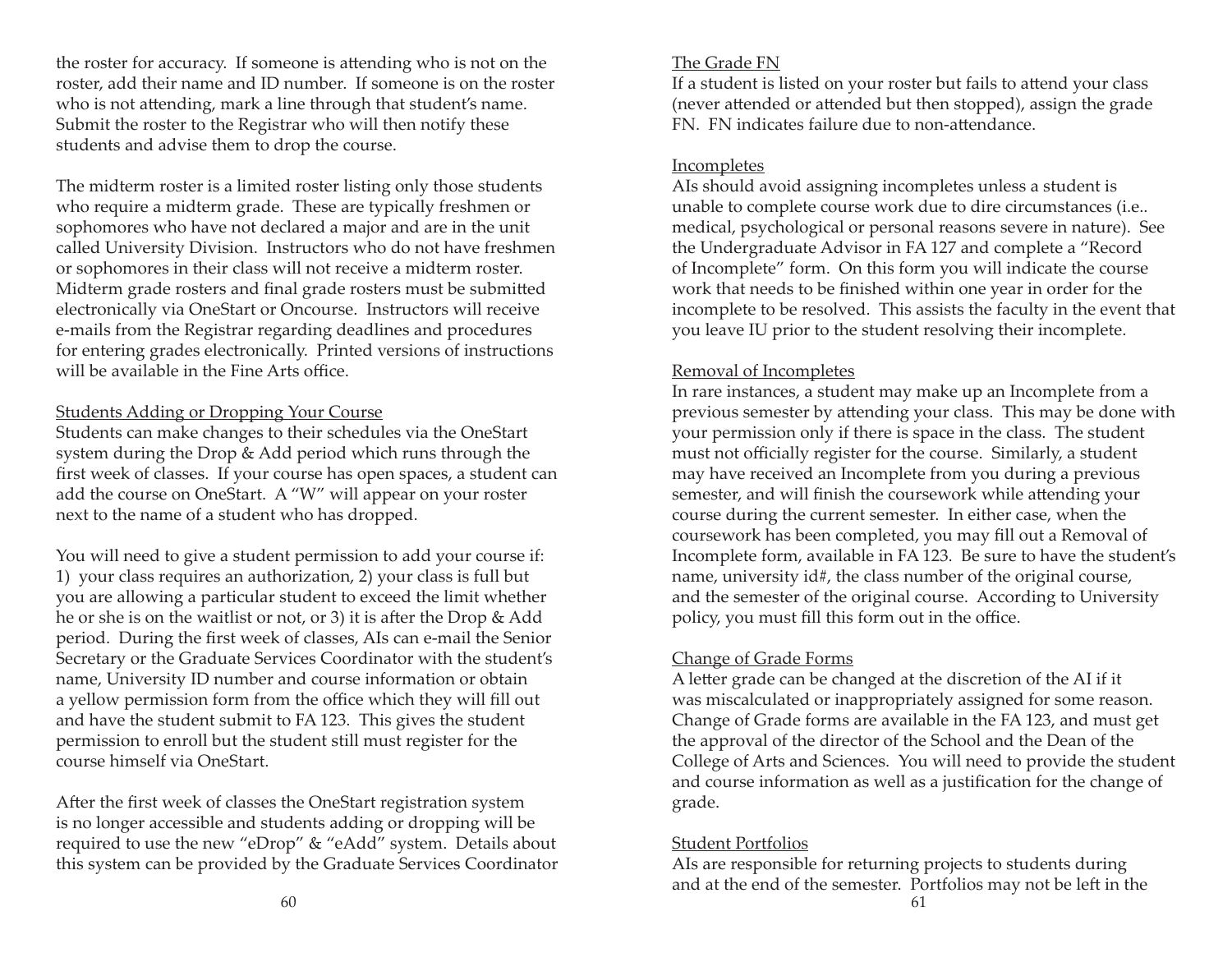the roster for accuracy. If someone is attending who is not on the roster, add their name and ID number. If someone is on the roster who is not attending, mark a line through that student's name. Submit the roster to the Registrar who will then notify these students and advise them to drop the course.

The midterm roster is a limited roster listing only those students who require a midterm grade. These are typically freshmen or sophomores who have not declared a major and are in the unit called University Division. Instructors who do not have freshmen or sophomores in their class will not receive a midterm roster. Midterm grade rosters and final grade rosters must be submitted electronically via OneStart or Oncourse. Instructors will receive e-mails from the Registrar regarding deadlines and procedures for entering grades electronically. Printed versions of instructions will be available in the Fine Arts office.

## Students Adding or Dropping Your Course

Students can make changes to their schedules via the OneStart system during the Drop & Add period which runs through the first week of classes. If your course has open spaces, a student can add the course on OneStart. A "W" will appear on your roster next to the name of a student who has dropped.

You will need to give a student permission to add your course if: 1) your class requires an authorization, 2) your class is full but you are allowing a particular student to exceed the limit whether he or she is on the waitlist or not, or 3) it is after the Drop & Add period. During the first week of classes, AIs can e-mail the Senior Secretary or the Graduate Services Coordinator with the student's name, University ID number and course information or obtain a yellow permission form from the office which they will fill out and have the student submit to FA 123. This gives the student permission to enroll but the student still must register for the course himself via OneStart.

After the first week of classes the OneStart registration system is no longer accessible and students adding or dropping will be required to use the new "eDrop" & "eAdd" system. Details about this system can be provided by the Graduate Services Coordinator

# The Grade FN

If a student is listed on your roster but fails to attend your class (never attended or attended but then stopped), assign the grade FN. FN indicates failure due to non-attendance.

# Incompletes

AIs should avoid assigning incompletes unless a student is unable to complete course work due to dire circumstances (i.e.. medical, psychological or personal reasons severe in nature). See the Undergraduate Advisor in FA 127 and complete a "Record of Incomplete" form. On this form you will indicate the course work that needs to be finished within one year in order for the incomplete to be resolved. This assists the faculty in the event that you leave IU prior to the student resolving their incomplete.

# Removal of Incompletes

In rare instances, a student may make up an Incomplete from a previous semester by attending your class. This may be done with your permission only if there is space in the class. The student must not officially register for the course. Similarly, a student may have received an Incomplete from you during a previous semester, and will finish the coursework while attending your course during the current semester. In either case, when the coursework has been completed, you may fill out a Removal of Incomplete form, available in FA 123. Be sure to have the student's name, university id#, the class number of the original course, and the semester of the original course. According to University policy, you must fill this form out in the office.

# Change of Grade Forms

A letter grade can be changed at the discretion of the AI if it was miscalculated or inappropriately assigned for some reason. Change of Grade forms are available in the FA 123, and must get the approval of the director of the School and the Dean of the College of Arts and Sciences. You will need to provide the student and course information as well as a justification for the change of grade.

# Student Portfolios

AIs are responsible for returning projects to students during and at the end of the semester. Portfolios may not be left in the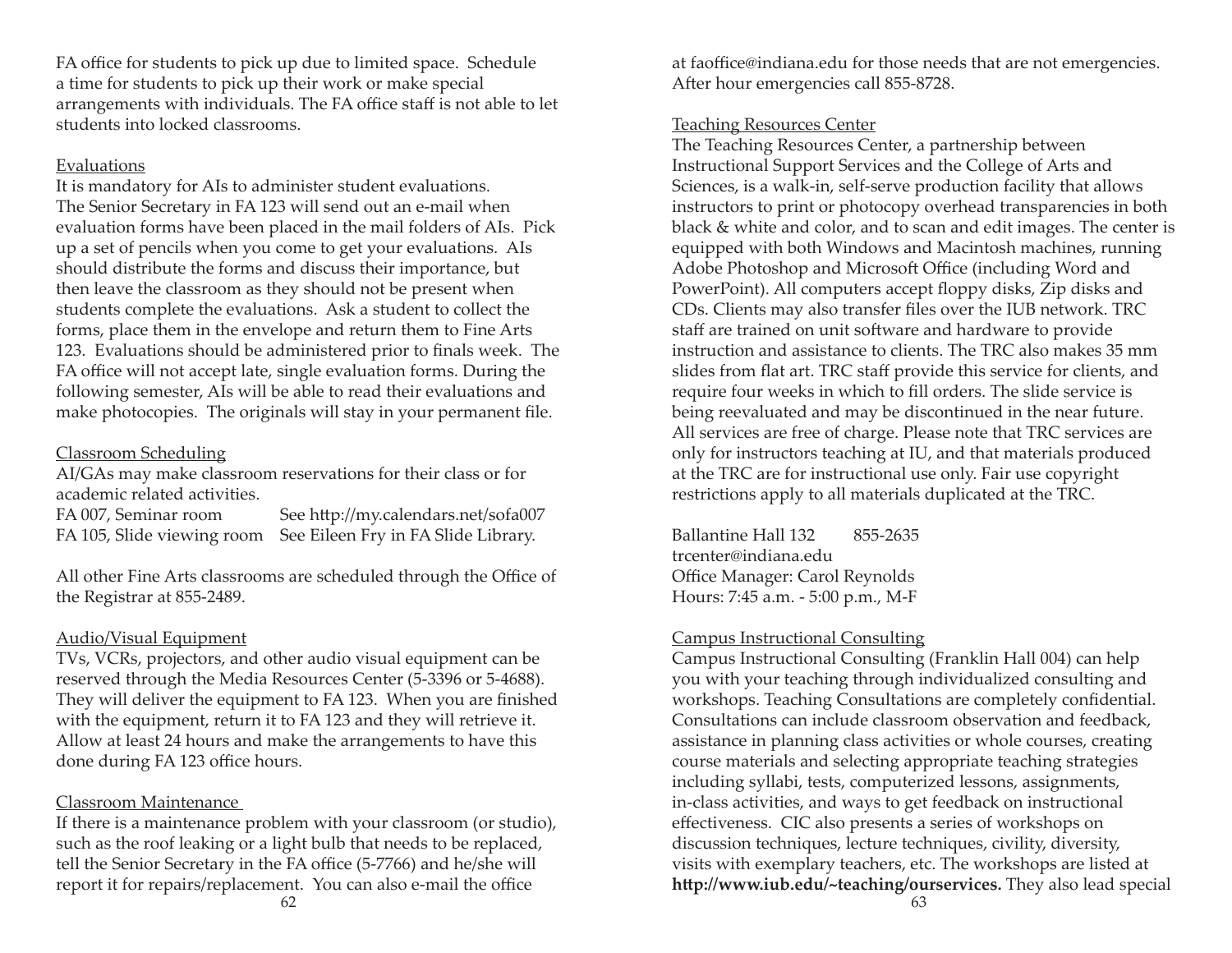FA office for students to pick up due to limited space. Schedule a time for students to pick up their work or make special arrangements with individuals. The FA office staff is not able to let students into locked classrooms.

#### Evaluations

It is mandatory for AIs to administer student evaluations. The Senior Secretary in FA 123 will send out an e-mail when evaluation forms have been placed in the mail folders of AIs. Pick up a set of pencils when you come to get your evaluations. AIs should distribute the forms and discuss their importance, but then leave the classroom as they should not be present when students complete the evaluations. Ask a student to collect the forms, place them in the envelope and return them to Fine Arts 123. Evaluations should be administered prior to finals week. The FA office will not accept late, single evaluation forms. During the following semester, AIs will be able to read their evaluations and make photocopies. The originals will stay in your permanent file.

# Classroom Scheduling

AI/GAs may make classroom reservations for their class or for academic related activities.

FA 007, Seminar room See http://my.calendars.net/sofa007 FA 105, Slide viewing room See Eileen Fry in FA Slide Library.

All other Fine Arts classrooms are scheduled through the Office of the Registrar at 855-2489.

# Audio/Visual Equipment

TVs, VCRs, projectors, and other audio visual equipment can be reserved through the Media Resources Center (5-3396 or 5-4688). They will deliver the equipment to FA 123. When you are finished with the equipment, return it to FA 123 and they will retrieve it. Allow at least 24 hours and make the arrangements to have this done during FA 123 office hours.

# Classroom Maintenance

If there is a maintenance problem with your classroom (or studio), such as the roof leaking or a light bulb that needs to be replaced, tell the Senior Secretary in the FA office (5-7766) and he/she will report it for repairs/replacement. You can also e-mail the office

at faoffice@indiana.edu for those needs that are not emergencies. After hour emergencies call 855-8728.

# Teaching Resources Center

The Teaching Resources Center, a partnership between Instructional Support Services and the College of Arts and Sciences, is a walk-in, self-serve production facility that allows instructors to print or photocopy overhead transparencies in both black & white and color, and to scan and edit images. The center is equipped with both Windows and Macintosh machines, running Adobe Photoshop and Microsoft Office (including Word and PowerPoint). All computers accept floppy disks, Zip disks and CDs. Clients may also transfer files over the IUB network. TRC staff are trained on unit software and hardware to provide instruction and assistance to clients. The TRC also makes 35 mm slides from flat art. TRC staff provide this service for clients, and require four weeks in which to fill orders. The slide service is being reevaluated and may be discontinued in the near future. All services are free of charge. Please note that TRC services are only for instructors teaching at IU, and that materials produced at the TRC are for instructional use only. Fair use copyright restrictions apply to all materials duplicated at the TRC.

Ballantine Hall 132 855-2635trcenter@indiana.eduOffice Manager: Carol Reynolds Hours: 7:45 a.m. - 5:00 p.m., M-F

# Campus Instructional Consulting

Campus Instructional Consulting (Franklin Hall 004) can help you with your teaching through individualized consulting and workshops. Teaching Consultations are completely confidential. Consultations can include classroom observation and feedback, assistance in planning class activities or whole courses, creating course materials and selecting appropriate teaching strategies including syllabi, tests, computerized lessons, assignments, in-class activities, and ways to get feedback on instructional effectiveness. CIC also presents a series of workshops on discussion techniques, lecture techniques, civility, diversity, visits with exemplary teachers, etc. The workshops are listed at http://www.iub.edu/~teaching/ourservices. They also lead special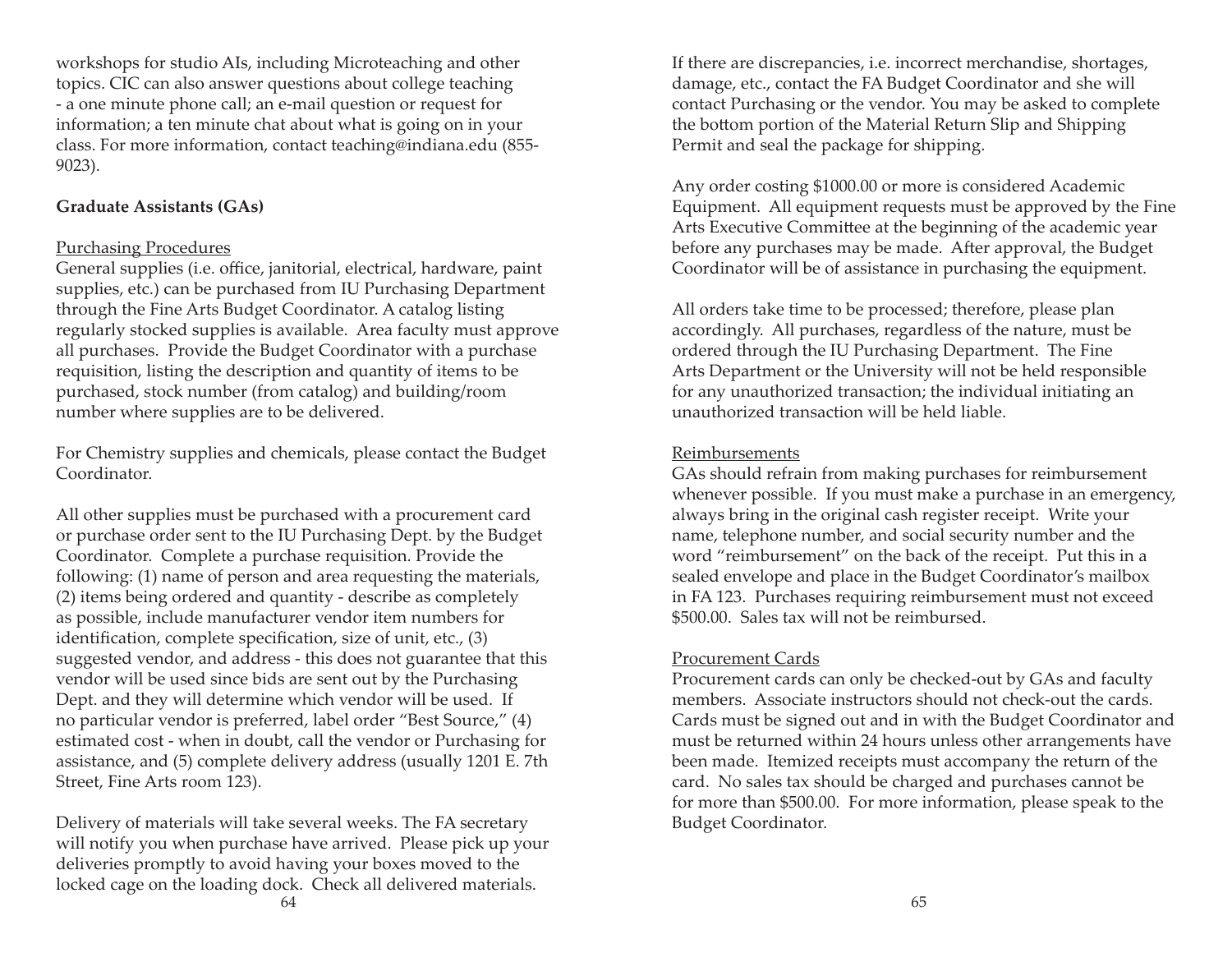workshops for studio AIs, including Microteaching and other topics. CIC can also answer questions about college teaching - a one minute phone call; an e-mail question or request for information; a ten minute chat about what is going on in your class. For more information, contact teaching@indiana.edu (855- 9023).

#### **Graduate Assistants (GAs)**

#### Purchasing Procedures

General supplies (i.e. office, janitorial, electrical, hardware, paint supplies, etc.) can be purchased from IU Purchasing Department through the Fine Arts Budget Coordinator. A catalog listing regularly stocked supplies is available. Area faculty must approve all purchases. Provide the Budget Coordinator with a purchase requisition, listing the description and quantity of items to be purchased, stock number (from catalog) and building/room number where supplies are to be delivered.

For Chemistry supplies and chemicals, please contact the Budget Coordinator.

All other supplies must be purchased with a procurement card or purchase order sent to the IU Purchasing Dept. by the Budget Coordinator. Complete a purchase requisition. Provide the following: (1) name of person and area requesting the materials, (2) items being ordered and quantity - describe as completely as possible, include manufacturer vendor item numbers for identification, complete specification, size of unit, etc.,  $(3)$ suggested vendor, and address - this does not guarantee that this vendor will be used since bids are sent out by the Purchasing Dept. and they will determine which vendor will be used. If no particular vendor is preferred, label order "Best Source," (4) estimated cost - when in doubt, call the vendor or Purchasing for assistance, and (5) complete delivery address (usually 1201 E. 7th Street, Fine Arts room 123).

Delivery of materials will take several weeks. The FA secretary will notify you when purchase have arrived. Please pick up your deliveries promptly to avoid having your boxes moved to the locked cage on the loading dock. Check all delivered materials.

If there are discrepancies, i.e. incorrect merchandise, shortages, damage, etc., contact the FA Budget Coordinator and she will contact Purchasing or the vendor. You may be asked to complete the bottom portion of the Material Return Slip and Shipping Permit and seal the package for shipping.

Any order costing \$1000.00 or more is considered Academic Equipment. All equipment requests must be approved by the Fine Arts Executive Committee at the beginning of the academic year before any purchases may be made. After approval, the Budget Coordinator will be of assistance in purchasing the equipment.

All orders take time to be processed; therefore, please plan accordingly. All purchases, regardless of the nature, must be ordered through the IU Purchasing Department. The Fine Arts Department or the University will not be held responsible for any unauthorized transaction; the individual initiating an unauthorized transaction will be held liable.

#### Reimbursements

GAs should refrain from making purchases for reimbursement whenever possible. If you must make a purchase in an emergency, always bring in the original cash register receipt. Write your name, telephone number, and social security number and the word "reimbursement" on the back of the receipt. Put this in a sealed envelope and place in the Budget Coordinator's mailbox in FA 123. Purchases requiring reimbursement must not exceed \$500.00. Sales tax will not be reimbursed.

#### Procurement Cards

Procurement cards can only be checked-out by GAs and faculty members. Associate instructors should not check-out the cards. Cards must be signed out and in with the Budget Coordinator and must be returned within 24 hours unless other arrangements have been made. Itemized receipts must accompany the return of the card. No sales tax should be charged and purchases cannot be for more than \$500.00. For more information, please speak to the Budget Coordinator.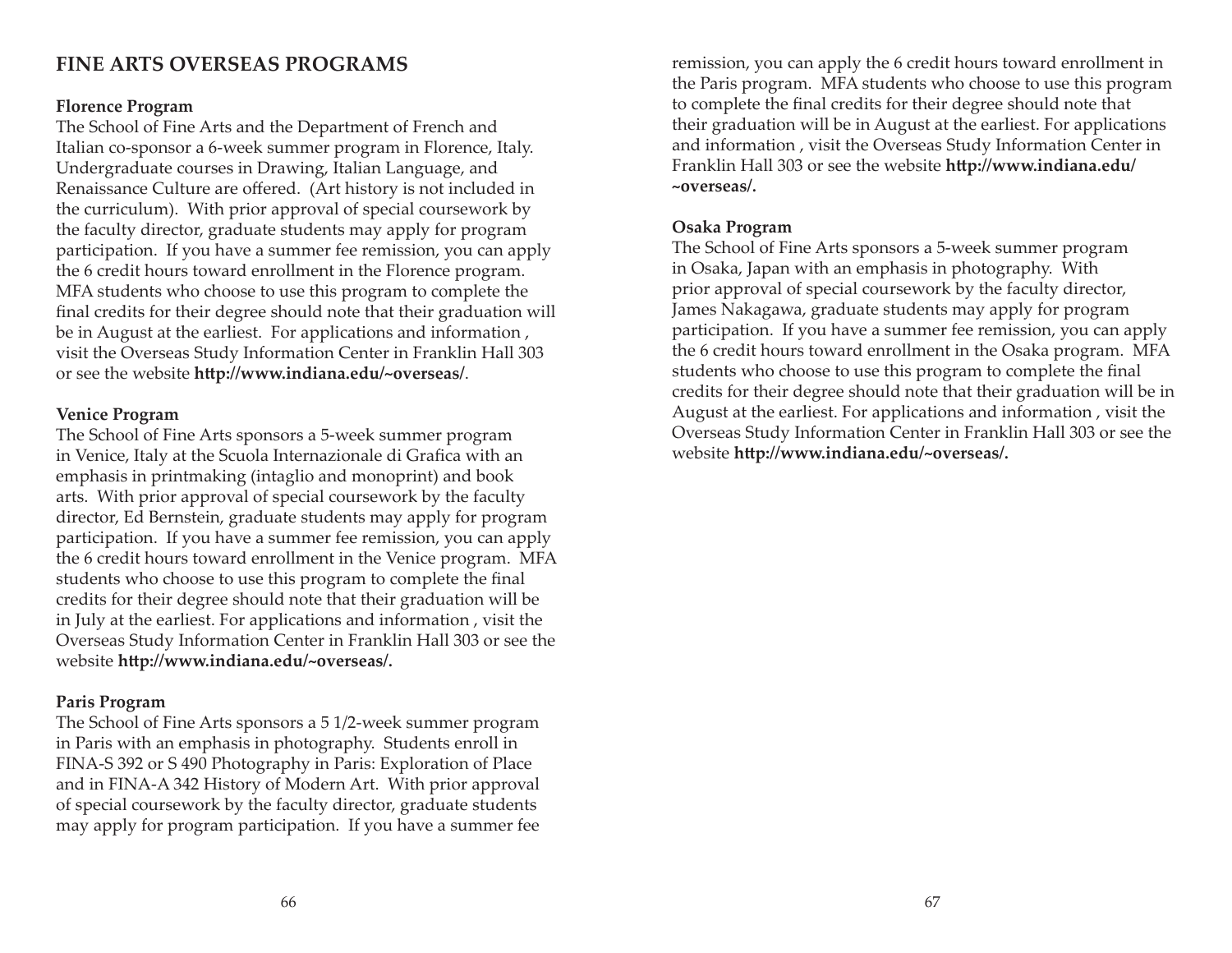# **FINE ARTS OVERSEAS PROGRAMS**

#### **Florence Program**

The School of Fine Arts and the Department of French and Italian co-sponsor a 6-week summer program in Florence, Italy. Undergraduate courses in Drawing, Italian Language, and Renaissance Culture are offered. (Art history is not included in the curriculum). With prior approval of special coursework by the faculty director, graduate students may apply for program participation. If you have a summer fee remission, you can apply the 6 credit hours toward enrollment in the Florence program. MFA students who choose to use this program to complete the final credits for their degree should note that their graduation will be in August at the earliest. For applications and information , visit the Overseas Study Information Center in Franklin Hall 303 or see the website **http://www.indiana.edu/~overseas/**.

#### **Venice Program**

The School of Fine Arts sponsors a 5-week summer program in Venice, Italy at the Scuola Internazionale di Grafica with an emphasis in printmaking (intaglio and monoprint) and book arts. With prior approval of special coursework by the faculty director, Ed Bernstein, graduate students may apply for program participation. If you have a summer fee remission, you can apply the 6 credit hours toward enrollment in the Venice program. MFA students who choose to use this program to complete the final credits for their degree should note that their graduation will be in July at the earliest. For applications and information , visit the Overseas Study Information Center in Franklin Hall 303 or see the website http://www.indiana.edu/~overseas/.

#### **Paris Program**

The School of Fine Arts sponsors a 5 1/2-week summer program in Paris with an emphasis in photography. Students enroll in FINA-S 392 or S 490 Photography in Paris: Exploration of Place and in FINA-A 342 History of Modern Art. With prior approval of special coursework by the faculty director, graduate students may apply for program participation. If you have a summer fee remission, you can apply the 6 credit hours toward enrollment in the Paris program. MFA students who choose to use this program to complete the final credits for their degree should note that their graduation will be in August at the earliest. For applications and information , visit the Overseas Study Information Center in Franklin Hall 303 or see the website **http://www.indiana.edu/ ~overseas/.**

#### **Osaka Program**

The School of Fine Arts sponsors a 5-week summer program in Osaka, Japan with an emphasis in photography. With prior approval of special coursework by the faculty director, James Nakagawa, graduate students may apply for program participation. If you have a summer fee remission, you can apply the 6 credit hours toward enrollment in the Osaka program. MFA students who choose to use this program to complete the final credits for their degree should note that their graduation will be in August at the earliest. For applications and information , visit the Overseas Study Information Center in Franklin Hall 303 or see the website http://www.indiana.edu/~overseas/.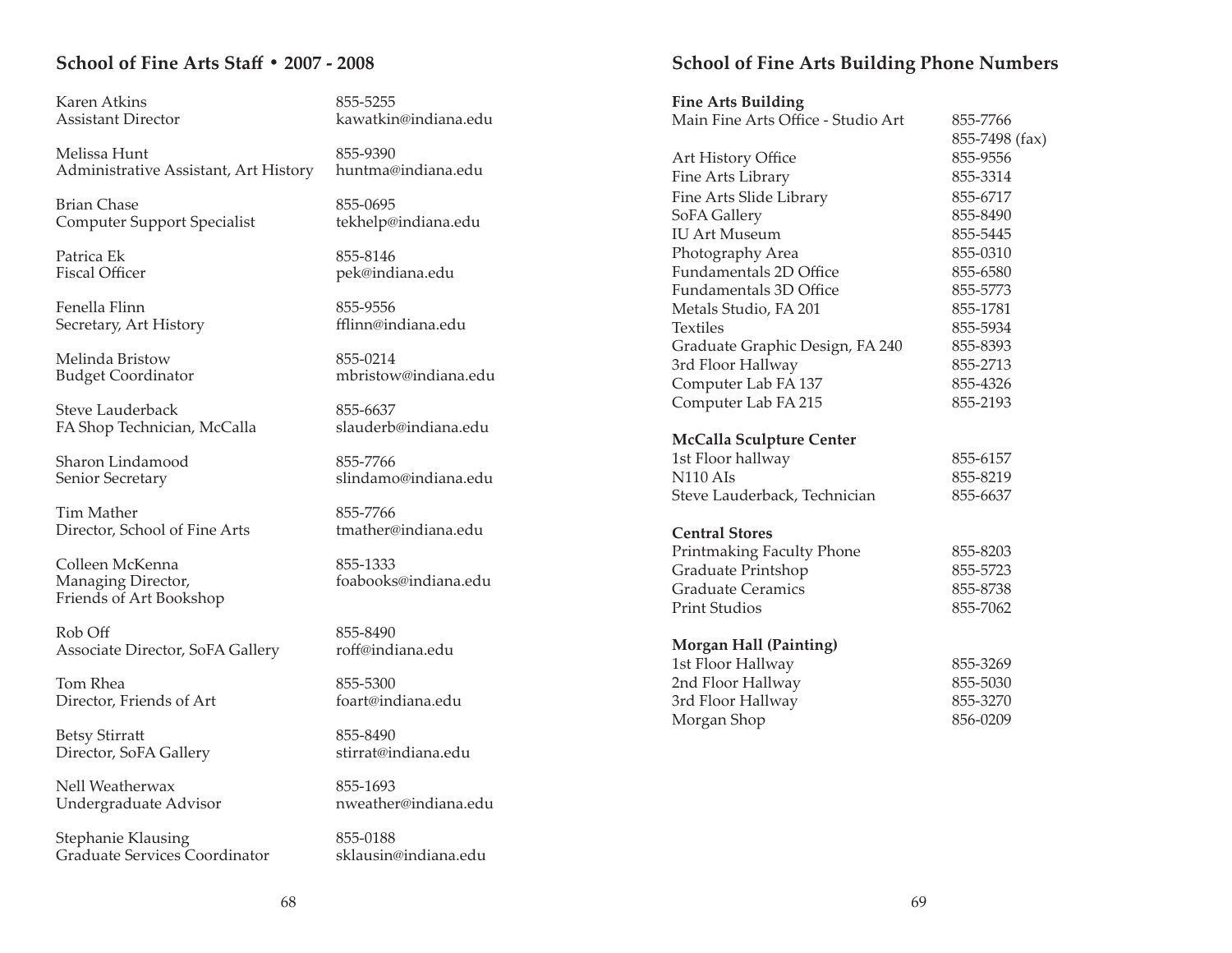# **School of Fine Arts Staff • 2007 - 2008**

Karen Atkins 855-5255

Melissa Hunt 855-9390 Administrative Assistant, Art History huntma@indiana.edu

Brian Chase 855-0695 Computer Support Specialist tekhelp@indiana.edu

Patrica Ek 855-8146

Fenella Flinn 855-9556Secretary, Art History fflinn@indiana.edu

Melinda Bristow 855-0214

Steve Lauderback 855-6637 FA Shop Technician, McCalla slauderb@indiana.edu

Sharon Lindamood 855-7766

Tim Mather 855-7766 Director, School of Fine Arts tmather@indiana.edu

Colleen McKenna and 855-1333 Managing Director, foabooks@indiana.edu Friends of Art Bookshop

Rob Off 855-8490 Associate Director, SoFA Gallery roff@indiana.edu

Tom Rhea 855-5300 Director, Friends of Art foart@indiana.edu

Betsy Stirratt<br>Director. SoFA Gallery entity estimate indiana.edu Director, SoFA Gallery

Nell Weatherwax 855-1693 Undergraduate Advisor nweather@indiana.edu

Stephanie Klausing 855-0188 Graduate Services Coordinator

Assistant Director kawatkin@indiana.edu

Fiscal Officer pek@indiana.edu

Budget Coordinator mbristow@indiana.edu

Senior Secretary slindamo@indiana.edu

# **School of Fine Arts Building Phone Numbers**

**Fine Arts Building**

| Main Fine Arts Office - Studio Art | 855-7766       |
|------------------------------------|----------------|
|                                    | 855-7498 (fax) |
| Art History Office                 | 855-9556       |
| Fine Arts Library                  | 855-3314       |
| Fine Arts Slide Library            | 855-6717       |
| SoFA Gallery                       | 855-8490       |
| <b>IU Art Museum</b>               | 855-5445       |
| Photography Area                   | 855-0310       |
| <b>Fundamentals 2D Office</b>      | 855-6580       |
| Fundamentals 3D Office             | 855-5773       |
| Metals Studio, FA 201              | 855-1781       |
| <b>Textiles</b>                    | 855-5934       |
| Graduate Graphic Design, FA 240    | 855-8393       |
| 3rd Floor Hallway                  | 855-2713       |
| Computer Lab FA 137                | 855-4326       |
| Computer Lab FA 215                | 855-2193       |
| <b>McCalla Sculpture Center</b>    |                |
| 1st Floor hallway                  | 855-6157       |
| <b>N110 AIs</b>                    | 855-8219       |
| Steve Lauderback, Technician       | 855-6637       |
| <b>Central Stores</b>              |                |
| Printmaking Faculty Phone          | 855-8203       |
| Graduate Printshop                 | 855-5723       |
| <b>Graduate Ceramics</b>           | 855-8738       |
| <b>Print Studios</b>               | 855-7062       |
| <b>Morgan Hall (Painting)</b>      |                |
| 1st Floor Hallway                  | 855-3269       |
| 2nd Floor Hallway                  | 855-5030       |
| 3rd Floor Hallway                  | 855-3270       |
| Morgan Shop                        | 856-0209       |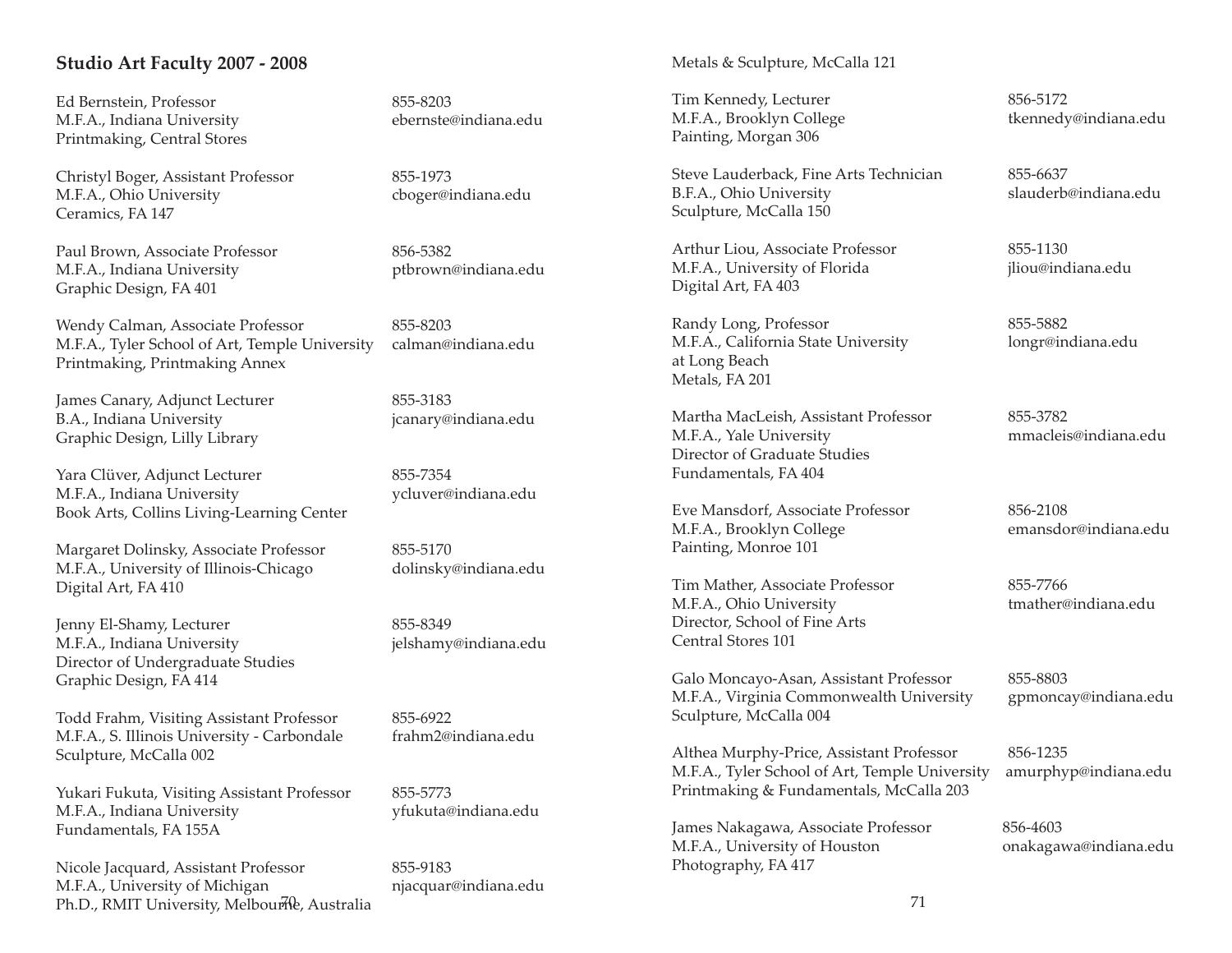#### **Studio Art Faculty 2007 - 2008**

Ed Bernstein, Professor 855-8203 M.F.A., Indiana University ebernste@indiana.edu Printmaking, Central Stores

Christyl Boger, Assistant Professor 855-1973 M.F.A., Ohio University cboger@indiana.edu Ceramics, FA 147

Paul Brown, Associate Professor 856-5382 M.F.A., Indiana University ptbrown@indiana.edu Graphic Design, FA 401

Wendy Calman, Associate Professor 855-8203 M.F.A., Tyler School of Art, Temple University calman@indiana.edu Printmaking, Printmaking Annex

James Canary, Adjunct Lecturer 855-3183 B.A., Indiana University icanary@indiana.edu Graphic Design, Lilly Library

Yara Clüver, Adjunct Lecturer 855-7354 M.F.A., Indiana University ycluver@indiana.edu Book Arts, Collins Living-Learning Center

Margaret Dolinsky, Associate Professor 855-5170 M.F.A., University of Illinois-Chicago dolinsky@indiana.edu Digital Art, FA 410

Jenny El-Shamy, Lecturer 855-8349 M.F.A., Indiana University ielshamy@indiana.edu Director of Undergraduate Studies Graphic Design, FA 414

Todd Frahm, Visiting Assistant Professor 855-6922 M.F.A., S. Illinois University - Carbondale frahm2@indiana.edu Sculpture, McCalla 002

Yukari Fukuta, Visiting Assistant Professor 855-5773 M.F.A., Indiana University vfukuta@indiana.edu Fundamentals, FA 155A

Nicole Jacquard, Assistant Professor 855-9183<br>
M.F.A., University of Michigan miacquar@indiana.edu M.F.A., University of Michigan Ph.D., RMIT University, Melbourle, Australia and a state of the control of the control of the control of the co

Metals & Sculpture, McCalla 121

Tim Kennedy, Lecturer 856-5172 M.F.A., Brooklyn College tkennedy@indiana.edu Painting, Morgan 306

Steve Lauderback, Fine Arts Technician 855-6637 B.F.A., Ohio University slauderb@indiana.edu Sculpture, McCalla 150

Arthur Liou, Associate Professor 855-1130 M.F.A., University of Florida jliou@indiana.edu Digital Art, FA 403

Randy Long, Professor 855-5882 M.F.A., California State University longr@indiana.edu at Long Beach Metals, FA 201

Martha MacLeish, Assistant Professor 855-3782 M.F.A., Yale University mmacleis@indiana.edu Director of Graduate StudiesFundamentals, FA 404

Eve Mansdorf, Associate Professor 856-2108 M.F.A., Brooklyn College emansdor@indiana.edu Painting, Monroe 101

Tim Mather, Associate Professor 855-7766 M.F.A., Ohio University tmather@indiana.edu Director, School of Fine Arts Central Stores 101

Galo Moncayo-Asan, Assistant Professor 855-8803<br>
M.F.A., Virginia Commonwealth University gpmoncay@indiana.edu M.F.A., Virginia Commonwealth University Sculpture, McCalla 004

Althea Murphy-Price, Assistant Professor 856-1235 M.F.A., Tyler School of Art, Temple University amurphyp@indiana.edu Printmaking & Fundamentals, McCalla 203

James Nakagawa, Associate Professor 856-4603 M.F.A., University of Houston onakagawa@indiana.edu Photography, FA 417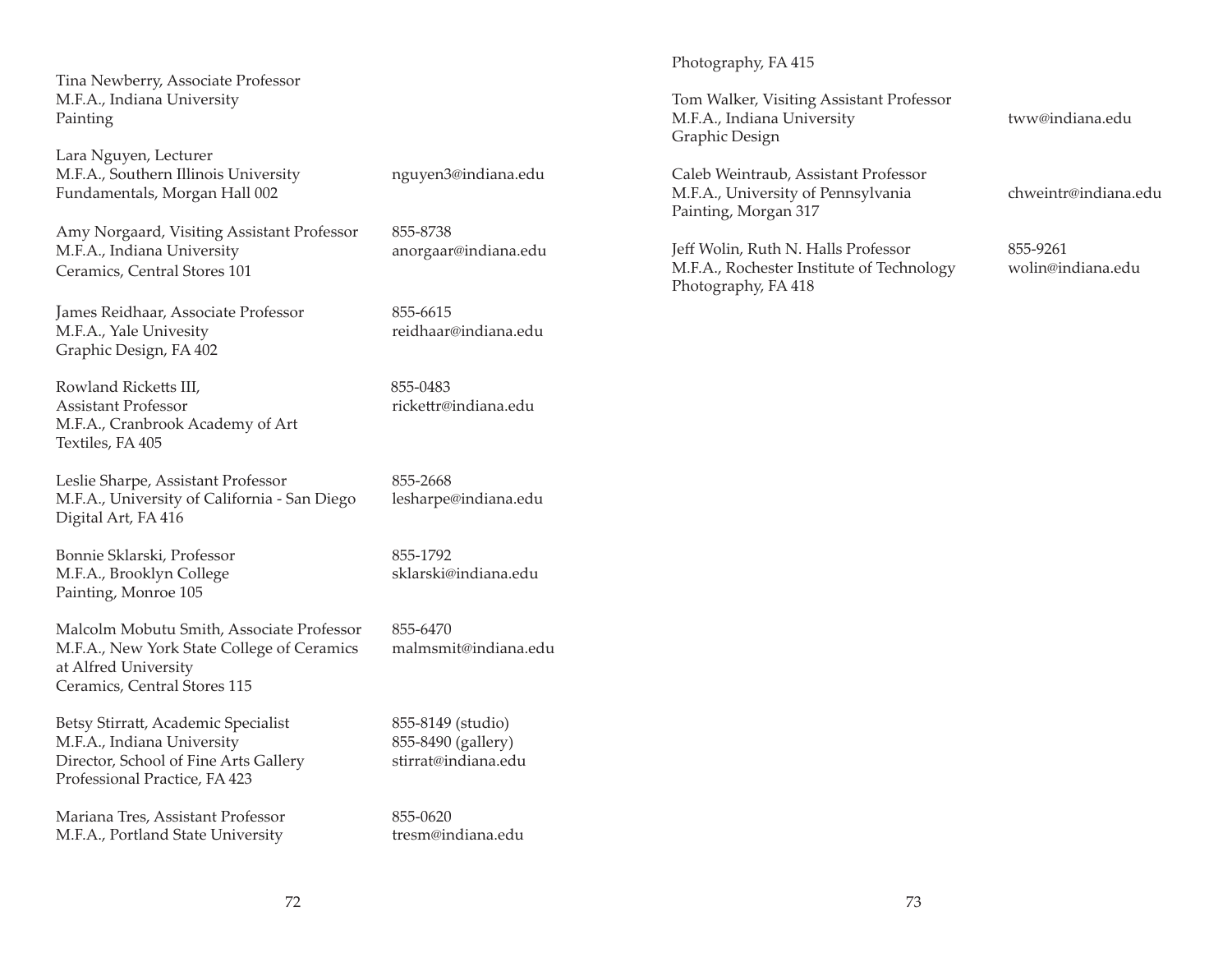Tina Newberry, Associate Professor M.F.A., Indiana University Painting

Lara Nguyen, Lecturer M.F.A., Southern Illinois University nguyen3@indiana.edu Fundamentals, Morgan Hall 002

Amy Norgaard, Visiting Assistant Professor 855-8738 M.F.A., Indiana University anorgaar@indiana.edu Ceramics, Central Stores 101

James Reidhaar, Associate Professor 855-6615 M.F.A., Yale Univesity reidhaar@indiana.edu Graphic Design, FA 402

Rowland Ricketts III, 855-0483 Assistant Professor **rickettr@indiana.edu** M.F.A., Cranbrook Academy of Art Textiles, FA 405

Leslie Sharpe, Assistant Professor 855-2668 M.F.A., University of California - San Diego lesharpe@indiana.edu Digital Art, FA 416

Bonnie Sklarski, Professor 855-1792 M.F.A., Brooklyn College sklarski@indiana.edu Painting, Monroe 105

Malcolm Mobutu Smith, Associate Professor 855-6470 M.F.A., New York State College of Ceramics malmsmit@indiana.edu at Alfred University Ceramics, Central Stores 115

Betsy Stirratt, Academic Specialist 855-8149 (studio) M.F.A., Indiana University 855-8490 (gallery) Director, School of Fine Arts Gallery stirrat@indiana.edu Professional Practice, FA 423

Mariana Tres, Assistant Professor 855-0620 M.F.A., Portland State University tresm@indiana.edu

Photography, FA 415

Tom Walker, Visiting Assistant Professor M.F.A., Indiana University tww@indiana.edu Graphic Design

Caleb Weintraub, Assistant Professor M.F.A., University of Pennsylvania chweintr@indiana.edu Painting, Morgan 317

Jeff Wolin, Ruth N. Halls Professor 855-9261 M.F.A., Rochester Institute of Technology wolin@indiana.edu Photography, FA 418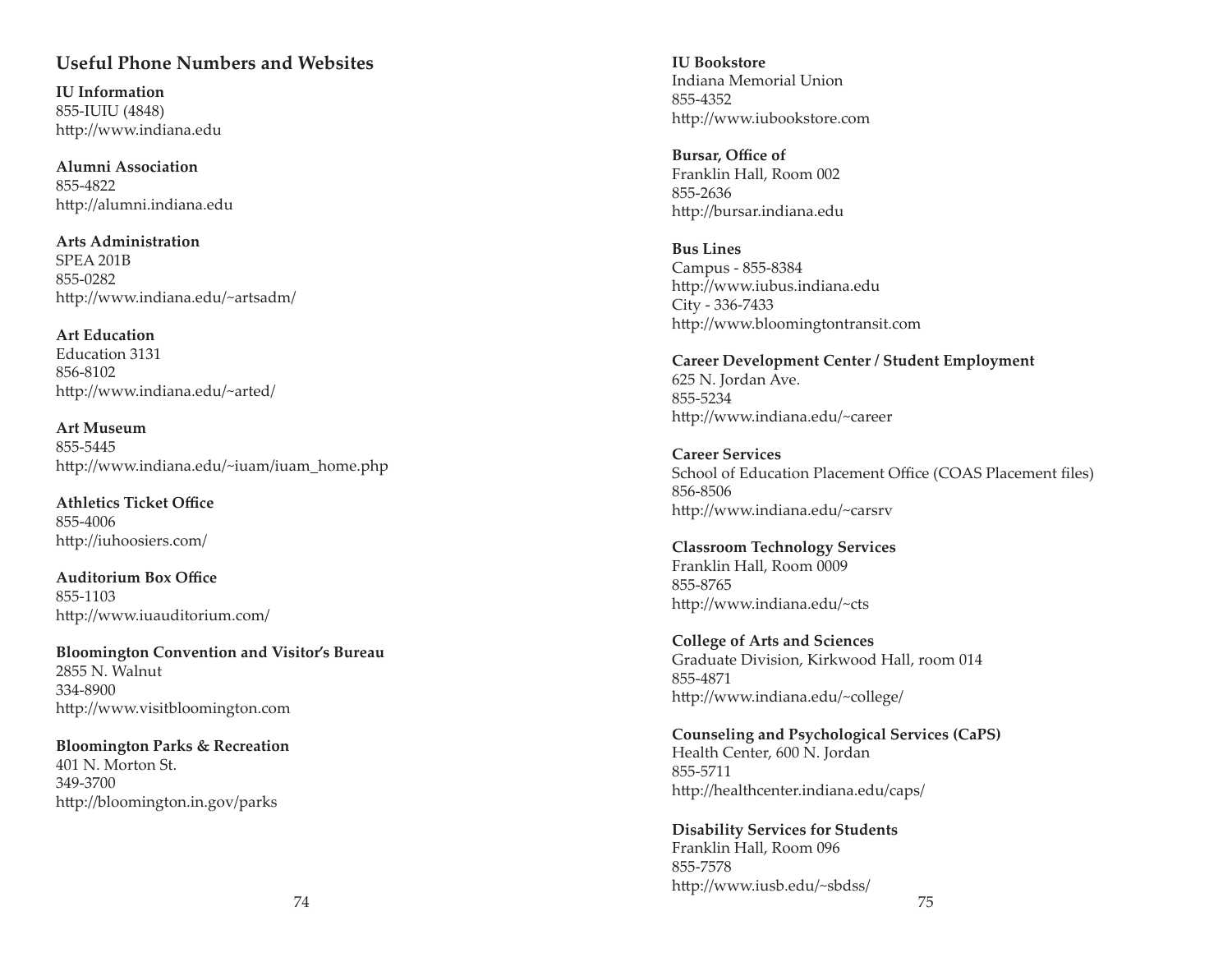# **Useful Phone Numbers and Websites**

**IU Information**855-IUIU (4848) http://www.indiana.edu

**Alumni Association** 855-4822http://alumni.indiana.edu

**Arts Administration**SPEA 201B855-0282http://www.indiana.edu/~artsadm/

**Art Education**Education 3131856-8102http://www.indiana.edu/~arted/

**Art Museum**855-5445http://www.indiana.edu/~iuam/iuam\_home.php

**Athletics Ticket Office** 855-4006http://iuhoosiers.com/

**Auditorium Box Office** 855-1103http://www.iuauditorium.com/

**Bloomington Convention and Visitor's Bureau** 2855 N. Walnut334-8900http://www.visitbloomington.com

**Bloomington Parks & Recreation** 401 N. Morton St.349-3700http://bloomington.in.gov/parks

**IU Bookstore**Indiana Memorial Union855-4352http://www.iubookstore.com

**Bursar, Office of** Franklin Hall, Room 002 855-2636http://bursar.indiana.edu

**Bus Lines**Campus - 855-8384 http://www.iubus.indiana.edu City - 336-7433 http://www.bloomingtontransit.com

**Career Development Center / Student Employment** 625 N. Jordan Ave. 855-5234 http://www.indiana.edu/~career

**Career Services**School of Education Placement Office (COAS Placement files) 856-8506http://www.indiana.edu/~carsrv

**Classroom Technology Services** Franklin Hall, Room 0009 855-8765http://www.indiana.edu/~cts

**College of Arts and Sciences** Graduate Division, Kirkwood Hall, room 014 855-4871http://www.indiana.edu/~college/

**Counseling and Psychological Services (CaPS)** Health Center, 600 N. Jordan 855-5711http://healthcenter.indiana.edu/caps/

**Disability Services for Students** Franklin Hall, Room 096 855-7578http://www.iusb.edu/~sbdss/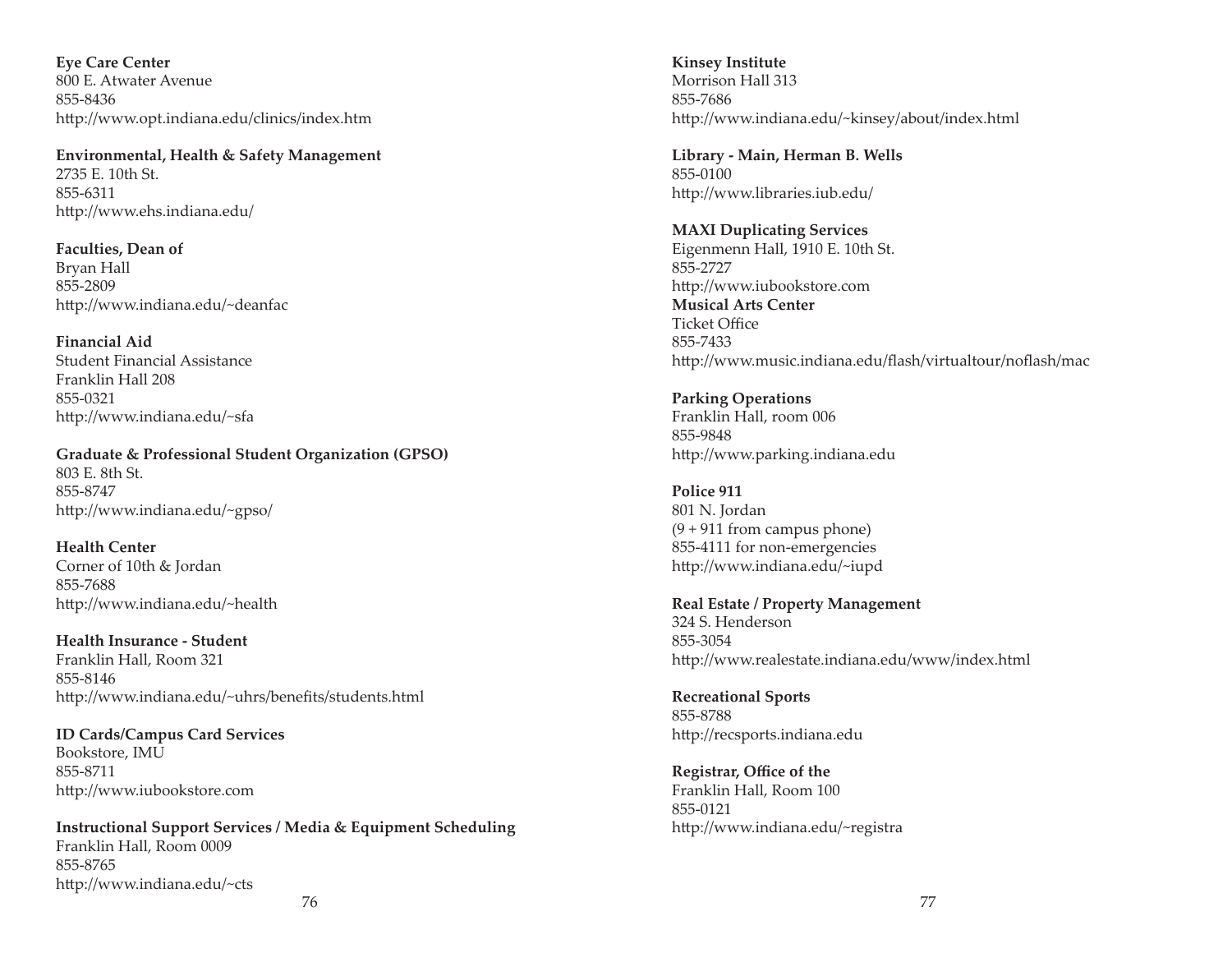**Eye Care Center**  800 E. Atwater Avenue855-8436http://www.opt.indiana.edu/clinics/index.htm

**Environmental, Health & Safety Management** 2735 E. 10th St.855-6311http://www.ehs.indiana.edu/

**Faculties, Dean of** Bryan Hall 855-2809http://www.indiana.edu/~deanfac

**Financial Aid**Student Financial AssistanceFranklin Hall 208855-0321http://www.indiana.edu/~sfa

**Graduate & Professional Student Organization (GPSO)** 803 E. 8th St.855-8747http://www.indiana.edu/~gpso/

**Health Center**Corner of 10th & Jordan 855-7688http://www.indiana.edu/~health

**Health Insurance - Student**Franklin Hall, Room 321 855-8146http://www.indiana.edu/~uhrs/benefits/students.html

**ID Cards/Campus Card Services** Bookstore, IMU 855-8711http://www.iubookstore.com

**Instructional Support Services / Media & Equipment Scheduling** Franklin Hall, Room 0009 855-8765http://www.indiana.edu/~cts

**Kinsey Institute** Morrison Hall 313855-7686http://www.indiana.edu/~kinsey/about/index.html

**Library - Main, Herman B. Wells** 855-0100http://www.libraries.iub.edu/

**MAXI Duplicating Services** Eigenmenn Hall, 1910 E. 10th St. 855-2727http://www.iubookstore.com **Musical Arts Center**Ticket Office 855-7433http://www.music.indiana.edu/flash/virtualtour/noflash/mac

**Parking Operations** Franklin Hall, room 006 855-9848http://www.parking.indiana.edu

**Police 911**801 N. Jordan (9 + 911 from campus phone) 855-4111 for non-emergencies http://www.indiana.edu/~iupd

**Real Estate / Property Management** 324 S. Henderson855-3054http://www.realestate.indiana.edu/www/index.html

**Recreational Sports** 855-8788http://recsports.indiana.edu

**Registrar, Office of the** Franklin Hall, Room 100 855-0121http://www.indiana.edu/~registra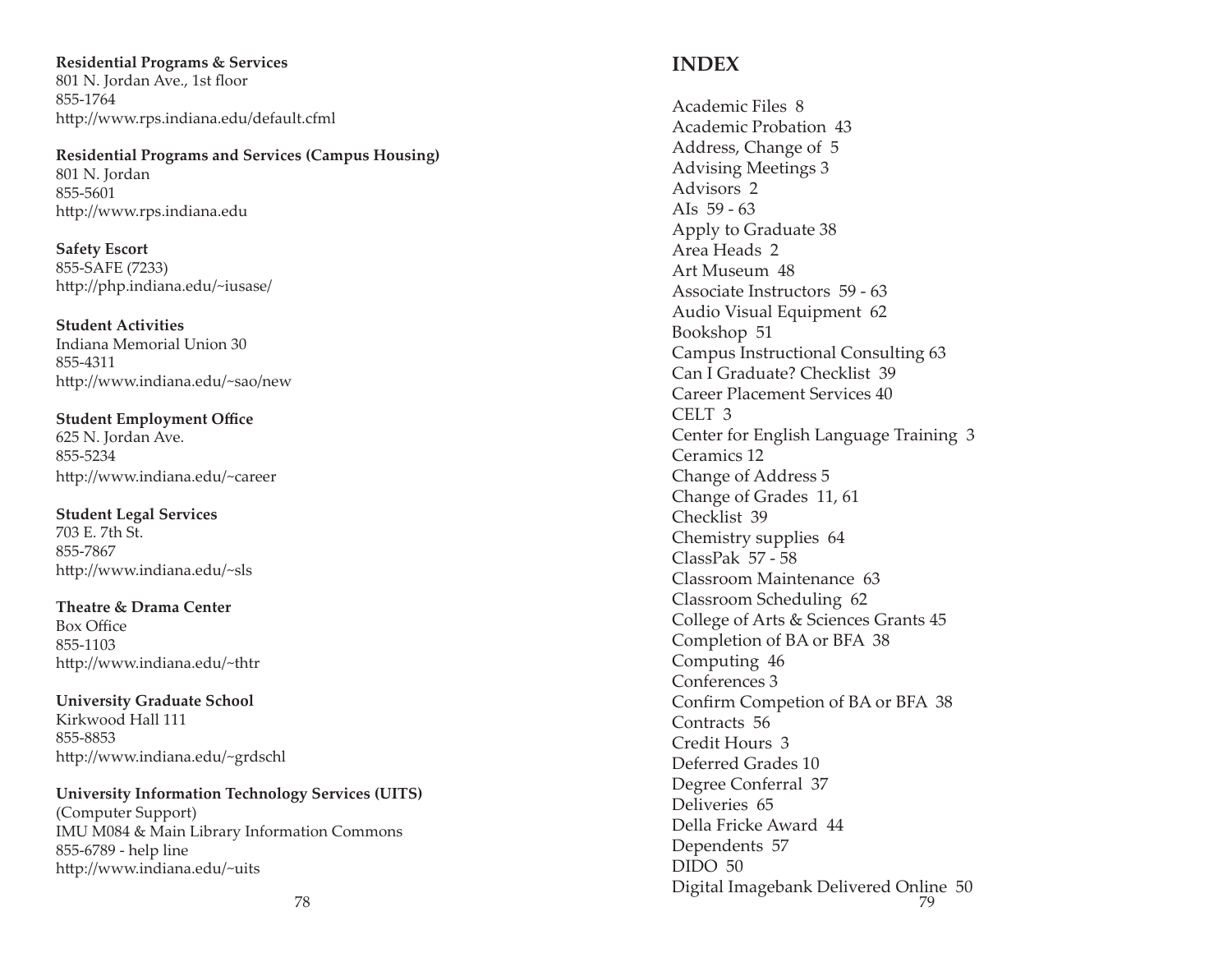**Residential Programs & Services** 801 N. Jordan Ave., 1st floor 855-1764http://www.rps.indiana.edu/default.cfml

#### **Residential Programs and Services (Campus Housing)**

801 N. Jordan 855-5601http://www.rps.indiana.edu

**Safety Escort** 855-SAFE (7233) http://php.indiana.edu/~iusase/

**Student Activities**Indiana Memorial Union 30855-4311http://www.indiana.edu/~sao/new

**Student Employment Office** 625 N. Jordan Ave. 855-5234http://www.indiana.edu/~career

**Student Legal Services** 703 E. 7th St.855-7867http://www.indiana.edu/~sls

**Theatre & Drama Center**Box Office 855-1103http://www.indiana.edu/~thtr

**University Graduate School** Kirkwood Hall 111855-8853http://www.indiana.edu/~grdschl

**University Information Technology Services (UITS)** (Computer Support) IMU M084 & Main Library Information Commons 855-6789 - help line http://www.indiana.edu/~uits

Academic Files 8 Academic Probation 43Address, Change of 5 Advising Meetings 3 Advisors 2AIs  $59 - 63$ Apply to Graduate 38 Area Heads 2Art Museum 48Associate Instructors 59 - 63Audio Visual Equipment 62 Bookshop 51 Campus Instructional Consulting 63 Can I Graduate? Checklist 39Career Placement Services 40CELT 3Center for English Language Training 3 Ceramics 12Change of Address 5 Change of Grades 11, 61 Checklist 39Chemistry supplies 64 ClassPak 57 - 58Classroom Maintenance 63Classroom Scheduling 62 College of Arts & Sciences Grants 45 Completion of BA or BFA 38 Computing 46 Conferences 3Confirm Competion of BA or BFA 38 Contracts 56Credit Hours 3Deferred Grades 10Degree Conferral 37 Deliveries 65Della Fricke Award 44Dependents 57 DIDO 50Digital Imagebank Delivered Online 50 788 a that is not contained to the contact of the contact of the contact of the contact of the contact of the contact of the contact of the contact of the contact of the contact of the contact of the contact of the contact o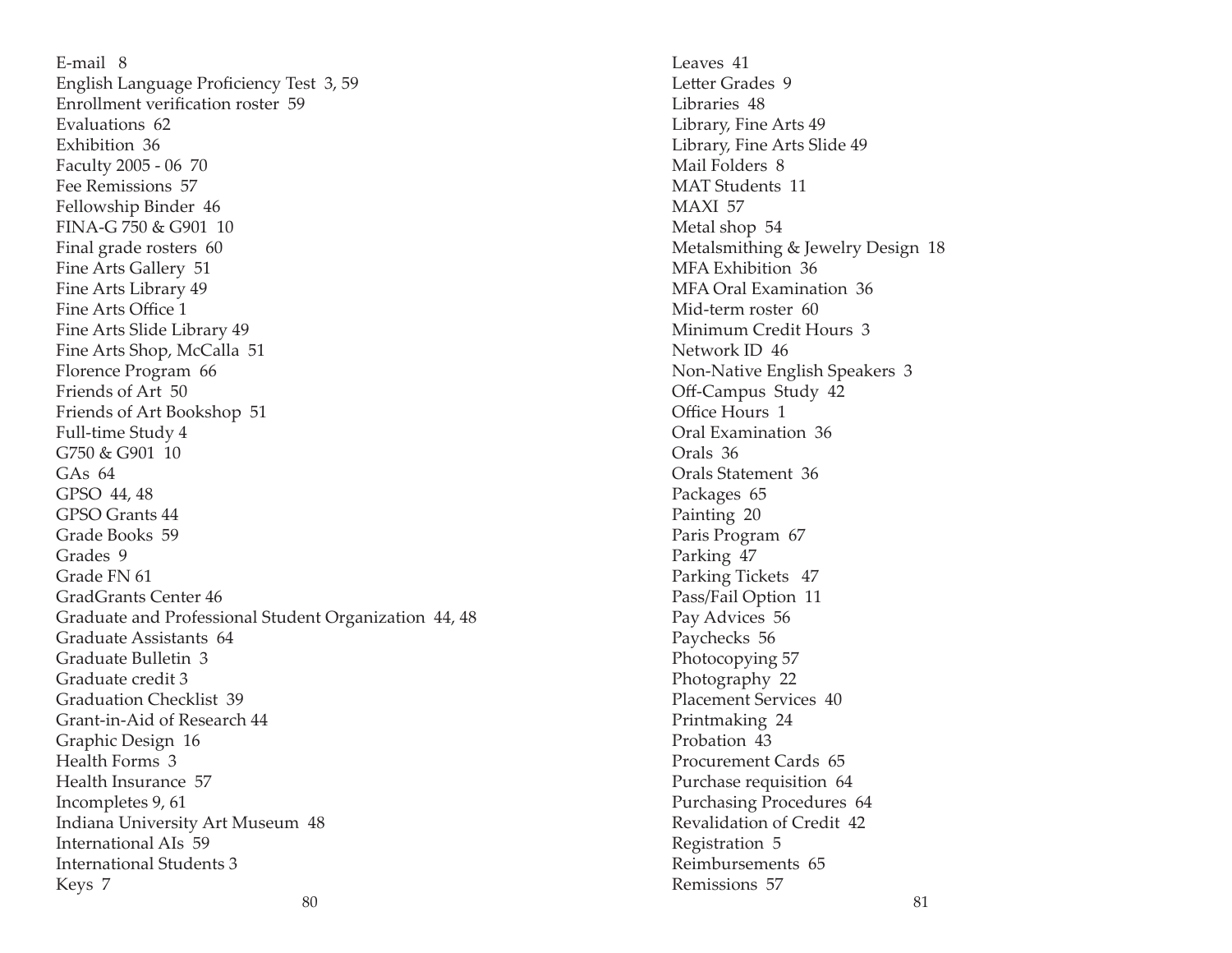E-mail 8English Language Proficiency Test 3, 59 Enrollment verification roster 59 Evaluations 62Exhibition 36Faculty 2005 - 06 70 Fee Remissions 57Fellowship Binder 46 FINA-G 750 & G901 10Final grade rosters 60 Fine Arts Gallery 51 Fine Arts Library 49 Fine Arts Office 1 Fine Arts Slide Library 49 Fine Arts Shop, McCalla 51 Florence Program 66 Friends of Art 50Friends of Art Bookshop 51 Full-time Study 4 G750 & G901 10GAs 64GPSO 44, 48 GPSO Grants 44Grade Books 59Grades 9Grade FN 61GradGrants Center 46Graduate and Professional Student Organization 44, 48 Graduate Assistants 64Graduate Bulletin 3Graduate credit 3Graduation Checklist 39Grant-in-Aid of Research 44Graphic Design 16 Health Forms 3Health Insurance 57Incompletes 9, 61 Indiana University Art Museum 48 International AIs 59International Students 3Keys 7

Leaves 41Letter Grades 9 Libraries 48Library, Fine Arts 49 Library, Fine Arts Slide 49 Mail Folders 8MAT Students 11MAXI 57Metal shop 54 Metalsmithing & Jewelry Design 18 MFA Exhibition 36MFA Oral Examination 36Mid-term roster 60Minimum Credit Hours 3Network ID 46Non-Native English Speakers 3 Off-Campus Study 42 Office Hours 1 Oral Examination 36Orals 36Orals Statement 36Packages 65 Painting 20 Paris Program 67 Parking 47 Parking Tickets 47 Pass/Fail Option 11 Pay Advices 56 Paychecks 56 Photocopying 57 Photography 22 Placement Services 40Printmaking 24 Probation 43Procurement Cards 65Purchase requisition 64 Purchasing Procedures 64 Revalidation of Credit 42 Registration 5 Reimbursements 65Remissions 57